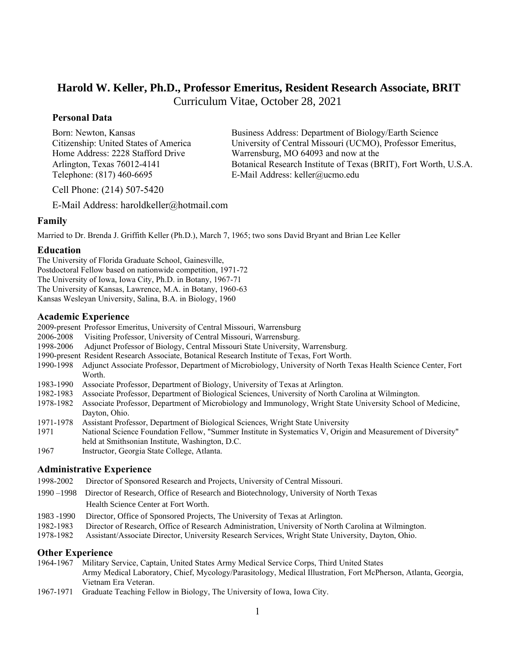# **Harold W. Keller, Ph.D., Professor Emeritus, Resident Research Associate, BRIT**

Curriculum Vitae, October 28, 2021

# **Personal Data**

Telephone: (817) 460-6695 E-Mail Address: [keller@ucmo.edu](mailto:keller@ucmo.edu)

Born: Newton, Kansas Business Address: Department of Biology/Earth Science Citizenship: United States of America University of Central Missouri (UCMO), Professor Emeritus, Home Address: 2228 Stafford Drive Warrensburg, MO 64093 and now at the Arlington, Texas 76012-4141 Botanical Research Institute of Texas (BRIT), Fort Worth, U.S.A.

Cell Phone: (214) 507-5420

E-Mail Address: haroldkeller@hotmail.com

# **Family**

Married to Dr. Brenda J. Griffith Keller (Ph.D.), March 7, 1965; two sons David Bryant and Brian Lee Keller

# **Education**

The University of Florida Graduate School, Gainesville, Postdoctoral Fellow based on nationwide competition, 1971-72 The University of Iowa, Iowa City, Ph.D. in Botany, 1967-71 The University of Kansas, Lawrence, M.A. in Botany, 1960-63 Kansas Wesleyan University, Salina, B.A. in Biology, 1960

# **Academic Experience**

- 2009-present Professor Emeritus, University of Central Missouri, Warrensburg
- 2006-2008 Visiting Professor, University of Central Missouri, Warrensburg.
- 1998-2006 Adjunct Professor of Biology, Central Missouri State University, Warrensburg.
- 1990-present Resident Research Associate, Botanical Research Institute of Texas, Fort Worth.
- 1990-1998 Adjunct Associate Professor, Department of Microbiology, University of North Texas Health Science Center, Fort Worth.
- 1983-1990 Associate Professor, Department of Biology, University of Texas at Arlington.
- 1982-1983 Associate Professor, Department of Biological Sciences, University of North Carolina at Wilmington.
- 1978-1982 Associate Professor, Department of Microbiology and Immunology, Wright State University School of Medicine, Dayton, Ohio.
- 1971-1978 Assistant Professor, Department of Biological Sciences, Wright State University
- 1971 National Science Foundation Fellow, "Summer Institute in Systematics V, Origin and Measurement of Diversity" held at Smithsonian Institute, Washington, D.C.
- 1967 Instructor, Georgia State College, Atlanta.

# **Administrative Experience**

- 1998-2002 Director of Sponsored Research and Projects, University of Central Missouri.
- 1990 –1998 Director of Research, Office of Research and Biotechnology, University of North Texas Health Science Center at Fort Worth.
- 1983 -1990 Director, Office of Sponsored Projects, The University of Texas at Arlington.
- 1982-1983 Director of Research, Office of Research Administration, University of North Carolina at Wilmington.
- 1978-1982 Assistant/Associate Director, University Research Services, Wright State University, Dayton, Ohio.

# **Other Experience**

- 1964-1967 Military Service, Captain, United States Army Medical Service Corps, Third United States Army Medical Laboratory, Chief, Mycology/Parasitology, Medical Illustration, Fort McPherson, Atlanta, Georgia, Vietnam Era Veteran.
- 1967-1971 Graduate Teaching Fellow in Biology, The University of Iowa, Iowa City.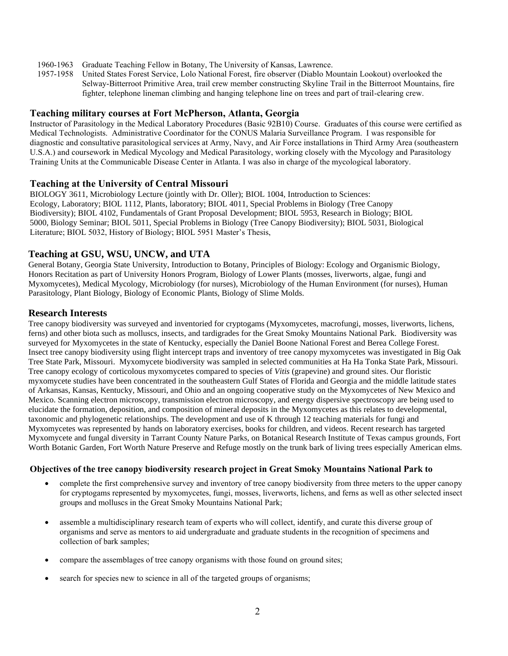- 1960-1963 Graduate Teaching Fellow in Botany, The University of Kansas, Lawrence.
- 1957-1958 United States Forest Service, Lolo National Forest, fire observer (Diablo Mountain Lookout) overlooked the Selway-Bitterroot Primitive Area, trail crew member constructing Skyline Trail in the Bitterroot Mountains, fire fighter, telephone lineman climbing and hanging telephone line on trees and part of trail-clearing crew.

### **Teaching military courses at Fort McPherson, Atlanta, Georgia**

Instructor of Parasitology in the Medical Laboratory Procedures (Basic 92B10) Course. Graduates of this course were certified as Medical Technologists. Administrative Coordinator for the CONUS Malaria Surveillance Program. I was responsible for diagnostic and consultative parasitological services at Army, Navy, and Air Force installations in Third Army Area (southeastern U.S.A.) and coursework in Medical Mycology and Medical Parasitology, working closely with the Mycology and Parasitology Training Units at the Communicable Disease Center in Atlanta. I was also in charge of the mycological laboratory.

### **Teaching at the University of Central Missouri**

BIOLOGY 3611, Microbiology Lecture (jointly with Dr. Oller); BIOL 1004, Introduction to Sciences: Ecology, Laboratory; BIOL 1112, Plants, laboratory; BIOL 4011, Special Problems in Biology (Tree Canopy Biodiversity); BIOL 4102, Fundamentals of Grant Proposal Development; BIOL 5953, Research in Biology; BIOL 5000, Biology Seminar; BIOL 5011, Special Problems in Biology (Tree Canopy Biodiversity); BIOL 5031, Biological Literature; BIOL 5032, History of Biology; BIOL 5951 Master's Thesis,

# **Teaching at GSU, WSU, UNCW, and UTA**

General Botany, Georgia State University, Introduction to Botany, Principles of Biology: Ecology and Organismic Biology, Honors Recitation as part of University Honors Program, Biology of Lower Plants (mosses, liverworts, algae, fungi and Myxomycetes), Medical Mycology, Microbiology (for nurses), Microbiology of the Human Environment (for nurses), Human Parasitology, Plant Biology, Biology of Economic Plants, Biology of Slime Molds.

### **Research Interests**

Tree canopy biodiversity was surveyed and inventoried for cryptogams (Myxomycetes, macrofungi, mosses, liverworts, lichens, ferns) and other biota such as molluscs, insects, and tardigrades for the Great Smoky Mountains National Park. Biodiversity was surveyed for Myxomycetes in the state of Kentucky, especially the Daniel Boone National Forest and Berea College Forest. Insect tree canopy biodiversity using flight intercept traps and inventory of tree canopy myxomycetes was investigated in Big Oak Tree State Park, Missouri. Myxomycete biodiversity was sampled in selected communities at Ha Ha Tonka State Park, Missouri. Tree canopy ecology of corticolous myxomycetes compared to species of *Vitis* (grapevine) and ground sites. Our floristic myxomycete studies have been concentrated in the southeastern Gulf States of Florida and Georgia and the middle latitude states of Arkansas, Kansas, Kentucky, Missouri, and Ohio and an ongoing cooperative study on the Myxomycetes of New Mexico and Mexico. Scanning electron microscopy, transmission electron microscopy, and energy dispersive spectroscopy are being used to elucidate the formation, deposition, and composition of mineral deposits in the Myxomycetes as this relates to developmental, taxonomic and phylogenetic relationships. The development and use of K through 12 teaching materials for fungi and Myxomycetes was represented by hands on laboratory exercises, books for children, and videos. Recent research has targeted Myxomycete and fungal diversity in Tarrant County Nature Parks, on Botanical Research Institute of Texas campus grounds, Fort Worth Botanic Garden, Fort Worth Nature Preserve and Refuge mostly on the trunk bark of living trees especially American elms.

# **Objectives of the tree canopy biodiversity research project in Great Smoky Mountains National Park to**

- complete the first comprehensive survey and inventory of tree canopy biodiversity from three meters to the upper canopy for cryptogams represented by myxomycetes, fungi, mosses, liverworts, lichens, and ferns as well as other selected insect groups and molluscs in the Great Smoky Mountains National Park;
- assemble a multidisciplinary research team of experts who will collect, identify, and curate this diverse group of organisms and serve as mentors to aid undergraduate and graduate students in the recognition of specimens and collection of bark samples;
- compare the assemblages of tree canopy organisms with those found on ground sites;
- search for species new to science in all of the targeted groups of organisms;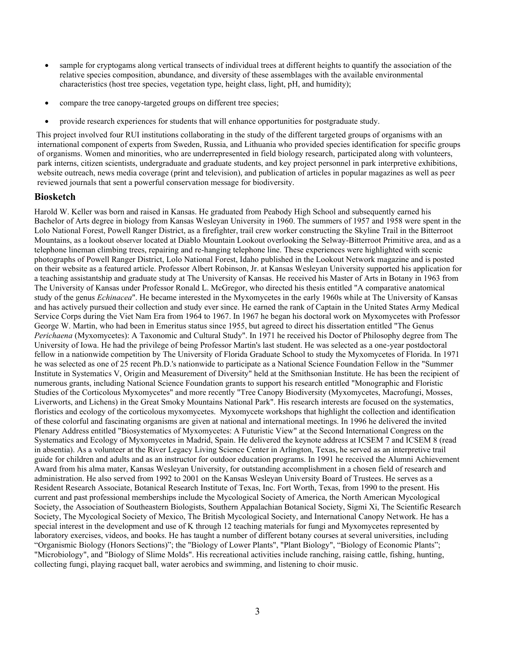- sample for cryptogams along vertical transects of individual trees at different heights to quantify the association of the relative species composition, abundance, and diversity of these assemblages with the available environmental characteristics (host tree species, vegetation type, height class, light, pH, and humidity);
- compare the tree canopy-targeted groups on different tree species;
- provide research experiences for students that will enhance opportunities for postgraduate study.

This project involved four RUI institutions collaborating in the study of the different targeted groups of organisms with an international component of experts from Sweden, Russia, and Lithuania who provided species identification for specific groups of organisms. Women and minorities, who are underrepresented in field biology research, participated along with volunteers, park interns, citizen scientists, undergraduate and graduate students, and key project personnel in park interpretive exhibitions, website outreach, news media coverage (print and television), and publication of articles in popular magazines as well as peer reviewed journals that sent a powerful conservation message for biodiversity.

### **Biosketch**

Harold W. Keller was born and raised in Kansas. He graduated from Peabody High School and subsequently earned his Bachelor of Arts degree in biology from Kansas Wesleyan University in 1960. The summers of 1957 and 1958 were spent in the Lolo National Forest, Powell Ranger District, as a firefighter, trail crew worker constructing the Skyline Trail in the Bitterroot Mountains, as a lookout observer located at Diablo Mountain Lookout overlooking the Selway-Bitterroot Primitive area, and as a telephone lineman climbing trees, repairing and re-hanging telephone line. These experiences were highlighted with scenic photographs of Powell Ranger District, Lolo National Forest, Idaho published in the Lookout Network magazine and is posted on their website as a featured article. Professor Albert Robinson, Jr. at Kansas Wesleyan University supported his application for a teaching assistantship and graduate study at The University of Kansas. He received his Master of Arts in Botany in 1963 from The University of Kansas under Professor Ronald L. McGregor, who directed his thesis entitled "A comparative anatomical study of the genus *Echinacea*". He became interested in the Myxomycetes in the early 1960s while at The University of Kansas and has actively pursued their collection and study ever since. He earned the rank of Captain in the United States Army Medical Service Corps during the Viet Nam Era from 1964 to 1967. In 1967 he began his doctoral work on Myxomycetes with Professor George W. Martin, who had been in Emeritus status since 1955, but agreed to direct his dissertation entitled "The Genus *Perichaena* (Myxomycetes): A Taxonomic and Cultural Study". In 1971 he received his Doctor of Philosophy degree from The University of Iowa. He had the privilege of being Professor Martin's last student. He was selected as a one-year postdoctoral fellow in a nationwide competition by The University of Florida Graduate School to study the Myxomycetes of Florida. In 1971 he was selected as one of 25 recent Ph.D.'s nationwide to participate as a National Science Foundation Fellow in the "Summer Institute in Systematics V, Origin and Measurement of Diversity" held at the Smithsonian Institute. He has been the recipient of numerous grants, including National Science Foundation grants to support his research entitled "Monographic and Floristic Studies of the Corticolous Myxomycetes" and more recently "Tree Canopy Biodiversity (Myxomycetes, Macrofungi, Mosses, Liverworts, and Lichens) in the Great Smoky Mountains National Park". His research interests are focused on the systematics, floristics and ecology of the corticolous myxomycetes. Myxomycete workshops that highlight the collection and identification of these colorful and fascinating organisms are given at national and international meetings. In 1996 he delivered the invited Plenary Address entitled "Biosystematics of Myxomycetes: A Futuristic View" at the Second International Congress on the Systematics and Ecology of Myxomycetes in Madrid, Spain. He delivered the keynote address at ICSEM 7 and ICSEM 8 (read in absentia). As a volunteer at the River Legacy Living Science Center in Arlington, Texas, he served as an interpretive trail guide for children and adults and as an instructor for outdoor education programs. In 1991 he received the Alumni Achievement Award from his alma mater, Kansas Wesleyan University, for outstanding accomplishment in a chosen field of research and administration. He also served from 1992 to 2001 on the Kansas Wesleyan University Board of Trustees. He serves as a Resident Research Associate, Botanical Research Institute of Texas, Inc. Fort Worth, Texas, from 1990 to the present. His current and past professional memberships include the Mycological Society of America, the North American Mycological Society, the Association of Southeastern Biologists, Southern Appalachian Botanical Society, Sigmi Xi, The Scientific Research Society, The Mycological Society of Mexico, The British Mycological Society, and International Canopy Network. He has a special interest in the development and use of K through 12 teaching materials for fungi and Myxomycetes represented by laboratory exercises, videos, and books. He has taught a number of different botany courses at several universities, including "Organismic Biology (Honors Sections)"; the "Biology of Lower Plants", "Plant Biology", "Biology of Economic Plants"; "Microbiology", and "Biology of Slime Molds". His recreational activities include ranching, raising cattle, fishing, hunting, collecting fungi, playing racquet ball, water aerobics and swimming, and listening to choir music.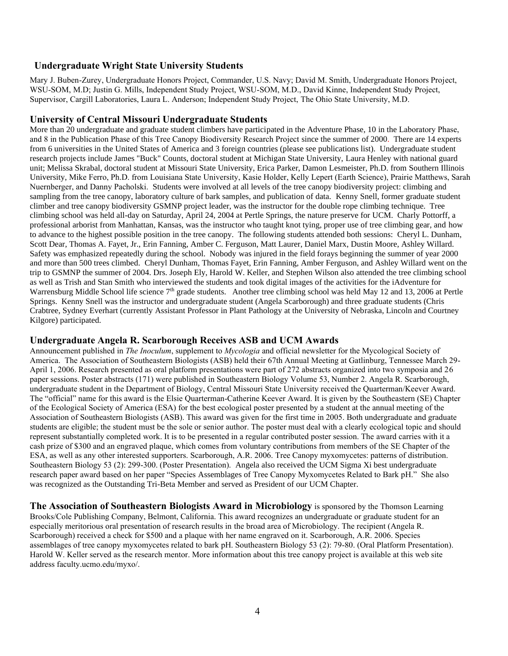# **Undergraduate Wright State University Students**

Mary J. Buben-Zurey, Undergraduate Honors Project, Commander, U.S. Navy; David M. Smith, Undergraduate Honors Project, WSU-SOM, M.D; Justin G. Mills, Independent Study Project, WSU-SOM, M.D., David Kinne, Independent Study Project, Supervisor, Cargill Laboratories, Laura L. Anderson; Independent Study Project, The Ohio State University, M.D.

# **University of Central Missouri Undergraduate Students**

More than 20 undergraduate and graduate student climbers have participated in the Adventure Phase, 10 in the Laboratory Phase, and 8 in the Publication Phase of this Tree Canopy Biodiversity Research Project since the summer of 2000. There are 14 experts from 6 universities in the United States of America and 3 foreign countries (please see publications list). Undergraduate student research projects include James "Buck" Counts, doctoral student at Michigan State University, Laura Henley with national guard unit; Melissa Skrabal, doctoral student at Missouri State University, Erica Parker, Damon Lesmeister, Ph.D. from Southern Illinois University, Mike Ferro, Ph.D. from Louisiana State University, Kasie Holder, Kelly Lepert (Earth Science), Prairie Matthews, Sarah Nuernberger, and Danny Pacholski. Students were involved at all levels of the tree canopy biodiversity project: climbing and sampling from the tree canopy, laboratory culture of bark samples, and publication of data. Kenny Snell, former graduate student climber and tree canopy biodiversity GSMNP project leader, was the instructor for the double rope climbing technique. Tree climbing school was held all-day on Saturday, April 24, 2004 at Pertle Springs, the nature preserve for UCM. Charly Pottorff, a professional arborist from Manhattan, Kansas, was the instructor who taught knot tying, proper use of tree climbing gear, and how to advance to the highest possible position in the tree canopy. The following students attended both sessions: Cheryl L. Dunham, Scott Dear, Thomas A. Fayet, Jr., Erin Fanning, Amber C. Ferguson, Matt Laurer, Daniel Marx, Dustin Moore, Ashley Willard. Safety was emphasized repeatedly during the school. Nobody was injured in the field forays beginning the summer of year 2000 and more than 500 trees climbed. Cheryl Dunham, Thomas Fayet, Erin Fanning, Amber Ferguson, and Ashley Willard went on the trip to GSMNP the summer of 2004. Drs. Joseph Ely, Harold W. Keller, and Stephen Wilson also attended the tree climbing school as well as Trish and Stan Smith who interviewed the students and took digital images of the activities for the iAdventure for Warrensburg Middle School life science 7<sup>th</sup> grade students. Another tree climbing school was held May 12 and 13, 2006 at Pertle Springs. Kenny Snell was the instructor and undergraduate student (Angela Scarborough) and three graduate students (Chris Crabtree, Sydney Everhart (currently Assistant Professor in Plant Pathology at the University of Nebraska, Lincoln and Courtney Kilgore) participated.

# **Undergraduate Angela R. Scarborough Receives ASB and UCM Awards**

Announcement published in *The Inoculum*, supplement to *Mycologia* and official newsletter for the Mycological Society of America. The Association of Southeastern Biologists (ASB) held their 67th Annual Meeting at Gatlinburg, Tennessee March 29- April 1, 2006. Research presented as oral platform presentations were part of 272 abstracts organized into two symposia and 26 paper sessions. Poster abstracts (171) were published in Southeastern Biology Volume 53, Number 2. Angela R. Scarborough, undergraduate student in the Department of Biology, Central Missouri State University received the Quarterman/Keever Award. The "official" name for this award is the Elsie Quarterman-Catherine Keever Award. It is given by the Southeastern (SE) Chapter of the Ecological Society of America (ESA) for the best ecological poster presented by a student at the annual meeting of the Association of Southeastern Biologists (ASB). This award was given for the first time in 2005. Both undergraduate and graduate students are eligible; the student must be the sole or senior author. The poster must deal with a clearly ecological topic and should represent substantially completed work. It is to be presented in a regular contributed poster session. The award carries with it a cash prize of \$300 and an engraved plaque, which comes from voluntary contributions from members of the SE Chapter of the ESA, as well as any other interested supporters. Scarborough, A.R. 2006. Tree Canopy myxomycetes: patterns of distribution. Southeastern Biology 53 (2): 299-300. (Poster Presentation). Angela also received the UCM Sigma Xi best undergraduate research paper award based on her paper "Species Assemblages of Tree Canopy Myxomycetes Related to Bark pH." She also was recognized as the Outstanding Tri-Beta Member and served as President of our UCM Chapter.

**The Association of Southeastern Biologists Award in Microbiology** is sponsored by the Thomson Learning Brooks/Cole Publishing Company, Belmont, California. This award recognizes an undergraduate or graduate student for an especially meritorious oral presentation of research results in the broad area of Microbiology. The recipient (Angela R. Scarborough) received a check for \$500 and a plaque with her name engraved on it. Scarborough, A.R. 2006. Species assemblages of tree canopy myxomycetes related to bark pH. Southeastern Biology 53 (2): 79-80. (Oral Platform Presentation). Harold W. Keller served as the research mentor. More information about this tree canopy project is available at this web site address faculty.ucmo.edu/myxo/.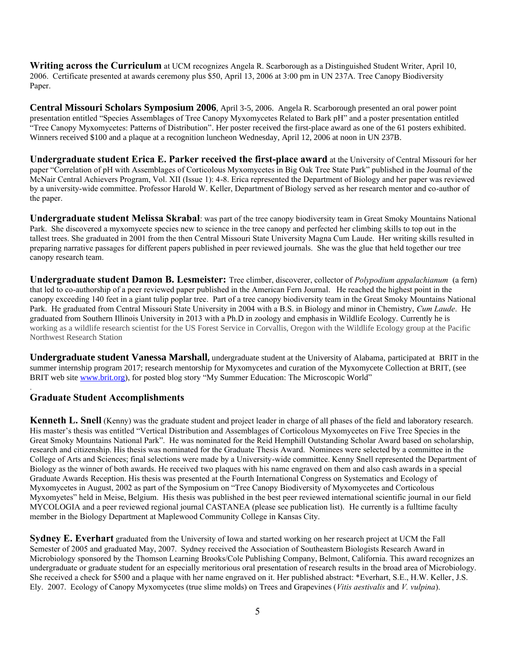**Writing across the Curriculum** at UCM recognizes Angela R. Scarborough as a Distinguished Student Writer, April 10, 2006. Certificate presented at awards ceremony plus \$50, April 13, 2006 at 3:00 pm in UN 237A. Tree Canopy Biodiversity Paper.

**Central Missouri Scholars Symposium 2006**, April 3-5, 2006. Angela R. Scarborough presented an oral power point presentation entitled "Species Assemblages of Tree Canopy Myxomycetes Related to Bark pH" and a poster presentation entitled "Tree Canopy Myxomycetes: Patterns of Distribution". Her poster received the first-place award as one of the 61 posters exhibited. Winners received \$100 and a plaque at a recognition luncheon Wednesday, April 12, 2006 at noon in UN 237B.

**Undergraduate student Erica E. Parker received the first-place award** at the University of Central Missouri for her paper "Correlation of pH with Assemblages of Corticolous Myxomycetes in Big Oak Tree State Park" published in the Journal of the McNair Central Achievers Program, Vol. XII (Issue 1): 4-8. Erica represented the Department of Biology and her paper was reviewed by a university-wide committee. Professor Harold W. Keller, Department of Biology served as her research mentor and co-author of the paper.

**Undergraduate student Melissa Skrabal**: was part of the tree canopy biodiversity team in Great Smoky Mountains National Park. She discovered a myxomycete species new to science in the tree canopy and perfected her climbing skills to top out in the tallest trees. She graduated in 2001 from the then Central Missouri State University Magna Cum Laude. Her writing skills resulted in preparing narrative passages for different papers published in peer reviewed journals. She was the glue that held together our tree canopy research team.

**Undergraduate student Damon B. Lesmeister:** Tree climber, discoverer, collector of *Polypodium appalachianum* (a fern) that led to co-authorship of a peer reviewed paper published in the American Fern Journal. He reached the highest point in the canopy exceeding 140 feet in a giant tulip poplar tree. Part of a tree canopy biodiversity team in the Great Smoky Mountains National Park. He graduated from Central Missouri State University in 2004 with a B.S. in Biology and minor in Chemistry, *Cum Laude*. He graduated from Southern Illinois University in 2013 with a Ph.D in zoology and emphasis in Wildlife Ecology. Currently he is working as a wildlife research scientist for the US Forest Service in Corvallis, Oregon with the Wildlife Ecology group at the Pacific Northwest Research Station

**Undergraduate student Vanessa Marshall,** undergraduate student at the University of Alabama, participated at BRIT in the summer internship program 2017; research mentorship for Myxomycetes and curation of the Myxomycete Collection at BRIT, (see BRIT web site [www.brit.org\)](http://www.brit.org/), for posted blog story "My Summer Education: The Microscopic World"

# **Graduate Student Accomplishments**

.

**Kenneth L. Snell** (Kenny) was the graduate student and project leader in charge of all phases of the field and laboratory research. His master's thesis was entitled "Vertical Distribution and Assemblages of Corticolous Myxomycetes on Five Tree Species in the Great Smoky Mountains National Park". He was nominated for the Reid Hemphill Outstanding Scholar Award based on scholarship, research and citizenship. His thesis was nominated for the Graduate Thesis Award. Nominees were selected by a committee in the College of Arts and Sciences; final selections were made by a University-wide committee. Kenny Snell represented the Department of Biology as the winner of both awards. He received two plaques with his name engraved on them and also cash awards in a special Graduate Awards Reception. His thesis was presented at the Fourth International Congress on Systematics and Ecology of Myxomycetes in August, 2002 as part of the Symposium on "Tree Canopy Biodiversity of Myxomycetes and Corticolous Myxomyetes" held in Meise, Belgium. His thesis was published in the best peer reviewed international scientific journal in our field MYCOLOGIA and a peer reviewed regional journal CASTANEA (please see publication list). He currently is a fulltime faculty member in the Biology Department at Maplewood Community College in Kansas City.

**Sydney E. Everhart** graduated from the University of Iowa and started working on her research project at UCM the Fall Semester of 2005 and graduated May, 2007. Sydney received the Association of Southeastern Biologists Research Award in Microbiology sponsored by the Thomson Learning Brooks/Cole Publishing Company, Belmont, California. This award recognizes an undergraduate or graduate student for an especially meritorious oral presentation of research results in the broad area of Microbiology. She received a check for \$500 and a plaque with her name engraved on it. Her published abstract: \*Everhart, S.E., H.W. Keller, J.S. Ely. 2007. Ecology of Canopy Myxomycetes (true slime molds) on Trees and Grapevines (*Vitis aestivalis* and *V. vulpina*).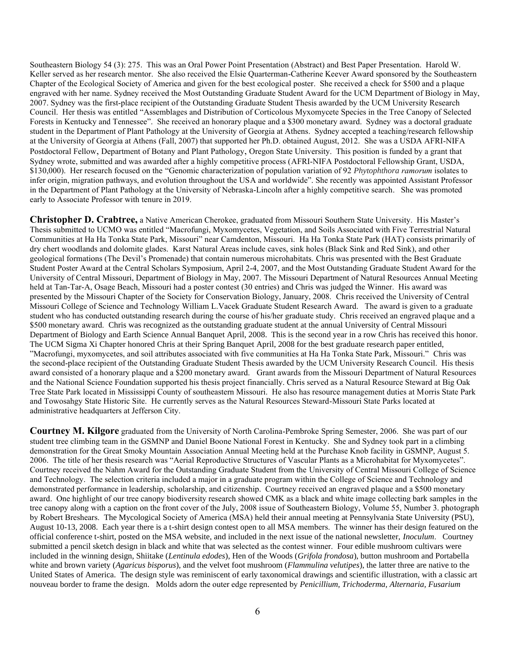Southeastern Biology 54 (3): 275. This was an Oral Power Point Presentation (Abstract) and Best Paper Presentation. Harold W. Keller served as her research mentor. She also received the Elsie Quarterman-Catherine Keever Award sponsored by the Southeastern Chapter of the Ecological Society of America and given for the best ecological poster. She received a check for \$500 and a plaque engraved with her name. Sydney received the Most Outstanding Graduate Student Award for the UCM Department of Biology in May, 2007. Sydney was the first-place recipient of the Outstanding Graduate Student Thesis awarded by the UCM University Research Council. Her thesis was entitled "Assemblages and Distribution of Corticolous Myxomycete Species in the Tree Canopy of Selected Forests in Kentucky and Tennessee". She received an honorary plaque and a \$300 monetary award. Sydney was a doctoral graduate student in the Department of Plant Pathology at the University of Georgia at Athens. Sydney accepted a teaching/research fellowship at the University of Georgia at Athens (Fall, 2007) that supported her Ph.D. obtained August, 2012. She was a USDA AFRI-NIFA Postdoctoral Fellow, Department of Botany and Plant Pathology, Oregon State University. This position is funded by a grant that Sydney wrote, submitted and was awarded after a highly competitive process (AFRI-NIFA Postdoctoral Fellowship Grant, USDA, \$130,000). Her research focused on the "Genomic characterization of population variation of 92 *Phytophthora ramorum* isolates to infer origin, migration pathways, and evolution throughout the USA and worldwide". She recently was appointed Assistant Professor in the Department of Plant Pathology at the University of Nebraska-Lincoln after a highly competitive search. She was promoted early to Associate Professor with tenure in 2019.

**Christopher D. Crabtree,** a Native American Cherokee, graduated from Missouri Southern State University. His Master's Thesis submitted to UCMO was entitled "Macrofungi, Myxomycetes, Vegetation, and Soils Associated with Five Terrestrial Natural Communities at Ha Ha Tonka State Park, Missouri" near Camdenton, Missouri. Ha Ha Tonka State Park (HAT) consists primarily of dry chert woodlands and dolomite glades. Karst Natural Areas include caves, sink holes (Black Sink and Red Sink), and other geological formations (The Devil's Promenade) that contain numerous microhabitats. Chris was presented with the Best Graduate Student Poster Award at the Central Scholars Symposium, April 2-4, 2007, and the Most Outstanding Graduate Student Award for the University of Central Missouri, Department of Biology in May, 2007. The Missouri Department of Natural Resources Annual Meeting held at Tan-Tar-A, Osage Beach, Missouri had a poster contest (30 entries) and Chris was judged the Winner. His award was presented by the Missouri Chapter of the Society for Conservation Biology, January, 2008. Chris received the University of Central Missouri College of Science and Technology William L.Vacek Graduate Student Research Award. The award is given to a graduate student who has conducted outstanding research during the course of his/her graduate study. Chris received an engraved plaque and a \$500 monetary award. Chris was recognized as the outstanding graduate student at the annual University of Central Missouri Department of Biology and Earth Science Annual Banquet April, 2008. This is the second year in a row Chris has received this honor. The UCM Sigma Xi Chapter honored Chris at their Spring Banquet April, 2008 for the best graduate research paper entitled, "Macrofungi, myxomycetes, and soil attributes associated with five communities at Ha Ha Tonka State Park, Missouri." Chris was the second-place recipient of the Outstanding Graduate Student Thesis awarded by the UCM University Research Council. His thesis award consisted of a honorary plaque and a \$200 monetary award. Grant awards from the Missouri Department of Natural Resources and the National Science Foundation supported his thesis project financially. Chris served as a Natural Resource Steward at Big Oak Tree State Park located in Mississippi County of southeastern Missouri. He also has resource management duties at Morris State Park and Towosahgy State Historic Site. He currently serves as the Natural Resources Steward-Missouri State Parks located at administrative headquarters at Jefferson City.

**Courtney M. Kilgore** graduated from the University of North Carolina-Pembroke Spring Semester, 2006. She was part of our student tree climbing team in the GSMNP and Daniel Boone National Forest in Kentucky. She and Sydney took part in a climbing demonstration for the Great Smoky Mountain Association Annual Meeting held at the Purchase Knob facility in GSMNP, August 5. 2006. The title of her thesis research was "Aerial Reproductive Structures of Vascular Plants as a Microhabitat for Myxomycetes". Courtney received the Nahm Award for the Outstanding Graduate Student from the University of Central Missouri College of Science and Technology. The selection criteria included a major in a graduate program within the College of Science and Technology and demonstrated performance in leadership, scholarship, and citizenship. Courtney received an engraved plaque and a \$500 monetary award. One highlight of our tree canopy biodiversity research showed CMK as a black and white image collecting bark samples in the tree canopy along with a caption on the front cover of the July, 2008 issue of Southeastern Biology, Volume 55, Number 3. photograph by Robert Breshears. The Mycological Society of America (MSA) held their annual meeting at Pennsylvania State University (PSU), August 10-13, 2008. Each year there is a t-shirt design contest open to all MSA members. The winner has their design featured on the official conference t-shirt, posted on the MSA website, and included in the next issue of the national newsletter, *Inoculum*. Courtney submitted a pencil sketch design in black and white that was selected as the contest winner. Four edible mushroom cultivars were included in the winning design, Shiitake (*Lentinula edodes*), Hen of the Woods (*Grifola frondosa*), button mushroom and Portabella white and brown variety (*Agaricus bisporus*), and the velvet foot mushroom (*Flammulina velutipes*), the latter three are native to the United States of America. The design style was reminiscent of early taxonomical drawings and scientific illustration, with a classic art nouveau border to frame the design. Molds adorn the outer edge represented by *Penicillium, Trichoderma, Alternaria, Fusarium*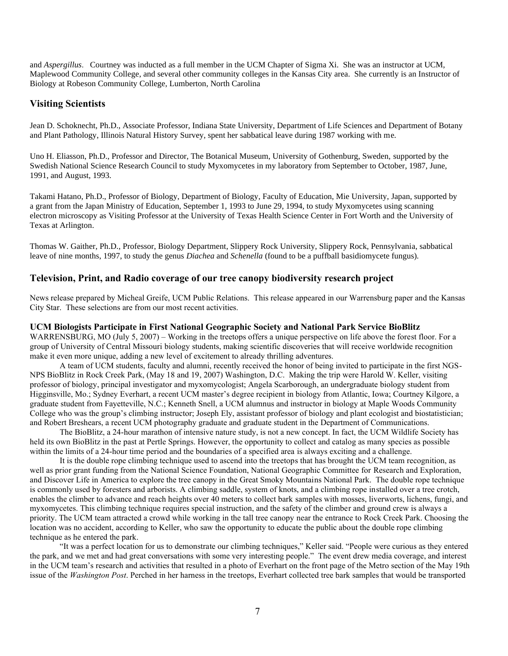and *Aspergillus*. Courtney was inducted as a full member in the UCM Chapter of Sigma Xi. She was an instructor at UCM, Maplewood Community College, and several other community colleges in the Kansas City area. She currently is an Instructor of Biology at Robeson Community College, Lumberton, North Carolina

### **Visiting Scientists**

Jean D. Schoknecht, Ph.D., Associate Professor, Indiana State University, Department of Life Sciences and Department of Botany and Plant Pathology, Illinois Natural History Survey, spent her sabbatical leave during 1987 working with me.

Uno H. Eliasson, Ph.D., Professor and Director, The Botanical Museum, University of Gothenburg, Sweden, supported by the Swedish National Science Research Council to study Myxomycetes in my laboratory from September to October, 1987, June, 1991, and August, 1993.

Takami Hatano, Ph.D., Professor of Biology, Department of Biology, Faculty of Education, Mie University, Japan, supported by a grant from the Japan Ministry of Education, September 1, 1993 to June 29, 1994, to study Myxomycetes using scanning electron microscopy as Visiting Professor at the University of Texas Health Science Center in Fort Worth and the University of Texas at Arlington.

Thomas W. Gaither, Ph.D., Professor, Biology Department, Slippery Rock University, Slippery Rock, Pennsylvania, sabbatical leave of nine months, 1997, to study the genus *Diachea* and *Schenella* (found to be a puffball basidiomycete fungus)*.* 

### **Television, Print, and Radio coverage of our tree canopy biodiversity research project**

News release prepared by Micheal Greife, UCM Public Relations. This release appeared in our Warrensburg paper and the Kansas City Star. These selections are from our most recent activities.

#### **UCM Biologists Participate in First National Geographic Society and National Park Service BioBlitz**

WARRENSBURG, MO (July 5, 2007) – Working in the treetops offers a unique perspective on life above the forest floor. For a group of University of Central Missouri biology students, making scientific discoveries that will receive worldwide recognition make it even more unique, adding a new level of excitement to already thrilling adventures.

A team of UCM students, faculty and alumni, recently received the honor of being invited to participate in the first NGS-NPS BioBlitz in Rock Creek Park, (May 18 and 19, 2007) Washington, D.C. Making the trip were Harold W. Keller, visiting professor of biology, principal investigator and myxomycologist; Angela Scarborough, an undergraduate biology student from Higginsville, Mo.; Sydney Everhart, a recent UCM master's degree recipient in biology from Atlantic, Iowa; Courtney Kilgore, a graduate student from Fayetteville, N.C.; Kenneth Snell, a UCM alumnus and instructor in biology at Maple Woods Community College who was the group's climbing instructor; Joseph Ely, assistant professor of biology and plant ecologist and biostatistician; and Robert Breshears, a recent UCM photography graduate and graduate student in the Department of Communications.

The BioBlitz, a 24-hour marathon of intensive nature study, is not a new concept. In fact, the UCM Wildlife Society has held its own BioBlitz in the past at Pertle Springs. However, the opportunity to collect and catalog as many species as possible within the limits of a 24-hour time period and the boundaries of a specified area is always exciting and a challenge.

It is the double rope climbing technique used to ascend into the treetops that has brought the UCM team recognition, as well as prior grant funding from the National Science Foundation, National Geographic Committee for Research and Exploration, and Discover Life in America to explore the tree canopy in the Great Smoky Mountains National Park. The double rope technique is commonly used by foresters and arborists. A climbing saddle, system of knots, and a climbing rope installed over a tree crotch, enables the climber to advance and reach heights over 40 meters to collect bark samples with mosses, liverworts, lichens, fungi, and myxomycetes. This climbing technique requires special instruction, and the safety of the climber and ground crew is always a priority. The UCM team attracted a crowd while working in the tall tree canopy near the entrance to Rock Creek Park. Choosing the location was no accident, according to Keller, who saw the opportunity to educate the public about the double rope climbing technique as he entered the park.

"It was a perfect location for us to demonstrate our climbing techniques," Keller said. "People were curious as they entered the park, and we met and had great conversations with some very interesting people." The event drew media coverage, and interest in the UCM team's research and activities that resulted in a photo of Everhart on the front page of the Metro section of the May 19th issue of the *Washington Post*. Perched in her harness in the treetops, Everhart collected tree bark samples that would be transported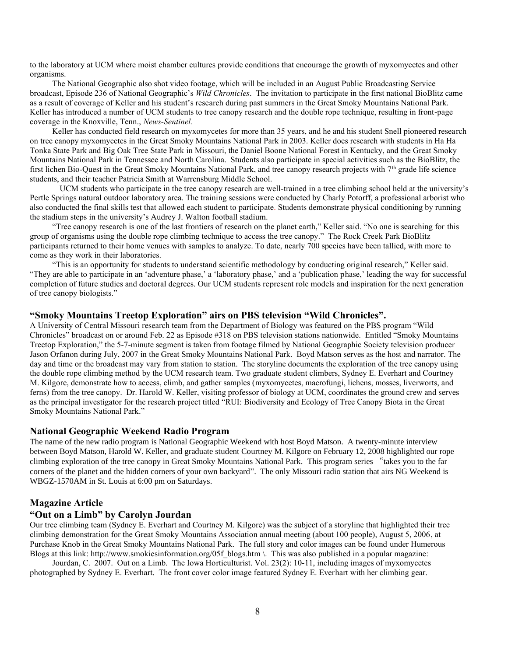to the laboratory at UCM where moist chamber cultures provide conditions that encourage the growth of myxomycetes and other organisms.

The National Geographic also shot video footage, which will be included in an August Public Broadcasting Service broadcast, Episode 236 of National Geographic's *Wild Chronicles*. The invitation to participate in the first national BioBlitz came as a result of coverage of Keller and his student's research during past summers in the Great Smoky Mountains National Park. Keller has introduced a number of UCM students to tree canopy research and the double rope technique, resulting in front-page coverage in the Knoxville, Tenn., *News-Sentinel.*

Keller has conducted field research on myxomycetes for more than 35 years, and he and his student Snell pioneered research on tree canopy myxomycetes in the Great Smoky Mountains National Park in 2003. Keller does research with students in Ha Ha Tonka State Park and Big Oak Tree State Park in Missouri, the Daniel Boone National Forest in Kentucky, and the Great Smoky Mountains National Park in Tennessee and North Carolina. Students also participate in special activities such as the BioBlitz, the first lichen Bio-Quest in the Great Smoky Mountains National Park, and tree canopy research projects with 7th grade life science students, and their teacher Patricia Smith at Warrensburg Middle School.

UCM students who participate in the tree canopy research are well-trained in a tree climbing school held at the university's Pertle Springs natural outdoor laboratory area. The training sessions were conducted by Charly Potorff, a professional arborist who also conducted the final skills test that allowed each student to participate. Students demonstrate physical conditioning by running the stadium steps in the university's Audrey J. Walton football stadium.

"Tree canopy research is one of the last frontiers of research on the planet earth," Keller said. "No one is searching for this group of organisms using the double rope climbing technique to access the tree canopy." The Rock Creek Park BioBlitz participants returned to their home venues with samples to analyze. To date, nearly 700 species have been tallied, with more to come as they work in their laboratories.

"This is an opportunity for students to understand scientific methodology by conducting original research," Keller said. "They are able to participate in an 'adventure phase,' a 'laboratory phase,' and a 'publication phase,' leading the way for successful completion of future studies and doctoral degrees. Our UCM students represent role models and inspiration for the next generation of tree canopy biologists."

#### **"Smoky Mountains Treetop Exploration" airs on PBS television "Wild Chronicles".**

A University of Central Missouri research team from the Department of Biology was featured on the PBS program "Wild Chronicles" broadcast on or around Feb. 22 as Episode #318 on PBS television stations nationwide. Entitled "Smoky Mountains Treetop Exploration," the 5-7-minute segment is taken from footage filmed by National Geographic Society television producer Jason Orfanon during July, 2007 in the Great Smoky Mountains National Park. Boyd Matson serves as the host and narrator. The day and time or the broadcast may vary from station to station. The storyline documents the exploration of the tree canopy using the double rope climbing method by the UCM research team. Two graduate student climbers, Sydney E. Everhart and Courtney M. Kilgore, demonstrate how to access, climb, and gather samples (myxomycetes, macrofungi, lichens, mosses, liverworts, and ferns) from the tree canopy. Dr. Harold W. Keller, visiting professor of biology at UCM, coordinates the ground crew and serves as the principal investigator for the research project titled "RUI: Biodiversity and Ecology of Tree Canopy Biota in the Great Smoky Mountains National Park."

#### **National Geographic Weekend Radio Program**

The name of the new radio program is National Geographic Weekend with host Boyd Matson. A twenty-minute interview between Boyd Matson, Harold W. Keller, and graduate student Courtney M. Kilgore on February 12, 2008 highlighted our rope climbing exploration of the tree canopy in Great Smoky Mountains National Park. This program series "takes you to the far corners of the planet and the hidden corners of your own backyard". The only Missouri radio station that airs NG Weekend is WBGZ-1570AM in St. Louis at 6:00 pm on Saturdays.

#### **Magazine Article**

#### **"Out on a Limb" by Carolyn Jourdan**

Our tree climbing team (Sydney E. Everhart and Courtney M. Kilgore) was the subject of a storyline that highlighted their tree climbing demonstration for the Great Smoky Mountains Association annual meeting (about 100 people), August 5, 2006, at Purchase Knob in the Great Smoky Mountains National Park. The full story and color images can be found under Humerous Blogs at this link: [http://www.smokiesinformation.org/05f\\_blogs.htm](http://www.smokiesinformation.org/05f_blogs.htm%20/) \. This was also published in a popular magazine:

Jourdan, C. 2007. Out on a Limb. The Iowa Horticulturist. Vol. 23(2): 10-11, including images of myxomycetes photographed by Sydney E. Everhart. The front cover color image featured Sydney E. Everhart with her climbing gear.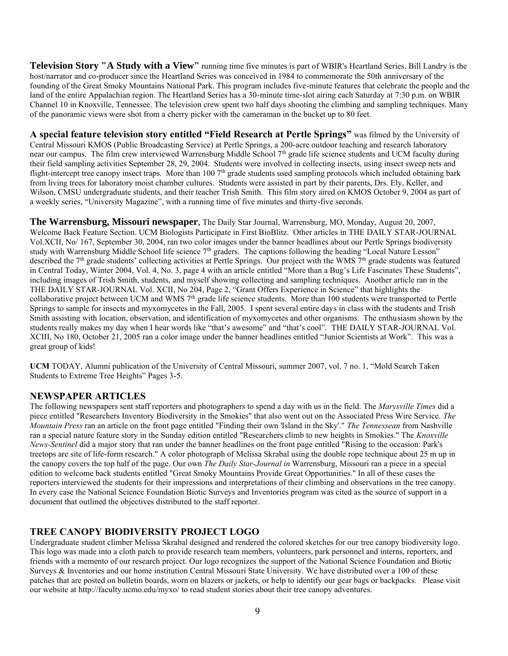**Television Story "A Study with a View"** running time five minutes is part of WBIR's Heartland Series. Bill Landry is the host/narrator and co-producer since the Heartland Series was conceived in 1984 to commemorate the 50th anniversary of the founding of the Great Smoky Mountains National Park. This program includes five-minute features that celebrate the people and the land of the entire Appalachian region. The Heartland Series has a 30-minute time-slot airing each Saturday at 7:30 p.m. on WBIR Channel 10 in Knoxville, Tennessee. The television crew spent two half days shooting the climbing and sampling techniques. Many of the panoramic views were shot from a cherry picker with the cameraman in the bucket up to 80 feet.

**A special feature television story entitled "Field Research at Pertle Springs"** was filmed by the University of Central Missouri KMOS (Public Broadcasting Service) at Pertle Springs, a 200-acre outdoor teaching and research laboratory near our campus. The film crew interviewed Warrensburg Middle School 7<sup>th</sup> grade life science students and UCM faculty during their field sampling activities September 28, 29, 2004. Students were involved in collecting insects, using insect sweep nets and flight-intercept tree canopy insect traps. More than 100 7<sup>th</sup> grade students used sampling protocols which included obtaining bark from living trees for laboratory moist chamber cultures. Students were assisted in part by their parents, Drs. Ely, Keller, and Wilson, CMSU undergraduate students, and their teacher Trish Smith. This film story aired on KMOS October 9, 2004 as part of a weekly series, "University Magazine", with a running time of five minutes and thirty-five seconds.

**The Warrensburg, Missouri newspaper**, The Daily Star Journal, Warrensburg, MO, Monday, August 20, 2007, Welcome Back Feature Section. UCM Biologists Participate in First BioBlitz. Other articles in THE DAILY STAR-JOURNAL Vol.XCII, No/ 167, September 30, 2004, ran two color images under the banner headlines about our Pertle Springs biodiversity study with Warrensburg Middle School life science 7<sup>th</sup> graders. The captions following the heading "Local Nature Lesson" described the 7<sup>th</sup> grade students' collecting activities at Pertle Springs. Our project with the WMS 7<sup>th</sup> grade students was featured in Central Today, Winter 2004, Vol. 4, No. 3, page 4 with an article entitled "More than a Bug's Life Fascinates These Students", including images of Trish Smith, students, and myself showing collecting and sampling techniques. Another article ran in the THE DAILY STAR-JOURNAL Vol. XCII, No 204, Page 2, "Grant Offers Experience in Science" that highlights the collaborative project between UCM and WMS 7<sup>th</sup> grade life science students. More than 100 students were transported to Pertle Springs to sample for insects and myxomycetes in the Fall, 2005. I spent several entire days in class with the students and Trish Smith assisting with location, observation, and identification of myxomycetes and other organisms. The enthusiasm shown by the students really makes my day when I hear words like "that's awesome" and "that's cool". THE DAILY STAR-JOURNAL Vol. XCIII, No 180, October 21, 2005 ran a color image under the banner headlines entitled "Junior Scientists at Work". This was a great group of kids!

**UCM** TODAY, Alumni publication of the University of Central Missouri, summer 2007, vol. 7 no. 1, "Mold Search Taken Students to Extreme Tree Heights" Pages 3-5.

# **NEWSPAPER ARTICLES**

The following newspapers sent staff reporters and photographers to spend a day with us in the field. The *Marysville Times* did a piece entitled "Researchers Inventory Biodiversity in the Smokies" that also went out on the Associated Press Wire Service. *The Mountain Press* ran an article on the front page entitled "Finding their own 'Island in the Sky'." *The Tennessean* from Nashville ran a special nature feature story in the Sunday edition entitled "Researchers climb to new heights in Smokies." The *Knoxville News-Sentinel* did a major story that ran under the banner headlines on the front page entitled "Rising to the occasion: Park's treetops are site of life-form research." A color photograph of Melissa Skrabal using the double rope technique about 25 m up in the canopy covers the top half of the page. Our own *The Daily Star-Journal in* Warrensburg, Missouri ran a piece in a special edition to welcome back students entitled "Great Smoky Mountains Provide Great Opportunities." In all of these cases the reporters interviewed the students for their impressions and interpretations of their climbing and observations in the tree canopy. In every case the National Science Foundation Biotic Surveys and Inventories program was cited as the source of support in a document that outlined the objectives distributed to the staff reporter.

# **TREE CANOPY BIODIVERSITY PROJECT LOGO**

Undergraduate student climber Melissa Skrabal designed and rendered the colored sketches for our [tree canopy biodiversity logo.](http://faculty.ucmo.edu/myxo/official_patch.htm) This logo was made into a cloth patch to provide research team members, volunteers, park personnel and interns, reporters, and friends with a memento of our research project. Our logo recognizes the support of the National Science Foundation and Biotic Surveys & Inventories and our home institution Central Missouri State University. We have distributed over a 100 of these patches that are posted on bulletin boards, worn on blazers or jackets, or help to identify our gear bags or backpacks. Please visit our website a[t http://faculty.ucmo.edu/myxo/](http://faculty.ucmo.edu/myxo/) to read student stories about their tree canopy adventures.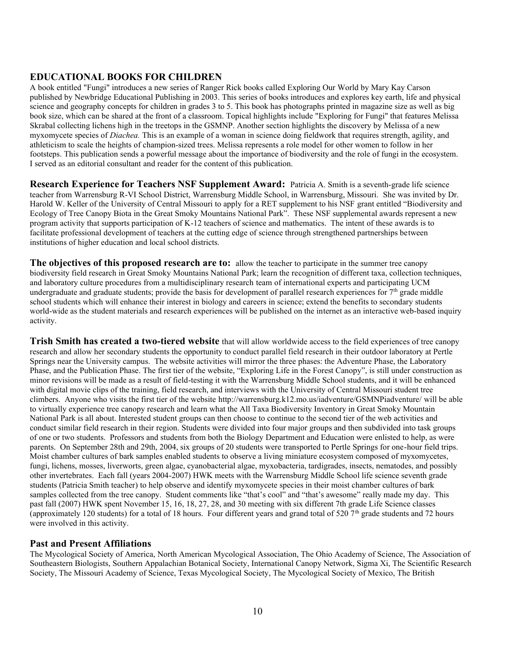# **EDUCATIONAL BOOKS FOR CHILDREN**

A book entitled "Fungi" introduces a new series of Ranger Rick books called Exploring Our World by Mary Kay Carson published by Newbridge Educational Publishing in 2003. This series of books introduces and explores key earth, life and physical science and geography concepts for children in grades 3 to 5. This book has photographs printed in magazine size as well as big book size, which can be shared at the front of a classroom. Topical highlights include "Exploring for Fungi" that features Melissa Skrabal collecting lichens high in the treetops in the GSMNP. Another section highlights the discovery by Melissa of a new myxomycete species of *Diachea.* This is an example of a woman in science doing fieldwork that requires strength, agility, and athleticism to scale the heights of champion-sized trees. Melissa represents a role model for other women to follow in her footsteps. This publication sends a powerful message about the importance of biodiversity and the role of fungi in the ecosystem. I served as an editorial consultant and reader for the content of this publication.

**Research Experience for Teachers NSF Supplement Award:** Patricia A. Smith is a seventh-grade life science teacher from Warrensburg R-VI School District, Warrensburg Middle School, in Warrensburg, Missouri. She was invited by Dr. Harold W. Keller of the University of Central Missouri to apply for a RET supplement to his NSF grant entitled "Biodiversity and Ecology of Tree Canopy Biota in the Great Smoky Mountains National Park". These NSF supplemental awards represent a new program activity that supports participation of K-12 teachers of science and mathematics. The intent of these awards is to facilitate professional development of teachers at the cutting edge of science through strengthened partnerships between institutions of higher education and local school districts.

**The objectives of this proposed research are to:** allow the teacher to participate in the summer tree canopy biodiversity field research in Great Smoky Mountains National Park; learn the recognition of different taxa, collection techniques, and laboratory culture procedures from a multidisciplinary research team of international experts and participating UCM undergraduate and graduate students; provide the basis for development of parallel research experiences for  $7<sup>th</sup>$  grade middle school students which will enhance their interest in biology and careers in science; extend the benefits to secondary students world-wide as the student materials and research experiences will be published on the internet as an interactive web-based inquiry activity.

**Trish Smith has created a two-tiered website** that will allow worldwide access to the field experiences of tree canopy research and allow her secondary students the opportunity to conduct parallel field research in their outdoor laboratory at Pertle Springs near the University campus. The website activities will mirror the three phases: the Adventure Phase, the Laboratory Phase, and the Publication Phase. The first tier of the website, "Exploring Life in the Forest Canopy", is still under construction as minor revisions will be made as a result of field-testing it with the Warrensburg Middle School students, and it will be enhanced with digital movie clips of the training, field research, and interviews with the University of Central Missouri student tree climbers. Anyone who visits the first tier of the website<http://warrensburg.k12.mo.us/iadventure/GSMNPiadventure/> will be able to virtually experience tree canopy research and learn what the All Taxa Biodiversity Inventory in Great Smoky Mountain National Park is all about. Interested student groups can then choose to continue to the second tier of the web activities and conduct similar field research in their region. Students were divided into four major groups and then subdivided into task groups of one or two students. Professors and students from both the Biology Department and Education were enlisted to help, as were parents. On September 28th and 29th, 2004, six groups of 20 students were transported to Pertle Springs for one-hour field trips. Moist chamber cultures of bark samples enabled students to observe a living miniature ecosystem composed of myxomycetes, fungi, lichens, mosses, liverworts, green algae, cyanobacterial algae, myxobacteria, tardigrades, insects, nematodes, and possibly other invertebrates. Each fall (years 2004-2007) HWK meets with the Warrensburg Middle School life science seventh grade students (Patricia Smith teacher) to help observe and identify myxomycete species in their moist chamber cultures of bark samples collected from the tree canopy. Student comments like "that's cool" and "that's awesome" really made my day. This past fall (2007) HWK spent November 15, 16, 18, 27, 28, and 30 meeting with six different 7th grade Life Science classes (approximately 120 students) for a total of 18 hours. Four different years and grand total of 520  $7<sup>th</sup>$  grade students and 72 hours were involved in this activity.

# **Past and Present Affiliations**

The Mycological Society of America, North American Mycological Association, The Ohio Academy of Science, The Association of Southeastern Biologists, Southern Appalachian Botanical Society, International Canopy Network, Sigma Xi, The Scientific Research Society, The Missouri Academy of Science, Texas Mycological Society, The Mycological Society of Mexico, The British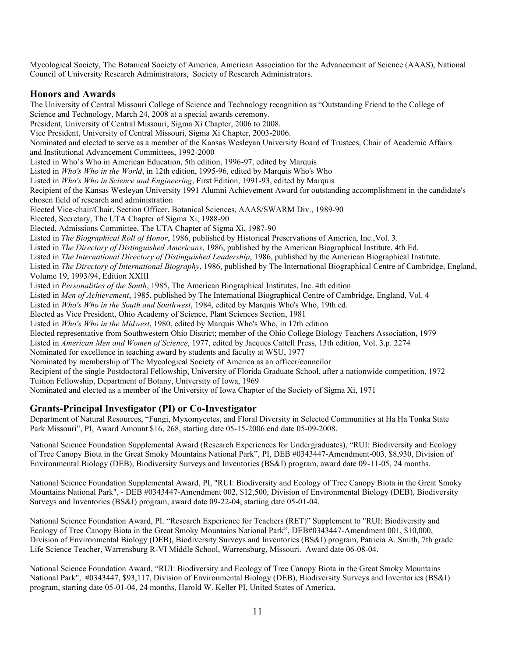Mycological Society, The Botanical Society of America, American Association for the Advancement of Science (AAAS), National Council of University Research Administrators, Society of Research Administrators.

# **Honors and Awards**

The University of Central Missouri College of Science and Technology recognition as "Outstanding Friend to the College of Science and Technology, March 24, 2008 at a special awards ceremony. President, University of Central Missouri, Sigma Xi Chapter, 2006 to 2008. Vice President, University of Central Missouri, Sigma Xi Chapter, 2003-2006. Nominated and elected to serve as a member of the Kansas Wesleyan University Board of Trustees, Chair of Academic Affairs and Institutional Advancement Committees, 1992-2000 Listed in Who's Who in American Education, 5th edition, 1996-97, edited by Marquis Listed in *Who's Who in the World*, in 12th edition, 1995-96, edited by Marquis Who's Who Listed in *Who's Who in Science and Engineering*, First Edition, 1991-93, edited by Marquis Recipient of the Kansas Wesleyan University 1991 Alumni Achievement Award for outstanding accomplishment in the candidate's chosen field of research and administration Elected Vice-chair/Chair, Section Officer, Botanical Sciences, AAAS/SWARM Div., 1989-90 Elected, Secretary, The UTA Chapter of Sigma Xi, 1988-90 Elected, Admissions Committee, The UTA Chapter of Sigma Xi, 1987-90 Listed in *The Biographical Roll of Honor*, 1986, published by Historical Preservations of America, Inc.,Vol. 3. Listed in *The Directory of Distinguished Americans*, 1986, published by the American Biographical Institute, 4th Ed. Listed in *The International Directory of Distinguished Leadership*, 1986, published by the American Biographical Institute. Listed in *The Directory of International Biography*, 1986, published by The International Biographical Centre of Cambridge, England, Volume 19, 1993/94, Edition XXIII Listed in *Personalities of the South*, 1985, The American Biographical Institutes, Inc. 4th edition Listed in *Men of Achievement*, 1985, published by The International Biographical Centre of Cambridge, England, Vol. 4 Listed in *Who's Who in the South and Southwest*, 1984, edited by Marquis Who's Who, 19th ed. Elected as Vice President, Ohio Academy of Science, Plant Sciences Section, 1981 Listed in *Who's Who in the Midwest*, 1980, edited by Marquis Who's Who, in 17th edition Elected representative from Southwestern Ohio District; member of the Ohio College Biology Teachers Association, 1979 Listed in *American Men and Women of Science*, 1977, edited by Jacques Cattell Press, 13th edition, Vol. 3.p. 2274 Nominated for excellence in teaching award by students and faculty at WSU, 1977 Nominated by membership of The Mycological Society of America as an officer/councilor Recipient of the single Postdoctoral Fellowship, University of Florida Graduate School, after a nationwide competition, 1972 Tuition Fellowship, Department of Botany, University of Iowa, 1969

Nominated and elected as a member of the University of Iowa Chapter of the Society of Sigma Xi, 1971

# **Grants-Principal Investigator (PI) or Co-Investigator**

Department of Natural Resources, "Fungi, Myxomycetes, and Floral Diversity in Selected Communities at Ha Ha Tonka State Park Missouri", PI, Award Amount \$16, 268, starting date 05-15-2006 end date 05-09-2008.

National Science Foundation Supplemental Award (Research Experiences for Undergraduates), "RUI: Biodiversity and Ecology of Tree Canopy Biota in the Great Smoky Mountains National Park", PI, DEB #0343447-Amendment-003, \$8,930, Division of Environmental Biology (DEB), Biodiversity Surveys and Inventories (BS&I) program, award date 09-11-05, 24 months.

National Science Foundation Supplemental Award, PI, "RUI: Biodiversity and Ecology of Tree Canopy Biota in the Great Smoky Mountains National Park", - DEB #0343447-Amendment 002, \$12,500, Division of Environmental Biology (DEB), Biodiversity Surveys and Inventories (BS&I) program, award date 09-22-04, starting date 05-01-04.

National Science Foundation Award, PI. "Research Experience for Teachers (RET)" Supplement to "RUI: Biodiversity and Ecology of Tree Canopy Biota in the Great Smoky Mountains National Park", DEB#0343447-Amendment 001, \$10,000, Division of Environmental Biology (DEB), Biodiversity Surveys and Inventories (BS&I) program, Patricia A. Smith, 7th grade Life Science Teacher, Warrensburg R-VI Middle School, Warrensburg, Missouri. Award date 06-08-04.

National Science Foundation Award, "RUI: Biodiversity and Ecology of Tree Canopy Biota in the Great Smoky Mountains National Park", #0343447, \$93,117, Division of Environmental Biology (DEB), Biodiversity Surveys and Inventories (BS&I) program, starting date 05-01-04, 24 months, Harold W. Keller PI, United States of America.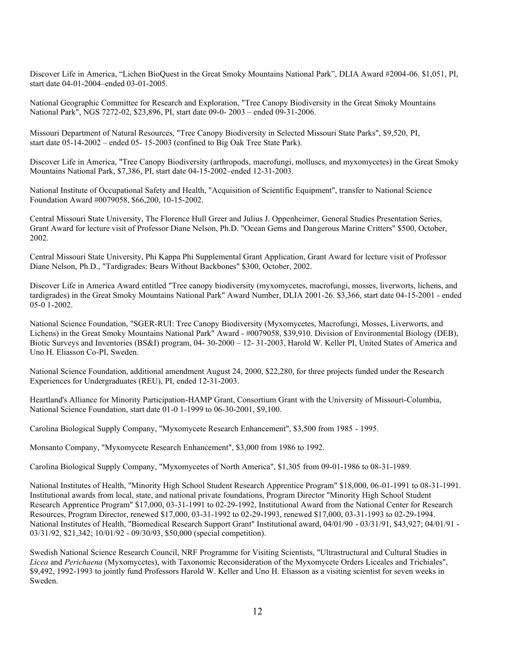Discover Life in America, "Lichen BioQuest in the Great Smoky Mountains National Park", DLIA Award #2004-06. \$1,051, PI, start date 04-01-2004–ended 03-01-2005.

National Geographic Committee for Research and Exploration, "Tree Canopy Biodiversity in the Great Smoky Mountains National Park", NGS 7272-02, \$23,896, PI, start date 09-0- 2003 – ended 09-31-2006.

Missouri Department of Natural Resources, "Tree Canopy Biodiversity in Selected Missouri State Parks", \$9,520, PI, start date 05-14-2002 – ended 05- 15-2003 (confined to Big Oak Tree State Park).

Discover Life in America, "Tree Canopy Biodiversity (arthropods, macrofungi, molluscs, and myxomycetes) in the Great Smoky Mountains National Park, \$7,386, PI, start date 04-15-2002–ended 12-31-2003.

National Institute of Occupational Safety and Health, "Acquisition of Scientific Equipment", transfer to National Science Foundation Award #0079058, \$66,200, 10-15-2002.

Central Missouri State University, The Florence Hull Greer and Julius J. Oppenheimer, General Studies Presentation Series, Grant Award for lecture visit of Professor Diane Nelson, Ph.D. "Ocean Gems and Dangerous Marine Critters" \$500, October, 2002.

Central Missouri State University, Phi Kappa Phi Supplemental Grant Application, Grant Award for lecture visit of Professor Diane Nelson, Ph.D., "Tardigrades: Bears Without Backbones" \$300, October, 2002.

Discover Life in America Award entitled "Tree canopy biodiversity (myxomycetes, macrofungi, mosses, liverworts, lichens, and tardigrades) in the Great Smoky Mountains National Park" Award Number, DLIA 2001-26. \$3,366, start date 04-15-2001 - ended 05-0 1-2002.

National Science Foundation, "SGER-RUI: Tree Canopy Biodiversity (Myxomycetes, Macrofungi, Mosses, Liverworts, and Lichens) in the Great Smoky Mountains National Park" Award - #0079058, \$39,910. Division of Environmental Biology (DEB), Biotic Surveys and Inventories (BS&I) program, 04- 30-2000 – 12- 31-2003, Harold W. Keller PI, United States of America and Uno H. Eliasson Co-PI, Sweden.

National Science Foundation, additional amendment August 24, 2000, \$22,280, for three projects funded under the Research Experiences for Undergraduates (REU), PI, ended 12-31-2003.

Heartland's Alliance for Minority Participation-HAMP Grant, Consortium Grant with the University of Missouri-Columbia, National Science Foundation, start date 01-0 1-1999 to 06-30-2001, \$9,100.

Carolina Biological Supply Company, "Myxomycete Research Enhancement", \$3,500 from 1985 - 1995.

Monsanto Company, "Myxomycete Research Enhancement", \$3,000 from 1986 to 1992.

Carolina Biological Supply Company, "Myxomycetes of North America", \$1,305 from 09-01-1986 to 08-31-1989.

National Institutes of Health, "Minority High School Student Research Apprentice Program" \$18,000, 06-01-1991 to 08-31-1991. Institutional awards from local, state, and national private foundations, Program Director "Minority High School Student Research Apprentice Program" \$17,000, 03-31-1991 to 02-29-1992, Institutional Award from the National Center for Research Resources, Program Director, renewed \$17,000, 03-31-1992 to 02-29-1993, renewed \$17,000, 03-31-1993 to 02-29-1994. National Institutes of Health, "Biomedical Research Support Grant" Institutional award, 04/01/90 - 03/31/91, \$43,927; 04/01/91 - 03/31/92, \$21,342; 10/01/92 - 09/30/93, \$50,000 (special competition).

Swedish National Science Research Council, NRF Programme for Visiting Scientists, "Ultrastructural and Cultural Studies in *Licea* and *Perichaena* (Myxomycetes), with Taxonomic Reconsideration of the Myxomycete Orders Liceales and Trichiales", \$9,492, 1992-1993 to jointly fund Professors Harold W. Keller and Uno H. Eliasson as a visiting scientist for seven weeks in Sweden.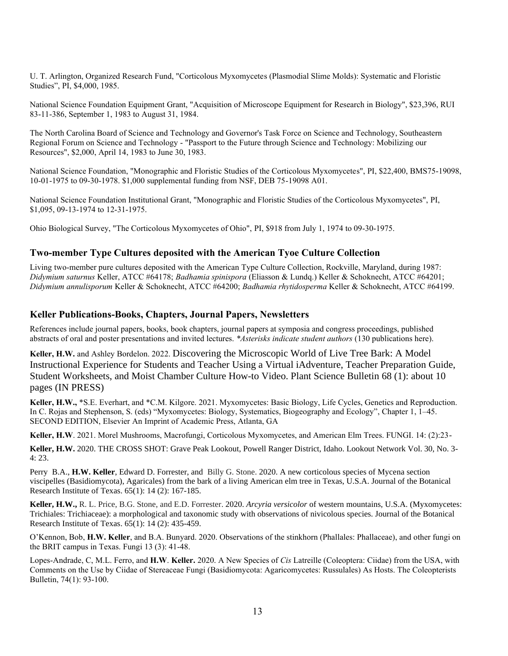U. T. Arlington, Organized Research Fund, "Corticolous Myxomycetes (Plasmodial Slime Molds): Systematic and Floristic Studies", PI, \$4,000, 1985.

National Science Foundation Equipment Grant, "Acquisition of Microscope Equipment for Research in Biology", \$23,396, RUI 83-11-386, September 1, 1983 to August 31, 1984.

The North Carolina Board of Science and Technology and Governor's Task Force on Science and Technology, Southeastern Regional Forum on Science and Technology - "Passport to the Future through Science and Technology: Mobilizing our Resources", \$2,000, April 14, 1983 to June 30, 1983.

National Science Foundation, "Monographic and Floristic Studies of the Corticolous Myxomycetes", PI, \$22,400, BMS75-19098, 10-01-1975 to 09-30-1978. \$1,000 supplemental funding from NSF, DEB 75-19098 A01.

National Science Foundation Institutional Grant, "Monographic and Floristic Studies of the Corticolous Myxomycetes", PI, \$1,095, 09-13-1974 to 12-31-1975.

Ohio Biological Survey, "The Corticolous Myxomycetes of Ohio", PI, \$918 from July 1, 1974 to 09-30-1975.

### **Two-member Type Cultures deposited with the American Tyoe Culture Collection**

Living two-member pure cultures deposited with the American Type Culture Collection, Rockville, Maryland, during 1987: *Didymium saturnus* Keller, ATCC #64178; *Badhamia spinispora* (Eliasson & Lundq.) Keller & Schoknecht, ATCC #64201; *Didymium annulisporum* Keller & Schoknecht, ATCC #64200; *Badhamia rhytidosperma* Keller & Schoknecht, ATCC #64199.

#### **Keller Publications-Books, Chapters, Journal Papers, Newsletters**

References include journal papers, books, book chapters, journal papers at symposia and congress proceedings, published abstracts of oral and poster presentations and invited lectures. *\*Asterisks indicate student authors* (130 publications here).

**Keller, H.W.** and Ashley Bordelon. 2022. Discovering the Microscopic World of Live Tree Bark: A Model Instructional Experience for Students and Teacher Using a Virtual iAdventure, Teacher Preparation Guide, Student Worksheets, and Moist Chamber Culture How-to Video. Plant Science Bulletin 68 (1): about 10 pages (IN PRESS)

**Keller, H.W.,** \*S.E. Everhart, and \*C.M. Kilgore. 2021. Myxomycetes: Basic Biology, Life Cycles, Genetics and Reproduction. In C. Rojas and Stephenson, S. (eds) "Myxomycetes: Biology, Systematics, Biogeography and Ecology", Chapter 1, 1–45. SECOND EDITION, Elsevier An Imprint of Academic Press, Atlanta, GA

**Keller, H.W**. 2021. Morel Mushrooms, Macrofungi, Corticolous Myxomycetes, and American Elm Trees. FUNGI. 14: (2):23-

**Keller, H.W.** 2020. THE CROSS SHOT: Grave Peak Lookout, Powell Ranger District, Idaho. Lookout Network Vol. 30, No. 3- 4: 23.

Perry B.A., **H.W. Keller**, Edward D. Forrester, and Billy G. Stone. 2020. A new corticolous species of Mycena section viscipelles (Basidiomycota), Agaricales) from the bark of a living American elm tree in Texas, U.S.A. Journal of the Botanical Research Institute of Texas. 65(1): 14 (2): 167-185.

**Keller, H.W.,** R. L. Price, B.G. Stone, and E.D. Forrester. 2020. *Arcyria versicolor* of western mountains, U.S.A. (Myxomycetes: Trichiales: Trichiaceae): a morphological and taxonomic study with observations of nivicolous species. Journal of the Botanical Research Institute of Texas. 65(1): 14 (2): 435-459.

O'Kennon, Bob, **H.W. Keller**, and B.A. Bunyard. 2020. Observations of the stinkhorn (Phallales: Phallaceae), and other fungi on the BRIT campus in Texas. Fungi 13 (3): 41-48.

Lopes-Andrade, C, M.L. Ferro, and **H.W**. **Keller.** 2020. A New Species of *Cis* Latreille (Coleoptera: Ciidae) from the USA, with Comments on the Use by Ciidae of Stereaceae Fungi (Basidiomycota: Agaricomycetes: Russulales) As Hosts. The Coleopterists Bulletin, 74(1): 93-100.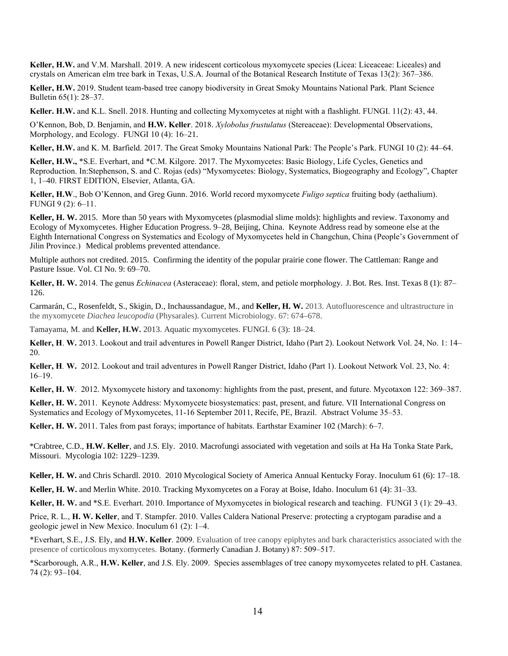**Keller, H.W.** and V.M. Marshall. 2019. A new iridescent corticolous myxomycete species (Licea: Liceaceae: Liceales) and crystals on American elm tree bark in Texas, U.S.A. Journal of the Botanical Research Institute of Texas 13(2): 367–386.

**Keller, H.W.** 2019. Student team-based tree canopy biodiversity in Great Smoky Mountains National Park. Plant Science Bulletin 65(1): 28–37.

**Keller. H.W.** and K.L. Snell. 2018. Hunting and collecting Myxomycetes at night with a flashlight. FUNGI. 11(2): 43, 44.

O'Kennon, Bob, D. Benjamin, and **H.W. Keller**. 2018. *Xylobolus frustulatus* (Stereaceae): Developmental Observations, Morphology, and Ecology. FUNGI 10 (4): 16–21.

**Keller, H.W.** and K. M. Barfield. 2017. The Great Smoky Mountains National Park: The People's Park. FUNGI 10 (2): 44–64.

**Keller, H.W.,** \*S.E. Everhart, and \*C.M. Kilgore. 2017. The Myxomycetes: Basic Biology, Life Cycles, Genetics and Reproduction. In:Stephenson, S. and C. Rojas (eds) "Myxomycetes: Biology, Systematics, Biogeography and Ecology", Chapter 1, 1–40. FIRST EDITION, Elsevier, Atlanta, GA.

**Keller, H.W**., Bob O'Kennon, and Greg Gunn. 2016. World record myxomycete *Fuligo septica* fruiting body (aethalium). FUNGI 9 (2): 6–11.

**Keller, H. W.** 2015. More than 50 years with Myxomycetes (plasmodial slime molds): highlights and review. Taxonomy and Ecology of Myxomycetes. Higher Education Progress. 9–28, Beijing, China. Keynote Address read by someone else at the Eighth International Congress on Systematics and Ecology of Myxomycetes held in Changchun, China (People's Government of Jilin Province.) Medical problems prevented attendance.

Multiple authors not credited. 2015. Confirming the identity of the popular prairie cone flower. The Cattleman: Range and Pasture Issue. Vol. CI No. 9: 69–70.

**Keller, H. W.** 2014. The genus *Echinacea* (Asteraceae): floral, stem, and petiole morphology. J.Bot. Res. Inst. Texas 8 (1): 87– 126.

Carmarán, C., Rosenfeldt, S., Skigin, D., Inchaussandague, M., and **Keller, H. W.** 2013. Autofluorescence and ultrastructure in the myxomycete *Diachea leucopodia* (Physarales). Current Microbiology. 67: 674–678.

Tamayama, M. and **Keller, H.W.** 2013. Aquatic myxomycetes. FUNGI. 6 (3): 18–24.

**Keller, H**. **W.** 2013. Lookout and trail adventures in Powell Ranger District, Idaho (Part 2). Lookout Network Vol. 24, No. 1: 14– 20.

**Keller, H***.* **W.** 2012. Lookout and trail adventures in Powell Ranger District, Idaho (Part 1). Lookout Network Vol. 23, No. 4: 16–19.

**Keller, H. W**. 2012. Myxomycete history and taxonomy: highlights from the past, present, and future. Mycotaxon 122: 369–387.

**Keller, H. W.** 2011. Keynote Address: Myxomycete biosystematics: past, present, and future. VII International Congress on Systematics and Ecology of Myxomycetes, 11-16 September 2011, Recife, PE, Brazil. Abstract Volume 35–53.

**Keller, H. W.** 2011. Tales from past forays; importance of habitats. Earthstar Examiner 102 (March): 6–7.

\*Crabtree, C.D., **H.W. Keller**, and J.S. Ely. 2010. Macrofungi associated with vegetation and soils at Ha Ha Tonka State Park, Missouri. Mycologia 102: 1229–1239.

**Keller, H. W.** and Chris Schardl. 2010. 2010 Mycological Society of America Annual Kentucky Foray. Inoculum 61 (6): 17–18.

**Keller, H. W.** and Merlin White. 2010. Tracking Myxomycetes on a Foray at Boise, Idaho. Inoculum 61 (4): 31–33.

**Keller, H. W.** and \*S.E. Everhart. 2010. Importance of Myxomycetes in biological research and teaching. FUNGI 3 (1): 29–43.

Price, R. L., **H. W. Keller**, and T. Stampfer. 2010. Valles Caldera National Preserve: protecting a cryptogam paradise and a geologic jewel in New Mexico. Inoculum 61 (2): 1–4.

\*Everhart, S.E., J.S. Ely, and **H.W. Keller**. 2009. Evaluation of tree canopy epiphytes and bark characteristics associated with the presence of corticolous myxomycetes. Botany. (formerly Canadian J. Botany) 87: 509–517.

\*Scarborough, A.R., **H.W. Keller**, and J.S. Ely. 2009. Species assemblages of tree canopy myxomycetes related to pH. Castanea. 74 (2): 93–104.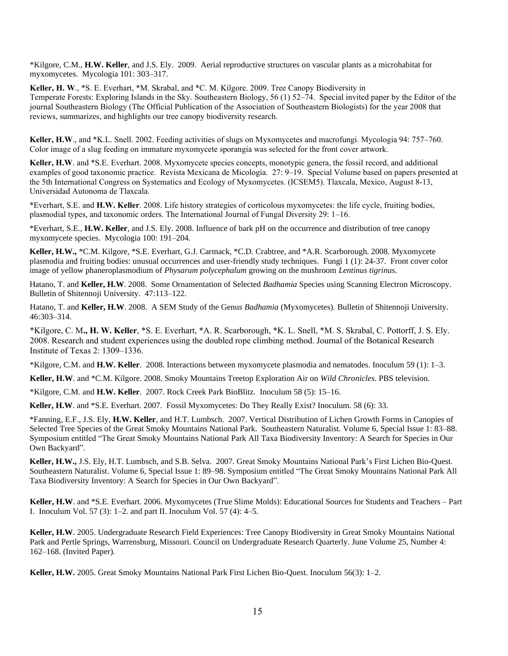\*Kilgore, C.M., **H.W. Keller**, and J.S. Ely. 2009. Aerial reproductive structures on vascular plants as a microhabitat for myxomycetes. Mycologia 101: 303–317.

**Keller, H. W**., \*S. E. Everhart, \*M. Skrabal, and \*C. M. Kilgore. 2009. Tree Canopy Biodiversity in Temperate Forests: Exploring Islands in the Sky. Southeastern Biology, 56 (1) 52–74. Special invited paper by the Editor of the journal Southeastern Biology (The Official Publication of the Association of Southeastern Biologists) for the year 2008 that reviews, summarizes, and highlights our tree canopy biodiversity research.

**Keller, H.W**., and \*K.L. Snell. 2002. Feeding activities of slugs on Myxomycetes and macrofungi. Mycologia 94: 757–760. Color image of a slug feeding on immature myxomycete sporangia was selected for the front cover artwork.

Keller, H.W. and \*S.E. Everhart. 2008. Myxomycete species concepts, monotypic genera, the fossil record, and additional examples of good taxonomic practice. Revista Mexicana de Micologia. 27: 9–19. Special Volume based on papers presented at the 5th International Congress on Systematics and Ecology of Myxomycetes. (ICSEM5). Tlaxcala, Mexico, August 8-13, Universidad Autonoma de Tlaxcala.

\*Everhart, S.E. and **H.W. Keller**. 2008. Life history strategies of corticolous myxomycetes: the life cycle, fruiting bodies, plasmodial types, and taxonomic orders. The International Journal of Fungal Diversity 29: 1–16.

\*Everhart, S.E., **H.W. Keller**, and J.S. Ely. 2008. Influence of bark pH on the occurrence and distribution of tree canopy myxomycete species. Mycologia 100: 191–204.

**Keller, H.W.,** \*C.M. Kilgore, \*S.E. Everhart, G.J. Carmack, \*C.D. Crabtree, and \*A.R. Scarborough. 2008. Myxomycete plasmodia and fruiting bodies: unusual occurrences and user-friendly study techniques. Fungi 1 (1): 24-37. Front cover color image of yellow phaneroplasmodium of *Physarum polycephalum* growing on the mushroom *Lentinus tigrinu*s.

Hatano, T. and **Keller, H.W**. 2008. Some Ornamentation of Selected *Badhamia* Species using Scanning Electron Microscopy. Bulletin of Shitennoji University. 47:113–122.

Hatano, T. and **Keller, H.W**. 2008. A SEM Study of the Genus *Badhamia* (Myxomycetes). Bulletin of Shitennoji University. 46:303–314.

\*Kilgore, C. M**., H. W. Keller**, \*S. E. Everhart, \*A. R. Scarborough, \*K. L. Snell, \*M. S. Skrabal, C. Pottorff, J. S. Ely. 2008. Research and student experiences using the doubled rope climbing method. Journal of the Botanical Research Institute of Texas 2: 1309–1336.

\*Kilgore, C.M. and **H.W. Keller**. 2008. Interactions between myxomycete plasmodia and nematodes. Inoculum 59 (1): 1–3.

**Keller, H.W**. and \*C.M. Kilgore. 2008. Smoky Mountains Treetop Exploration Air on *Wild Chronicles*. PBS television.

\*Kilgore, C.M. and **H.W. Keller**. 2007. Rock Creek Park BioBlitz. Inoculum 58 (5): 15–16.

**Keller, H.W**. and \*S.E. Everhart. 2007. Fossil Myxomycetes: Do They Really Exist? Inoculum. 58 (6): 33.

\*Fanning, E.F., J.S. Ely, **H.W. Keller**, and H.T. Lumbsch. 2007. Vertical Distribution of Lichen Growth Forms in Canopies of Selected Tree Species of the Great Smoky Mountains National Park. Southeastern Naturalist. Volume 6, Special Issue 1: 83–88. Symposium entitled "The Great Smoky Mountains National Park All Taxa Biodiversity Inventory: A Search for Species in Our Own Backyard".

**Keller, H.W.,** J.S. Ely, H.T. Lumbsch, and S.B. Selva. 2007. Great Smoky Mountains National Park's First Lichen Bio-Quest. Southeastern Naturalist. Volume 6, Special Issue 1: 89–98. Symposium entitled "The Great Smoky Mountains National Park All Taxa Biodiversity Inventory: A Search for Species in Our Own Backyard".

**Keller, H.W**. and \*S.E. Everhart. 2006. Myxomycetes (True Slime Molds): Educational Sources for Students and Teachers – Part I. Inoculum Vol. 57 (3): 1–2. and part II. Inoculum Vol. 57 (4):  $4-5$ .

**Keller, H.W**. 2005. Undergraduate Research Field Experiences: Tree Canopy Biodiversity in Great Smoky Mountains National Park and Pertle Springs, Warrensburg, Missouri. Council on Undergraduate Research Quarterly. June Volume 25, Number 4: 162–168. (Invited Paper).

**Keller, H.W.** 2005. Great Smoky Mountains National Park First Lichen Bio-Quest. Inoculum 56(3): 1–2.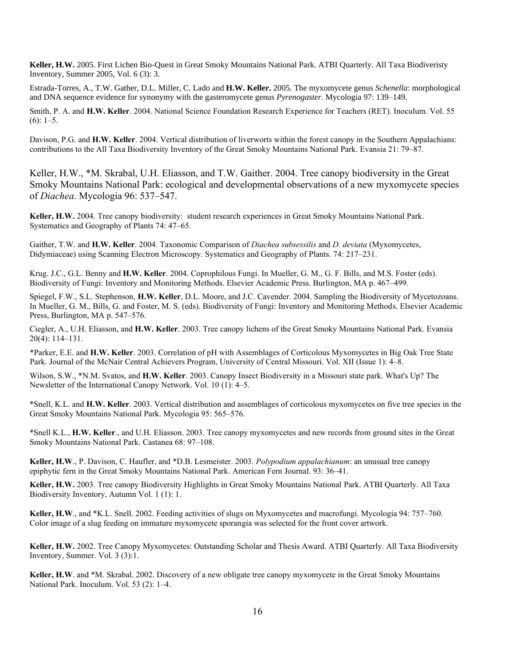**Keller, H.W.** 2005. First Lichen Bio-Quest in Great Smoky Mountains National Park. ATBI Quarterly. All Taxa Biodiveristy Inventory, Summer 2005, Vol. 6 (3): 3.

Estrada-Torres, A., T.W. Gather, D.L. Miller, C. Lado and **H.W. Keller.** 2005. The myxomycete genus *Schenella*: morphological and DNA sequence evidence for synonymy with the gasteromycete genus *Pyrenogaster.* Mycologia 97: 139–149.

Smith, P. A. and **H.W. Keller**. 2004. National Science Foundation Research Experience for Teachers (RET). Inoculum. Vol. 55  $(6): 1-5.$ 

Davison, P.G. and **H.W. Keller**. 2004. Vertical distribution of liverworts within the forest canopy in the Southern Appalachians: contributions to the All Taxa Biodiversity Inventory of the Great Smoky Mountains National Park. Evansia 21: 79–87.

Keller, H.W., \*M. Skrabal, U.H. Eliasson, and T.W. Gaither. 2004. Tree canopy biodiversity in the Great Smoky Mountains National Park: ecological and developmental observations of a new myxomycete species of *Diachea*. Mycologia 96: 537–547.

**Keller, H.W.** 2004. Tree canopy biodiversity: student research experiences in Great Smoky Mountains National Park. Systematics and Geography of Plants 74: 47–65.

Gaither, T.W. and **H.W. Keller**. 2004. Taxonomic Comparison of *Diachea subsessilis* and *D. deviata* (Myxomycetes, Didymiaceae) using Scanning Electron Microscopy. Systematics and Geography of Plants. 74: 217–231.

Krug. J.C., G.L. Benny and **H.W. Keller**. 2004. Coprophilous Fungi. In Mueller, G. M., G. F. Bills, and M.S. Foster (eds). Biodiversity of Fungi: Inventory and Monitoring Methods. Elsevier Academic Press. Burlington, MA p. 467–499.

Spiegel, F.W., S.L. Stephenson, **H.W. Keller**, D.L. Moore, and J.C. Cavender. 2004. Sampling the Biodiversity of Mycetozoans. In Mueller, G. M., Bills, G. and Foster, M. S. (eds). Biodiversity of Fungi: Inventory and Monitoring Methods. Elsevier Academic Press, Burlington, MA p. 547–576.

Ciegler, A., U.H. Eliasson, and **H.W. Keller**. 2003. Tree canopy lichens of the Great Smoky Mountains National Park. Evansia 20(4): 114–131.

\*Parker, E.E. and **H.W. Keller**. 2003. Correlation of pH with Assemblages of Corticolous Myxomycetes in Big Oak Tree State Park. Journal of the McNair Central Achievers Program, University of Central Missouri. Vol. XII (Issue 1): 4–8.

Wilson, S.W., \*N.M. Svatos, and **H.W. Keller**. 2003. Canopy Insect Biodiversity in a Missouri state park. What's Up? The Newsletter of the International Canopy Network. Vol. 10 (1): 4–5.

\*Snell, K.L. and **H.W. Keller**. 2003. Vertical distribution and assemblages of corticolous myxomycetes on five tree species in the Great Smoky Mountains National Park. Mycologia 95: 565–576.

\*Snell K.L., **H.W. Keller**., and U.H. Eliasson. 2003. Tree canopy myxomycetes and new records from ground sites in the Great Smoky Mountains National Park. Castanea 68: 97–108.

**Keller, H.W**., P. Davison, C. Haufler, and \*D.B. Lesmeister. 2003. *Polypodium appalachianum*: an unusual tree canopy epiphytic fern in the Great Smoky Mountains National Park. American Fern Journal. 93: 36–41.

**Keller, H.W.** 2003. Tree canopy Biodiversity Highlights in Great Smoky Mountains National Park. ATBI Quarterly. All Taxa Biodiversity Inventory, Autumn Vol. 1 (1): 1.

**Keller, H.W**., and \*K.L. Snell. 2002. Feeding activities of slugs on Myxomycetes and macrofungi. Mycologia 94: 757–760. Color image of a slug feeding on immature myxomycete sporangia was selected for the front cover artwork.

**Keller, H.W.** 2002. Tree Canopy Myxomycetes: Outstanding Scholar and Thesis Award. ATBI Quarterly. All Taxa Biodiversity Inventory, Summer. Vol. 3 (3):1.

**Keller, H.W**. and \*M. Skrabal. 2002. Discovery of a new obligate tree canopy myxomycete in the Great Smoky Mountains National Park. Inoculum. Vol. 53 (2): 1–4.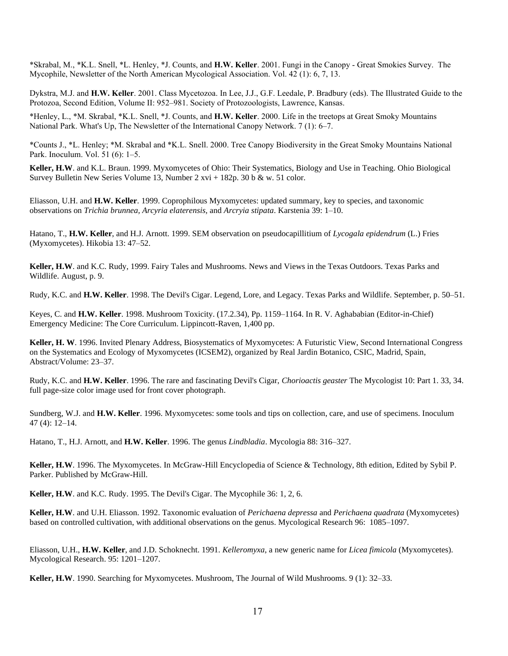\*Skrabal, M., \*K.L. Snell, \*L. Henley, \*J. Counts, and **H.W. Keller**. 2001. Fungi in the Canopy - Great Smokies Survey. The Mycophile, Newsletter of the North American Mycological Association. Vol. 42 (1): 6, 7, 13.

Dykstra, M.J. and **H.W. Keller**. 2001. Class Mycetozoa. In Lee, J.J., G.F. Leedale, P. Bradbury (eds). The Illustrated Guide to the Protozoa, Second Edition, Volume II: 952–981. Society of Protozoologists, Lawrence, Kansas.

\*Henley, L., \*M. Skrabal, \*K.L. Snell, \*J. Counts, and **H.W. Keller**. 2000. Life in the treetops at Great Smoky Mountains National Park. What's Up, The Newsletter of the International Canopy Network. 7 (1): 6–7.

\*Counts J., \*L. Henley; \*M. Skrabal and \*K.L. Snell. 2000. Tree Canopy Biodiversity in the Great Smoky Mountains National Park. Inoculum. Vol. 51 (6): 1–5.

**Keller, H.W**. and K.L. Braun. 1999. Myxomycetes of Ohio: Their Systematics, Biology and Use in Teaching. Ohio Biological Survey Bulletin New Series Volume 13, Number 2 xvi + 182p. 30 b & w. 51 color.

Eliasson, U.H. and **H.W. Keller**. 1999. Coprophilous Myxomycetes: updated summary, key to species, and taxonomic observations on *Trichia brunnea, Arcyria elaterensis,* and *Arcryia stipata*. Karstenia 39: 1–10.

Hatano, T., **H.W. Keller**, and H.J. Arnott. 1999. SEM observation on pseudocapillitium of *Lycogala epidendrum* (L.) Fries (Myxomycetes). Hikobia 13: 47–52.

**Keller, H.W**. and K.C. Rudy, 1999. Fairy Tales and Mushrooms. News and Views in the Texas Outdoors. Texas Parks and Wildlife. August, p. 9.

Rudy, K.C. and **H.W. Keller**. 1998. The Devil's Cigar. Legend, Lore, and Legacy. Texas Parks and Wildlife. September, p. 50–51.

Keyes, C. and **H.W. Keller**. 1998. Mushroom Toxicity. (17.2.34), Pp. 1159–1164. In R. V. Aghababian (Editor-in-Chief) Emergency Medicine: The Core Curriculum. Lippincott-Raven, 1,400 pp.

**Keller, H. W**. 1996. Invited Plenary Address, Biosystematics of Myxomycetes: A Futuristic View, Second International Congress on the Systematics and Ecology of Myxomycetes (ICSEM2), organized by Real Jardin Botanico, CSIC, Madrid, Spain, Abstract/Volume: 23–37.

Rudy, K.C. and **H.W. Keller**. 1996. The rare and fascinating Devil's Cigar, *Chorioactis geaster* The Mycologist 10: Part 1. 33, 34. full page-size color image used for front cover photograph.

Sundberg, W.J. and **H.W. Keller**. 1996. Myxomycetes: some tools and tips on collection, care, and use of specimens. Inoculum 47 (4): 12–14.

Hatano, T., H.J. Arnott, and **H.W. Keller**. 1996. The genus *Lindbladia*. Mycologia 88: 316–327.

**Keller, H.W**. 1996. The Myxomycetes. In McGraw-Hill Encyclopedia of Science & Technology, 8th edition, Edited by Sybil P. Parker. Published by McGraw-Hill.

**Keller, H.W**. and K.C. Rudy. 1995. The Devil's Cigar. The Mycophile 36: 1, 2, 6.

**Keller, H.W**. and U.H. Eliasson. 1992. Taxonomic evaluation of *Perichaena depressa* and *Perichaena quadrata* (Myxomycetes) based on controlled cultivation, with additional observations on the genus. Mycological Research 96: 1085–1097.

Eliasson, U.H., **H.W. Keller**, and J.D. Schoknecht. 1991. *Kelleromyxa*, a new generic name for *Licea fimicola* (Myxomycetes). Mycological Research. 95: 1201–1207.

**Keller, H.W**. 1990. Searching for Myxomycetes. Mushroom, The Journal of Wild Mushrooms. 9 (1): 32–33.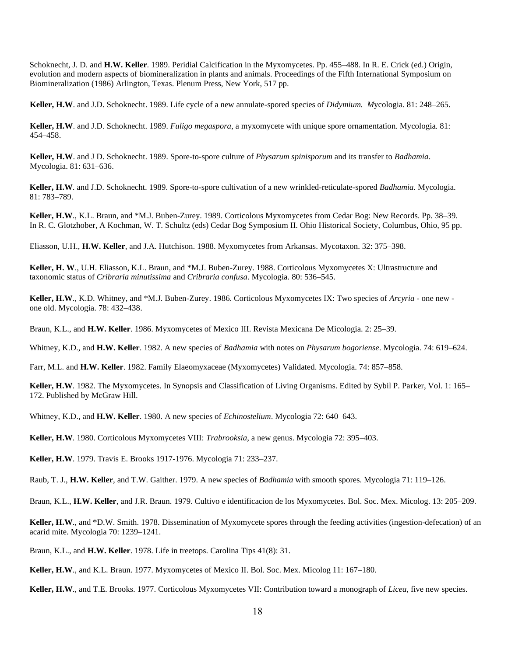Schoknecht, J. D. and **H.W. Keller**. 1989. Peridial Calcification in the Myxomycetes. Pp. 455–488. In R. E. Crick (ed.) Origin, evolution and modern aspects of biomineralization in plants and animals. Proceedings of the Fifth International Symposium on Biomineralization (1986) Arlington, Texas. Plenum Press, New York, 517 pp.

**Keller, H.W**. and J.D. Schoknecht. 1989. Life cycle of a new annulate-spored species of *Didymium. M*ycologia. 81: 248–265.

**Keller, H.W**. and J.D. Schoknecht. 1989. *Fuligo megaspora*, a myxomycete with unique spore ornamentation. Mycologia. 81: 454–458.

**Keller, H.W**. and J D. Schoknecht. 1989. Spore-to-spore culture of *Physarum spinisporum* and its transfer to *Badhamia*. Mycologia. 81: 631–636.

**Keller, H.W**. and J.D. Schoknecht. 1989. Spore-to-spore cultivation of a new wrinkled-reticulate-spored *Badhamia*. Mycologia. 81: 783–789.

**Keller, H.W**., K.L. Braun, and \*M.J. Buben-Zurey. 1989. Corticolous Myxomycetes from Cedar Bog: New Records. Pp. 38–39. In R. C. Glotzhober, A Kochman, W. T. Schultz (eds) Cedar Bog Symposium II. Ohio Historical Society, Columbus, Ohio, 95 pp.

Eliasson, U.H., **H.W. Keller**, and J.A. Hutchison. 1988. Myxomycetes from Arkansas. Mycotaxon. 32: 375–398.

**Keller, H. W**., U.H. Eliasson, K.L. Braun, and \*M.J. Buben-Zurey. 1988. Corticolous Myxomycetes X: Ultrastructure and taxonomic status of *Cribraria minutissima* and *Cribraria confusa*. Mycologia. 80: 536–545.

**Keller, H.W**., K.D. Whitney, and \*M.J. Buben-Zurey. 1986. Corticolous Myxomycetes IX: Two species of *Arcyria* - one new one old. Mycologia. 78: 432–438.

Braun, K.L., and **H.W. Keller**. 1986. Myxomycetes of Mexico III. Revista Mexicana De Micologia. 2: 25–39.

Whitney, K.D., and **H.W. Keller**. 1982. A new species of *Badhamia* with notes on *Physarum bogoriense*. Mycologia. 74: 619–624.

Farr, M.L. and **H.W. Keller**. 1982. Family Elaeomyxaceae (Myxomycetes) Validated. Mycologia. 74: 857–858.

**Keller, H.W**. 1982. The Myxomycetes. In Synopsis and Classification of Living Organisms. Edited by Sybil P. Parker, Vol. 1: 165– 172. Published by McGraw Hill.

Whitney, K.D., and **H.W. Keller**. 1980. A new species of *Echinostelium*. Mycologia 72: 640–643.

**Keller, H.W**. 1980. Corticolous Myxomycetes VIII: *Trabrooksia*, a new genus. Mycologia 72: 395–403.

**Keller, H.W**. 1979. Travis E. Brooks 1917-1976. Mycologia 71: 233–237.

Raub, T. J., **H.W. Keller**, and T.W. Gaither. 1979. A new species of *Badhamia* with smooth spores. Mycologia 71: 119–126.

Braun, K.L., **H.W. Keller**, and J.R. Braun. 1979. Cultivo e identificacion de los Myxomycetes. Bol. Soc. Mex. Micolog. 13: 205–209.

**Keller, H.W**., and \*D.W. Smith. 1978. Dissemination of Myxomycete spores through the feeding activities (ingestion-defecation) of an acarid mite. Mycologia 70: 1239–1241.

Braun, K.L., and **H.W. Keller**. 1978. Life in treetops. Carolina Tips 41(8): 31.

**Keller, H.W**., and K.L. Braun. 1977. Myxomycetes of Mexico II. Bol. Soc. Mex. Micolog 11: 167–180.

**Keller, H.W**., and T.E. Brooks. 1977. Corticolous Myxomycetes VII: Contribution toward a monograph of *Licea*, five new species.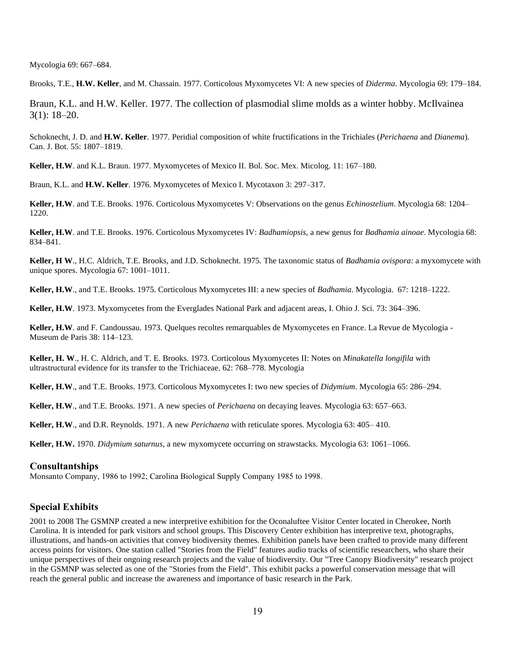Mycologia 69: 667–684.

Brooks, T.E., **H.W. Keller**, and M. Chassain. 1977. Corticolous Myxomycetes VI: A new species of *Diderma*. Mycologia 69: 179–184.

Braun, K.L. and H.W. Keller. 1977. The collection of plasmodial slime molds as a winter hobby. McIlvainea 3(1): 18–20.

Schoknecht, J. D. and **H.W. Keller**. 1977. Peridial composition of white fructifications in the Trichiales (*Perichaena* and *Dianema*). Can. J. Bot. 55: 1807–1819.

**Keller, H.W**. and K.L. Braun. 1977. Myxomycetes of Mexico II. Bol. Soc. Mex. Micolog. 11: 167–180.

Braun, K.L. and **H.W. Keller**. 1976. Myxomycetes of Mexico I. Mycotaxon 3: 297–317.

**Keller, H.W**. and T.E. Brooks. 1976. Corticolous Myxomycetes V: Observations on the genus *Echinostelium*. Mycologia 68: 1204– 1220.

**Keller, H.W**. and T.E. Brooks. 1976. Corticolous Myxomycetes IV: *Badhamiopsis*, a new genus for *Badhamia ainoae*. Mycologia 68: 834–841.

**Keller, H W**., H.C. Aldrich, T.E. Brooks, and J.D. Schoknecht. 1975. The taxonomic status of *Badhamia ovispora*: a myxomycete with unique spores. Mycologia 67: 1001–1011.

**Keller, H.W**., and T.E. Brooks. 1975. Corticolous Myxomycetes III: a new species of *Badhamia*. Mycologia. 67: 1218–1222.

**Keller, H.W**. 1973. Myxomycetes from the Everglades National Park and adjacent areas, I. Ohio J. Sci. 73: 364–396.

**Keller, H.W**. and F. Candoussau. 1973. Quelques recoltes remarquables de Myxomycetes en France. La Revue de Mycologia - Museum de Paris 38: 114–123.

**Keller, H. W**., H. C. Aldrich, and T. E. Brooks. 1973. Corticolous Myxomycetes II: Notes on *Minakatella longifila* with ultrastructural evidence for its transfer to the Trichiaceae. 62: 768–778. Mycologia

**Keller, H.W**., and T.E. Brooks. 1973. Corticolous Myxomycetes I: two new species of *Didymium*. Mycologia 65: 286–294.

**Keller, H.W**., and T.E. Brooks. 1971. A new species of *Perichaena* on decaying leaves. Mycologia 63: 657–663.

**Keller, H.W**., and D.R. Reynolds. 1971. A new *Perichaena* with reticulate spores. Mycologia 63: 405– 410.

**Keller, H.W.** 1970. *Didymium saturnus*, a new myxomycete occurring on strawstacks. Mycologia 63: 1061–1066.

#### **Consultantships**

Monsanto Company, 1986 to 1992; Carolina Biological Supply Company 1985 to 1998.

# **Special Exhibits**

2001 to 2008 The GSMNP created a new interpretive exhibition for the Oconaluftee Visitor Center located in Cherokee, North Carolina. It is intended for park visitors and school groups. This Discovery Center exhibition has interpretive text, photographs, illustrations, and hands-on activities that convey biodiversity themes. Exhibition panels have been crafted to provide many different access points for visitors. One station called "Stories from the Field" features audio tracks of scientific researchers, who share their unique perspectives of their ongoing research projects and the value of biodiversity. Our "Tree Canopy Biodiversity" research project in the GSMNP was selected as one of the "Stories from the Field". This exhibit packs a powerful conservation message that will reach the general public and increase the awareness and importance of basic research in the Park.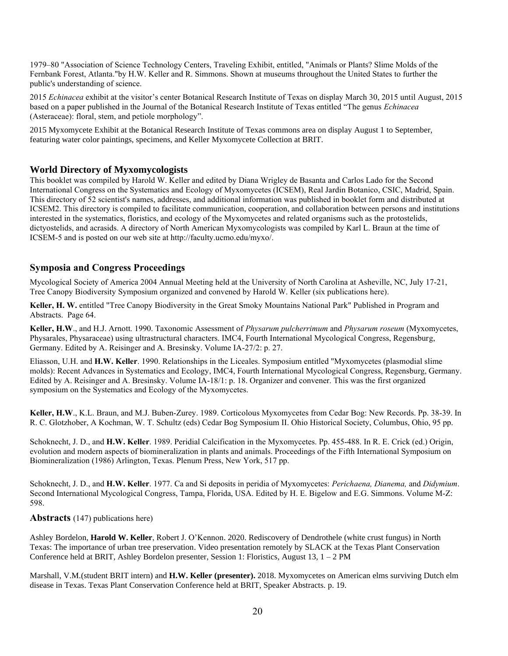1979–80 "Association of Science Technology Centers, Traveling Exhibit, entitled, "Animals or Plants? Slime Molds of the Fernbank Forest, Atlanta."by H.W. Keller and R. Simmons. Shown at museums throughout the United States to further the public's understanding of science.

2015 *Echinacea* exhibit at the visitor's center Botanical Research Institute of Texas on display March 30, 2015 until August, 2015 based on a paper published in the Journal of the Botanical Research Institute of Texas entitled "The genus *Echinacea* (Asteraceae): floral, stem, and petiole morphology".

2015 Myxomycete Exhibit at the Botanical Research Institute of Texas commons area on display August 1 to September, featuring water color paintings, specimens, and Keller Myxomycete Collection at BRIT.

# **World Directory of Myxomycologists**

This booklet was compiled by Harold W. Keller and edited by Diana Wrigley de Basanta and Carlos Lado for the Second International Congress on the Systematics and Ecology of Myxomycetes (ICSEM), Real Jardin Botanico, CSIC, Madrid, Spain. This directory of 52 scientist's names, addresses, and additional information was published in booklet form and distributed at ICSEM2. This directory is compiled to facilitate communication, cooperation, and collaboration between persons and institutions interested in the systematics, floristics, and ecology of the Myxomycetes and related organisms such as the protostelids, dictyostelids, and acrasids. A directory of North American Myxomycologists was compiled by Karl L. Braun at the time of ICSEM-5 and is posted on our web site a[t http://faculty.ucmo.edu/myxo/.](http://faculty.ucmo.edu/myxo/)

# **Symposia and Congress Proceedings**

Mycological Society of America 2004 Annual Meeting held at the University of North Carolina at Asheville, NC, July 17-21, Tree Canopy Biodiversity Symposium organized and convened by Harold W. Keller (six publications here).

**Keller, H. W.** entitled "Tree Canopy Biodiversity in the Great Smoky Mountains National Park" Published in Program and Abstracts. Page 64.

**Keller, H.W**., and H.J. Arnott. 1990. Taxonomic Assessment of *Physarum pulcherrimum* and *Physarum roseum* (Myxomycetes, Physarales, Physaraceae) using ultrastructural characters. IMC4, Fourth International Mycological Congress, Regensburg, Germany. Edited by A. Reisinger and A. Bresinsky. Volume IA-27/2: p. 27.

Eliasson, U.H. and **H.W. Keller**. 1990. Relationships in the Liceales. Symposium entitled "Myxomycetes (plasmodial slime molds): Recent Advances in Systematics and Ecology, IMC4, Fourth International Mycological Congress, Regensburg, Germany. Edited by A. Reisinger and A. Bresinsky. Volume IA-18/1: p. 18. Organizer and convener. This was the first organized symposium on the Systematics and Ecology of the Myxomycetes.

**Keller, H.W**., K.L. Braun, and M.J. Buben-Zurey. 1989. Corticolous Myxomycetes from Cedar Bog: New Records. Pp. 38-39. In R. C. Glotzhober, A Kochman, W. T. Schultz (eds) Cedar Bog Symposium II. Ohio Historical Society, Columbus, Ohio, 95 pp.

Schoknecht, J. D., and **H.W. Keller**. 1989. Peridial Calcification in the Myxomycetes. Pp. 455-488. In R. E. Crick (ed.) Origin, evolution and modern aspects of biomineralization in plants and animals. Proceedings of the Fifth International Symposium on Biomineralization (1986) Arlington, Texas. Plenum Press, New York, 517 pp.

Schoknecht, J. D., and **H.W. Keller**. 1977. Ca and Si deposits in peridia of Myxomycetes: *Perichaena, Dianema,* and *Didymium*. Second International Mycological Congress, Tampa, Florida, USA. Edited by H. E. Bigelow and E.G. Simmons. Volume M-Z: 598.

#### **Abstracts** (147) publications here)

Ashley Bordelon, **Harold W. Keller**, Robert J. O'Kennon. 2020. Rediscovery of Dendrothele (white crust fungus) in North Texas: The importance of urban tree preservation. Video presentation remotely by SLACK at the Texas Plant Conservation Conference held at BRIT, Ashley Bordelon presenter, Session 1: Floristics, August 13,  $1 - 2 PM$ 

Marshall, V.M.(student BRIT intern) and **H.W. Keller (presenter).** 2018. Myxomycetes on American elms surviving Dutch elm disease in Texas. Texas Plant Conservation Conference held at BRIT, Speaker Abstracts. p. 19.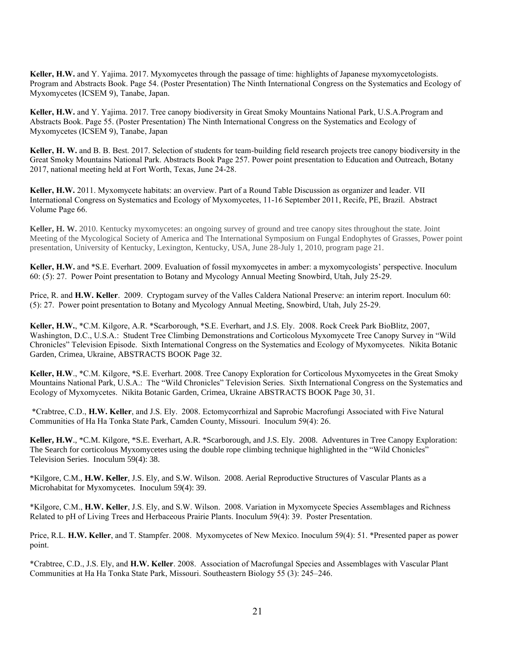**Keller, H.W.** and Y. Yajima. 2017. Myxomycetes through the passage of time: highlights of Japanese myxomycetologists. Program and Abstracts Book. Page 54. (Poster Presentation) The Ninth International Congress on the Systematics and Ecology of Myxomycetes (ICSEM 9), Tanabe, Japan.

**Keller, H.W.** and Y. Yajima. 2017. Tree canopy biodiversity in Great Smoky Mountains National Park, U.S.A.Program and Abstracts Book. Page 55. (Poster Presentation) The Ninth International Congress on the Systematics and Ecology of Myxomycetes (ICSEM 9), Tanabe, Japan

**Keller, H. W.** and B. B. Best. 2017. Selection of students for team-building field research projects tree canopy biodiversity in the Great Smoky Mountains National Park. Abstracts Book Page 257. Power point presentation to Education and Outreach, Botany 2017, national meeting held at Fort Worth, Texas, June 24-28.

**Keller, H.W.** 2011. Myxomycete habitats: an overview. Part of a Round Table Discussion as organizer and leader. VII International Congress on Systematics and Ecology of Myxomycetes, 11-16 September 2011, Recife, PE, Brazil. Abstract Volume Page 66.

**Keller, H. W.** 2010. Kentucky myxomycetes: an ongoing survey of ground and tree canopy sites throughout the state. Joint Meeting of the Mycological Society of America and The International Symposium on Fungal Endophytes of Grasses, Power point presentation, University of Kentucky, Lexington, Kentucky, USA, June 28-July 1, 2010, program page 21.

**Keller, H.W.** and \*S.E. Everhart. 2009. Evaluation of fossil myxomycetes in amber: a myxomycologists' perspective. Inoculum 60: (5): 27. Power Point presentation to Botany and Mycology Annual Meeting Snowbird, Utah, July 25-29.

Price, R. and **H.W. Keller**. 2009. Cryptogam survey of the Valles Caldera National Preserve: an interim report. Inoculum 60: (5): 27. Power point presentation to Botany and Mycology Annual Meeting, Snowbird, Utah, July 25-29.

**Keller, H.W.**, \*C.M. Kilgore, A.R. \*Scarborough, \*S.E. Everhart, and J.S. Ely. 2008. Rock Creek Park BioBlitz, 2007, Washington, D.C., U.S.A.: Student Tree Climbing Demonstrations and Corticolous Myxomycete Tree Canopy Survey in "Wild Chronicles" Television Episode. Sixth International Congress on the Systematics and Ecology of Myxomycetes. Nikita Botanic Garden, Crimea, Ukraine, ABSTRACTS BOOK Page 32.

**Keller, H.W**., \*C.M. Kilgore, \*S.E. Everhart. 2008. Tree Canopy Exploration for Corticolous Myxomycetes in the Great Smoky Mountains National Park, U.S.A.: The "Wild Chronicles" Television Series. Sixth International Congress on the Systematics and Ecology of Myxomycetes. Nikita Botanic Garden, Crimea, Ukraine ABSTRACTS BOOK Page 30, 31.

\*Crabtree, C.D., **H.W. Keller**, and J.S. Ely. 2008. Ectomycorrhizal and Saprobic Macrofungi Associated with Five Natural Communities of Ha Ha Tonka State Park, Camden County, Missouri. Inoculum 59(4): 26.

**Keller, H.W**., \*C.M. Kilgore, \*S.E. Everhart, A.R. \*Scarborough, and J.S. Ely. 2008. Adventures in Tree Canopy Exploration: The Search for corticolous Myxomycetes using the double rope climbing technique highlighted in the "Wild Chonicles" Television Series. Inoculum 59(4): 38.

\*Kilgore, C.M., **H.W. Keller**, J.S. Ely, and S.W. Wilson. 2008. Aerial Reproductive Structures of Vascular Plants as a Microhabitat for Myxomycetes. Inoculum 59(4): 39.

\*Kilgore, C.M., **H.W. Keller**, J.S. Ely, and S.W. Wilson. 2008. Variation in Myxomycete Species Assemblages and Richness Related to pH of Living Trees and Herbaceous Prairie Plants. Inoculum 59(4): 39. Poster Presentation.

Price, R.L. **H.W. Keller**, and T. Stampfer. 2008. Myxomycetes of New Mexico. Inoculum 59(4): 51. \*Presented paper as power point.

\*Crabtree, C.D., J.S. Ely, and **H.W. Keller**. 2008. Association of Macrofungal Species and Assemblages with Vascular Plant Communities at Ha Ha Tonka State Park, Missouri. Southeastern Biology 55 (3): 245–246.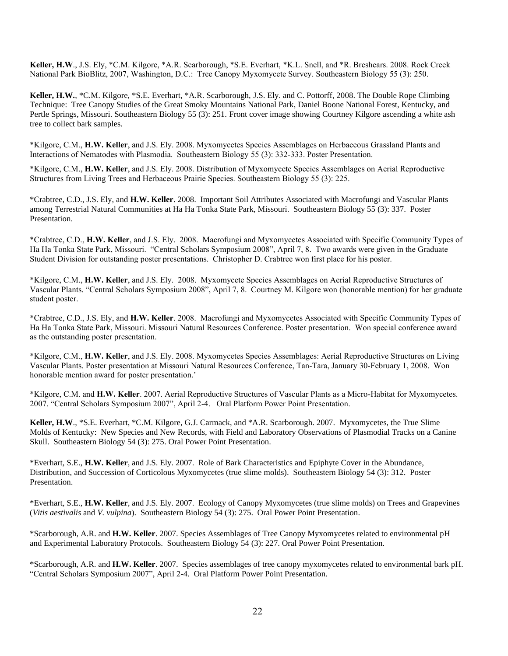**Keller, H.W**., J.S. Ely, \*C.M. Kilgore, \*A.R. Scarborough, \*S.E. Everhart, \*K.L. Snell, and \*R. Breshears. 2008. Rock Creek National Park BioBlitz, 2007, Washington, D.C.: Tree Canopy Myxomycete Survey. Southeastern Biology 55 (3): 250.

**Keller, H.W.**, \*C.M. Kilgore, \*S.E. Everhart, \*A.R. Scarborough, J.S. Ely. and C. Pottorff, 2008. The Double Rope Climbing Technique: Tree Canopy Studies of the Great Smoky Mountains National Park, Daniel Boone National Forest, Kentucky, and Pertle Springs, Missouri. Southeastern Biology 55 (3): 251. Front cover image showing Courtney Kilgore ascending a white ash tree to collect bark samples.

\*Kilgore, C.M., **H.W. Keller**, and J.S. Ely. 2008. Myxomycetes Species Assemblages on Herbaceous Grassland Plants and Interactions of Nematodes with Plasmodia. Southeastern Biology 55 (3): 332-333. Poster Presentation.

\*Kilgore, C.M., **H.W. Keller**, and J.S. Ely. 2008. Distribution of Myxomycete Species Assemblages on Aerial Reproductive Structures from Living Trees and Herbaceous Prairie Species. Southeastern Biology 55 (3): 225.

\*Crabtree, C.D., J.S. Ely, and **H.W. Keller**. 2008. Important Soil Attributes Associated with Macrofungi and Vascular Plants among Terrestrial Natural Communities at Ha Ha Tonka State Park, Missouri. Southeastern Biology 55 (3): 337. Poster Presentation.

\*Crabtree, C.D., **H.W. Keller**, and J.S. Ely. 2008. Macrofungi and Myxomycetes Associated with Specific Community Types of Ha Ha Tonka State Park, Missouri. "Central Scholars Symposium 2008", April 7, 8. Two awards were given in the Graduate Student Division for outstanding poster presentations. Christopher D. Crabtree won first place for his poster.

\*Kilgore, C.M., **H.W. Keller**, and J.S. Ely. 2008. Myxomycete Species Assemblages on Aerial Reproductive Structures of Vascular Plants. "Central Scholars Symposium 2008", April 7, 8. Courtney M. Kilgore won (honorable mention) for her graduate student poster.

\*Crabtree, C.D., J.S. Ely, and **H.W. Keller**. 2008. Macrofungi and Myxomycetes Associated with Specific Community Types of Ha Ha Tonka State Park, Missouri. Missouri Natural Resources Conference. Poster presentation. Won special conference award as the outstanding poster presentation.

\*Kilgore, C.M., **H.W. Keller**, and J.S. Ely. 2008. Myxomycetes Species Assemblages: Aerial Reproductive Structures on Living Vascular Plants. Poster presentation at Missouri Natural Resources Conference, Tan-Tara, January 30-February 1, 2008. Won honorable mention award for poster presentation.'

\*Kilgore, C.M. and **H.W. Keller**. 2007. Aerial Reproductive Structures of Vascular Plants as a Micro-Habitat for Myxomycetes. 2007. "Central Scholars Symposium 2007", April 2-4. Oral Platform Power Point Presentation.

**Keller, H.W**., \*S.E. Everhart, \*C.M. Kilgore, G.J. Carmack, and \*A.R. Scarborough. 2007. Myxomycetes, the True Slime Molds of Kentucky: New Species and New Records, with Field and Laboratory Observations of Plasmodial Tracks on a Canine Skull. Southeastern Biology 54 (3): 275. Oral Power Point Presentation.

\*Everhart, S.E., **H.W. Keller**, and J.S. Ely. 2007. Role of Bark Characteristics and Epiphyte Cover in the Abundance, Distribution, and Succession of Corticolous Myxomycetes (true slime molds). Southeastern Biology 54 (3): 312. Poster Presentation.

\*Everhart, S.E., **H.W. Keller**, and J.S. Ely. 2007. Ecology of Canopy Myxomycetes (true slime molds) on Trees and Grapevines (*Vitis aestivalis* and *V. vulpina*). Southeastern Biology 54 (3): 275. Oral Power Point Presentation.

\*Scarborough, A.R. and **H.W. Keller**. 2007. Species Assemblages of Tree Canopy Myxomycetes related to environmental pH and Experimental Laboratory Protocols. Southeastern Biology 54 (3): 227. Oral Power Point Presentation.

\*Scarborough, A.R. and **H.W. Keller**. 2007. Species assemblages of tree canopy myxomycetes related to environmental bark pH. "Central Scholars Symposium 2007", April 2-4. Oral Platform Power Point Presentation.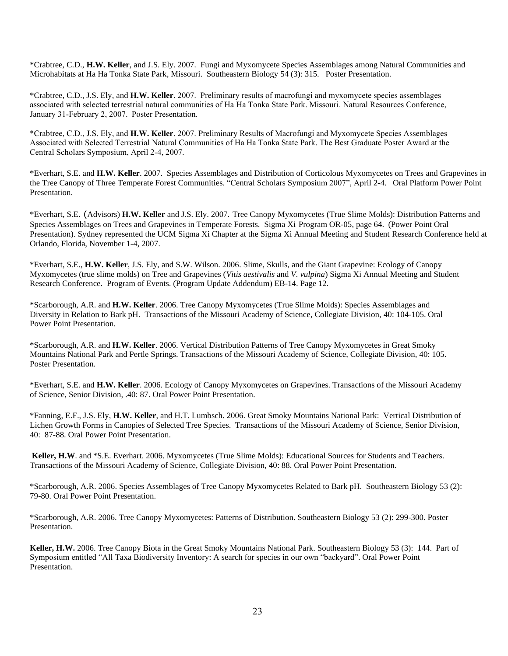\*Crabtree, C.D., **H.W. Keller**, and J.S. Ely. 2007. Fungi and Myxomycete Species Assemblages among Natural Communities and Microhabitats at Ha Ha Tonka State Park, Missouri. Southeastern Biology 54 (3): 315. Poster Presentation.

\*Crabtree, C.D., J.S. Ely, and **H.W. Keller**. 2007. Preliminary results of macrofungi and myxomycete species assemblages associated with selected terrestrial natural communities of Ha Ha Tonka State Park. Missouri. Natural Resources Conference, January 31-February 2, 2007. Poster Presentation.

\*Crabtree, C.D., J.S. Ely, and **H.W. Keller**. 2007. Preliminary Results of Macrofungi and Myxomycete Species Assemblages Associated with Selected Terrestrial Natural Communities of Ha Ha Tonka State Park. The Best Graduate Poster Award at the Central Scholars Symposium, April 2-4, 2007.

\*Everhart, S.E. and **H.W. Keller**. 2007. Species Assemblages and Distribution of Corticolous Myxomycetes on Trees and Grapevines in the Tree Canopy of Three Temperate Forest Communities. "Central Scholars Symposium 2007", April 2-4. Oral Platform Power Point Presentation.

\*Everhart, S.E. (Advisors) **H.W. Keller** and J.S. Ely. 2007. Tree Canopy Myxomycetes (True Slime Molds): Distribution Patterns and Species Assemblages on Trees and Grapevines in Temperate Forests. Sigma Xi Program OR-05, page 64. (Power Point Oral Presentation). Sydney represented the UCM Sigma Xi Chapter at the Sigma Xi Annual Meeting and Student Research Conference held at Orlando, Florida, November 1-4, 2007.

\*Everhart, S.E., **H.W. Keller**, J.S. Ely, and S.W. Wilson. 2006. Slime, Skulls, and the Giant Grapevine: Ecology of Canopy Myxomycetes (true slime molds) on Tree and Grapevines (*Vitis aestivalis* and *V. vulpina*) Sigma Xi Annual Meeting and Student Research Conference. Program of Events. (Program Update Addendum) EB-14. Page 12.

\*Scarborough, A.R. and **H.W. Keller**. 2006. Tree Canopy Myxomycetes (True Slime Molds): Species Assemblages and Diversity in Relation to Bark pH. Transactions of the Missouri Academy of Science, Collegiate Division, 40: 104-105. Oral Power Point Presentation.

\*Scarborough, A.R. and **H.W. Keller**. 2006. Vertical Distribution Patterns of Tree Canopy Myxomycetes in Great Smoky Mountains National Park and Pertle Springs. Transactions of the Missouri Academy of Science, Collegiate Division, 40: 105. Poster Presentation.

\*Everhart, S.E. and **H.W. Keller**. 2006. Ecology of Canopy Myxomycetes on Grapevines. Transactions of the Missouri Academy of Science, Senior Division, .40: 87. Oral Power Point Presentation.

\*Fanning, E.F., J.S. Ely, **H.W. Keller**, and H.T. Lumbsch. 2006. Great Smoky Mountains National Park: Vertical Distribution of Lichen Growth Forms in Canopies of Selected Tree Species. Transactions of the Missouri Academy of Science, Senior Division, 40: 87-88. Oral Power Point Presentation.

**Keller, H.W**. and \*S.E. Everhart. 2006. Myxomycetes (True Slime Molds): Educational Sources for Students and Teachers. Transactions of the Missouri Academy of Science, Collegiate Division, 40: 88. Oral Power Point Presentation.

\*Scarborough, A.R. 2006. Species Assemblages of Tree Canopy Myxomycetes Related to Bark pH. Southeastern Biology 53 (2): 79-80. Oral Power Point Presentation.

\*Scarborough, A.R. 2006. Tree Canopy Myxomycetes: Patterns of Distribution. Southeastern Biology 53 (2): 299-300. Poster Presentation.

**Keller, H.W.** 2006. Tree Canopy Biota in the Great Smoky Mountains National Park. Southeastern Biology 53 (3): 144. Part of Symposium entitled "All Taxa Biodiversity Inventory: A search for species in our own "backyard". Oral Power Point Presentation.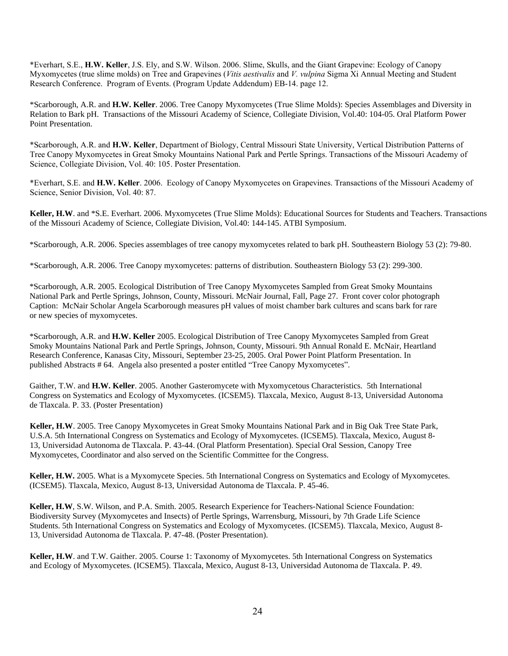\*Everhart, S.E., **H.W. Keller**, J.S. Ely, and S.W. Wilson. 2006. Slime, Skulls, and the Giant Grapevine: Ecology of Canopy Myxomycetes (true slime molds) on Tree and Grapevines (*Vitis aestivalis* and *V. vulpina* Sigma Xi Annual Meeting and Student Research Conference. Program of Events. (Program Update Addendum) EB-14. page 12.

\*Scarborough, A.R. and **H.W. Keller**. 2006. Tree Canopy Myxomycetes (True Slime Molds): Species Assemblages and Diversity in Relation to Bark pH. Transactions of the Missouri Academy of Science, Collegiate Division, Vol.40: 104-05. Oral Platform Power Point Presentation.

\*Scarborough, A.R. and **H.W. Keller**, Department of Biology, Central Missouri State University, Vertical Distribution Patterns of Tree Canopy Myxomycetes in Great Smoky Mountains National Park and Pertle Springs. Transactions of the Missouri Academy of Science, Collegiate Division, Vol. 40: 105. Poster Presentation.

\*Everhart, S.E. and **H.W. Keller**. 2006. Ecology of Canopy Myxomycetes on Grapevines. Transactions of the Missouri Academy of Science, Senior Division, Vol. 40: 87.

**Keller, H.W**. and \*S.E. Everhart. 2006. Myxomycetes (True Slime Molds): Educational Sources for Students and Teachers. Transactions of the Missouri Academy of Science, Collegiate Division, Vol.40: 144-145. ATBI Symposium.

\*Scarborough, A.R. 2006. Species assemblages of tree canopy myxomycetes related to bark pH. Southeastern Biology 53 (2): 79-80.

\*Scarborough, A.R. 2006. Tree Canopy myxomycetes: patterns of distribution. Southeastern Biology 53 (2): 299-300.

\*Scarborough, A.R. 2005. Ecological Distribution of Tree Canopy Myxomycetes Sampled from Great Smoky Mountains National Park and Pertle Springs, Johnson, County, Missouri. McNair Journal, Fall, Page 27. Front cover color photograph Caption: McNair Scholar Angela Scarborough measures pH values of moist chamber bark cultures and scans bark for rare or new species of myxomycetes.

\*Scarborough, A.R. and **H.W. Keller** 2005. Ecological Distribution of Tree Canopy Myxomycetes Sampled from Great Smoky Mountains National Park and Pertle Springs, Johnson, County, Missouri. 9th Annual Ronald E. McNair, Heartland Research Conference, Kanasas City, Missouri, September 23-25, 2005. Oral Power Point Platform Presentation. In published Abstracts # 64. Angela also presented a poster entitled "Tree Canopy Myxomycetes".

Gaither, T.W. and **H.W. Keller**. 2005. Another Gasteromycete with Myxomycetous Characteristics. 5th International Congress on Systematics and Ecology of Myxomycetes. (ICSEM5). Tlaxcala, Mexico, August 8-13, Universidad Autonoma de Tlaxcala. P. 33. (Poster Presentation)

**Keller, H.W**. 2005. Tree Canopy Myxomycetes in Great Smoky Mountains National Park and in Big Oak Tree State Park, U.S.A. 5th International Congress on Systematics and Ecology of Myxomycetes. (ICSEM5). Tlaxcala, Mexico, August 8- 13, Universidad Autonoma de Tlaxcala. P. 43-44. (Oral Platform Presentation). Special Oral Session, Canopy Tree Myxomycetes, Coordinator and also served on the Scientific Committee for the Congress.

**Keller, H.W.** 2005. What is a Myxomycete Species. 5th International Congress on Systematics and Ecology of Myxomycetes. (ICSEM5). Tlaxcala, Mexico, August 8-13, Universidad Autonoma de Tlaxcala. P. 45-46.

**Keller, H.W**, S.W. Wilson, and P.A. Smith. 2005. Research Experience for Teachers-National Science Foundation: Biodiversity Survey (Myxomycetes and Insects) of Pertle Springs, Warrensburg, Missouri, by 7th Grade Life Science Students. 5th International Congress on Systematics and Ecology of Myxomycetes. (ICSEM5). Tlaxcala, Mexico, August 8- 13, Universidad Autonoma de Tlaxcala. P. 47-48. (Poster Presentation).

**Keller, H.W**. and T.W. Gaither. 2005. Course 1: Taxonomy of Myxomycetes. 5th International Congress on Systematics and Ecology of Myxomycetes. (ICSEM5). Tlaxcala, Mexico, August 8-13, Universidad Autonoma de Tlaxcala. P. 49.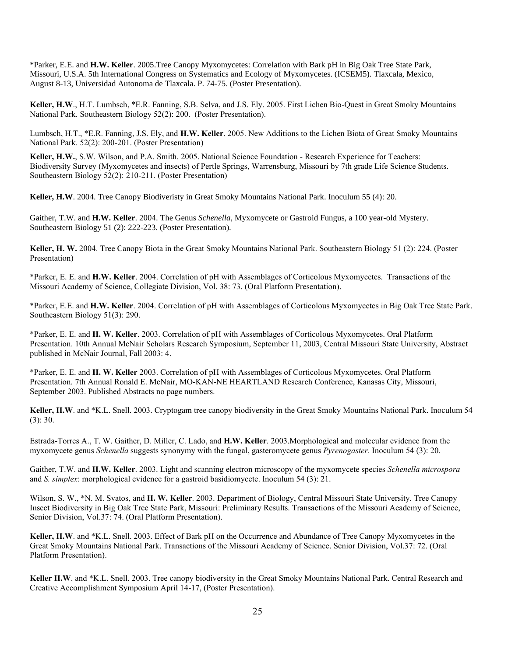\*Parker, E.E. and **H.W. Keller**. 2005.Tree Canopy Myxomycetes: Correlation with Bark pH in Big Oak Tree State Park, Missouri, U.S.A. 5th International Congress on Systematics and Ecology of Myxomycetes. (ICSEM5). Tlaxcala, Mexico, August 8-13, Universidad Autonoma de Tlaxcala. P. 74-75. (Poster Presentation).

**Keller, H.W**., H.T. Lumbsch, \*E.R. Fanning, S.B. Selva, and J.S. Ely. 2005. First Lichen Bio-Quest in Great Smoky Mountains National Park. Southeastern Biology 52(2): 200. (Poster Presentation).

Lumbsch, H.T., \*E.R. Fanning, J.S. Ely, and **H.W. Keller**. 2005. New Additions to the Lichen Biota of Great Smoky Mountains National Park. 52(2): 200-201. (Poster Presentation)

**Keller, H.W.**, S.W. Wilson, and P.A. Smith. 2005. National Science Foundation - Research Experience for Teachers: Biodiversity Survey (Myxomycetes and insects) of Pertle Springs, Warrensburg, Missouri by 7th grade Life Science Students. Southeastern Biology 52(2): 210-211. (Poster Presentation)

**Keller, H.W**. 2004. Tree Canopy Biodiveristy in Great Smoky Mountains National Park. Inoculum 55 (4): 20.

Gaither, T.W. and **H.W. Keller**. 2004. The Genus *Schenella*, Myxomycete or Gastroid Fungus, a 100 year-old Mystery. Southeastern Biology 51 (2): 222-223. (Poster Presentation).

**Keller, H. W.** 2004. Tree Canopy Biota in the Great Smoky Mountains National Park. Southeastern Biology 51 (2): 224. (Poster Presentation)

\*Parker, E. E. and **H.W. Keller**. 2004. Correlation of pH with Assemblages of Corticolous Myxomycetes. Transactions of the Missouri Academy of Science, Collegiate Division, Vol. 38: 73. (Oral Platform Presentation).

\*Parker, E.E. and **H.W. Keller**. 2004. Correlation of pH with Assemblages of Corticolous Myxomycetes in Big Oak Tree State Park. Southeastern Biology 51(3): 290.

\*Parker, E. E. and **H. W. Keller**. 2003. Correlation of pH with Assemblages of Corticolous Myxomycetes. Oral Platform Presentation. 10th Annual McNair Scholars Research Symposium, September 11, 2003, Central Missouri State University, Abstract published in McNair Journal, Fall 2003: 4.

\*Parker, E. E. and **H. W. Keller** 2003. Correlation of pH with Assemblages of Corticolous Myxomycetes. Oral Platform Presentation. 7th Annual Ronald E. McNair, MO-KAN-NE HEARTLAND Research Conference, Kanasas City, Missouri, September 2003. Published Abstracts no page numbers.

**Keller, H.W**. and \*K.L. Snell. 2003. Cryptogam tree canopy biodiversity in the Great Smoky Mountains National Park. Inoculum 54 (3): 30.

Estrada-Torres A., T. W. Gaither, D. Miller, C. Lado, and **H.W. Keller**. 2003.Morphological and molecular evidence from the myxomycete genus *Schenella* suggests synonymy with the fungal, gasteromycete genus *Pyrenogaster*. Inoculum 54 (3): 20.

Gaither, T.W. and **H.W. Keller**. 2003. Light and scanning electron microscopy of the myxomycete species *Schenella microspora* and *S. simplex*: morphological evidence for a gastroid basidiomycete. Inoculum 54 (3): 21.

Wilson, S. W., \*N. M. Svatos, and **H. W. Keller**. 2003. Department of Biology, Central Missouri State University. Tree Canopy Insect Biodiversity in Big Oak Tree State Park, Missouri: Preliminary Results. Transactions of the Missouri Academy of Science, Senior Division, Vol.37: 74. (Oral Platform Presentation).

**Keller, H.W**. and \*K.L. Snell. 2003. Effect of Bark pH on the Occurrence and Abundance of Tree Canopy Myxomycetes in the Great Smoky Mountains National Park. Transactions of the Missouri Academy of Science. Senior Division, Vol.37: 72. (Oral Platform Presentation).

**Keller H.W**. and \*K.L. Snell. 2003. Tree canopy biodiversity in the Great Smoky Mountains National Park. Central Research and Creative Accomplishment Symposium April 14-17, (Poster Presentation).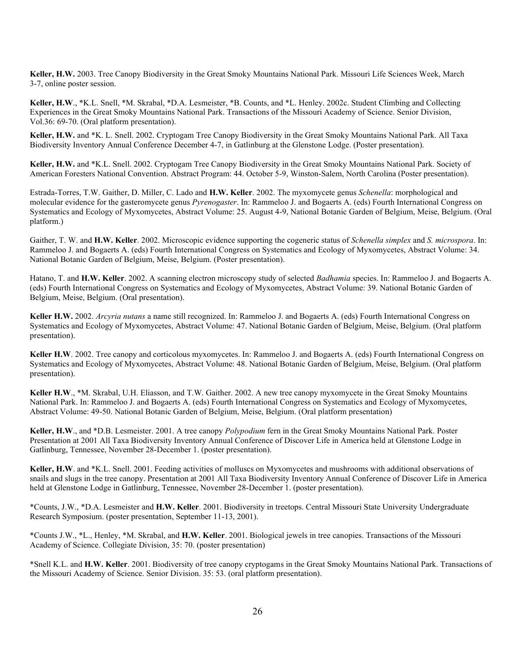**Keller, H.W.** 2003. Tree Canopy Biodiversity in the Great Smoky Mountains National Park. Missouri Life Sciences Week, March 3-7, online poster session.

**Keller, H.W**., \*K.L. Snell, \*M. Skrabal, \*D.A. Lesmeister, \*B. Counts, and \*L. Henley. 2002c. Student Climbing and Collecting Experiences in the Great Smoky Mountains National Park. Transactions of the Missouri Academy of Science. Senior Division, Vol.36: 69-70. (Oral platform presentation).

**Keller, H.W.** and \*K. L. Snell. 2002. Cryptogam Tree Canopy Biodiversity in the Great Smoky Mountains National Park. All Taxa Biodiversity Inventory Annual Conference December 4-7, in Gatlinburg at the Glenstone Lodge. (Poster presentation).

**Keller, H.W.** and \*K.L. Snell. 2002. Cryptogam Tree Canopy Biodiversity in the Great Smoky Mountains National Park. Society of American Foresters National Convention. Abstract Program: 44. October 5-9, Winston-Salem, North Carolina (Poster presentation).

Estrada-Torres, T.W. Gaither, D. Miller, C. Lado and **H.W. Keller**. 2002. The myxomycete genus *Schenella*: morphological and molecular evidence for the gasteromycete genus *Pyrenogaster*. In: Rammeloo J. and Bogaerts A. (eds) Fourth International Congress on Systematics and Ecology of Myxomycetes, Abstract Volume: 25. August 4-9, National Botanic Garden of Belgium, Meise, Belgium. (Oral platform.)

Gaither, T. W. and **H.W. Keller**. 2002. Microscopic evidence supporting the cogeneric status of *Schenella simplex* and *S. microspora*. In: Rammeloo J. and Bogaerts A. (eds) Fourth International Congress on Systematics and Ecology of Myxomycetes, Abstract Volume: 34. National Botanic Garden of Belgium, Meise, Belgium. (Poster presentation).

Hatano, T. and **H.W. Keller**. 2002. A scanning electron microscopy study of selected *Badhamia* species. In: Rammeloo J. and Bogaerts A. (eds) Fourth International Congress on Systematics and Ecology of Myxomycetes, Abstract Volume: 39. National Botanic Garden of Belgium, Meise, Belgium. (Oral presentation).

**Keller H.W.** 2002. *Arcyria nutans* a name still recognized. In: Rammeloo J. and Bogaerts A. (eds) Fourth International Congress on Systematics and Ecology of Myxomycetes, Abstract Volume: 47. National Botanic Garden of Belgium, Meise, Belgium. (Oral platform presentation).

**Keller H.W**. 2002. Tree canopy and corticolous myxomycetes. In: Rammeloo J. and Bogaerts A. (eds) Fourth International Congress on Systematics and Ecology of Myxomycetes, Abstract Volume: 48. National Botanic Garden of Belgium, Meise, Belgium. (Oral platform presentation).

**Keller H.W**., \*M. Skrabal, U.H. Eliasson, and T.W. Gaither. 2002. A new tree canopy myxomycete in the Great Smoky Mountains National Park. In: Rammeloo J. and Bogaerts A. (eds) Fourth International Congress on Systematics and Ecology of Myxomycetes, Abstract Volume: 49-50. National Botanic Garden of Belgium, Meise, Belgium. (Oral platform presentation)

**Keller, H.W**., and \*D.B. Lesmeister. 2001. A tree canopy *Polypodium* fern in the Great Smoky Mountains National Park. Poster Presentation at 2001 All Taxa Biodiversity Inventory Annual Conference of Discover Life in America held at Glenstone Lodge in Gatlinburg, Tennessee, November 28-December 1. (poster presentation).

**Keller, H.W**. and \*K.L. Snell. 2001. Feeding activities of molluscs on Myxomycetes and mushrooms with additional observations of snails and slugs in the tree canopy. Presentation at 2001 All Taxa Biodiversity Inventory Annual Conference of Discover Life in America held at Glenstone Lodge in Gatlinburg, Tennessee, November 28-December 1. (poster presentation).

\*Counts, J.W., \*D.A. Lesmeister and **H.W. Keller**. 2001. Biodiversity in treetops. Central Missouri State University Undergraduate Research Symposium. (poster presentation, September 11-13, 2001).

\*Counts J.W., \*L., Henley, \*M. Skrabal, and **H.W. Keller**. 2001. Biological jewels in tree canopies. Transactions of the Missouri Academy of Science. Collegiate Division, 35: 70. (poster presentation)

\*Snell K.L. and **H.W. Keller**. 2001. Biodiversity of tree canopy cryptogams in the Great Smoky Mountains National Park. Transactions of the Missouri Academy of Science. Senior Division. 35: 53. (oral platform presentation).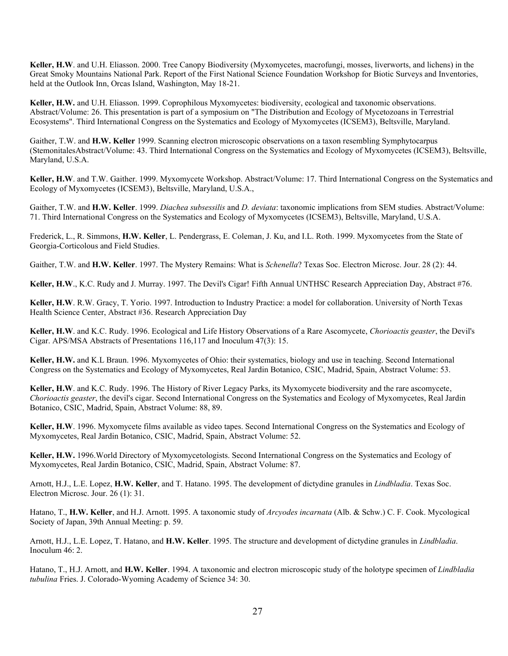**Keller, H.W**. and U.H. Eliasson. 2000. Tree Canopy Biodiversity (Myxomycetes, macrofungi, mosses, liverworts, and lichens) in the Great Smoky Mountains National Park. Report of the First National Science Foundation Workshop for Biotic Surveys and Inventories, held at the Outlook Inn, Orcas Island, Washington, May 18-21.

**Keller, H.W.** and U.H. Eliasson. 1999. Coprophilous Myxomycetes: biodiversity, ecological and taxonomic observations. Abstract/Volume: 26. This presentation is part of a symposium on "The Distribution and Ecology of Mycetozoans in Terrestrial Ecosystems". Third International Congress on the Systematics and Ecology of Myxomycetes (ICSEM3), Beltsville, Maryland.

Gaither, T.W. and **H.W. Keller** 1999. Scanning electron microscopic observations on a taxon resembling Symphytocarpus (StemonitalesAbstract/Volume: 43. Third International Congress on the Systematics and Ecology of Myxomycetes (ICSEM3), Beltsville, Maryland, U.S.A.

**Keller, H.W**. and T.W. Gaither. 1999. Myxomycete Workshop. Abstract/Volume: 17. Third International Congress on the Systematics and Ecology of Myxomycetes (ICSEM3), Beltsville, Maryland, U.S.A.,

Gaither, T.W. and **H.W. Keller**. 1999. *Diachea subsessilis* and *D. deviata*: taxonomic implications from SEM studies. Abstract/Volume: 71. Third International Congress on the Systematics and Ecology of Myxomycetes (ICSEM3), Beltsville, Maryland, U.S.A.

Frederick, L., R. Simmons, **H.W. Keller**, L. Pendergrass, E. Coleman, J. Ku, and I.L. Roth. 1999. Myxomycetes from the State of Georgia-Corticolous and Field Studies.

Gaither, T.W. and **H.W. Keller**. 1997. The Mystery Remains: What is *Schenella*? Texas Soc. Electron Microsc. Jour. 28 (2): 44.

**Keller, H.W**., K.C. Rudy and J. Murray. 1997. The Devil's Cigar! Fifth Annual UNTHSC Research Appreciation Day, Abstract #76.

**Keller, H.W**. R.W. Gracy, T. Yorio. 1997. Introduction to Industry Practice: a model for collaboration. University of North Texas Health Science Center, Abstract #36. Research Appreciation Day

**Keller, H.W**. and K.C. Rudy. 1996. Ecological and Life History Observations of a Rare Ascomycete, *Chorioactis geaster*, the Devil's Cigar. APS/MSA Abstracts of Presentations 116,117 and Inoculum 47(3): 15.

**Keller, H.W.** and K.L Braun. 1996. Myxomycetes of Ohio: their systematics, biology and use in teaching. Second International Congress on the Systematics and Ecology of Myxomycetes, Real Jardin Botanico, CSIC, Madrid, Spain, Abstract Volume: 53.

**Keller, H.W**. and K.C. Rudy. 1996. The History of River Legacy Parks, its Myxomycete biodiversity and the rare ascomycete, *Chorioactis geaster*, the devil's cigar. Second International Congress on the Systematics and Ecology of Myxomycetes, Real Jardin Botanico, CSIC, Madrid, Spain, Abstract Volume: 88, 89.

**Keller, H.W**. 1996. Myxomycete films available as video tapes. Second International Congress on the Systematics and Ecology of Myxomycetes, Real Jardin Botanico, CSIC, Madrid, Spain, Abstract Volume: 52.

**Keller, H.W.** 1996.World Directory of Myxomycetologists. Second International Congress on the Systematics and Ecology of Myxomycetes, Real Jardin Botanico, CSIC, Madrid, Spain, Abstract Volume: 87.

Arnott, H.J., L.E. Lopez, **H.W. Keller**, and T. Hatano. 1995. The development of dictydine granules in *Lindbladia*. Texas Soc. Electron Microsc. Jour. 26 (1): 31.

Hatano, T., **H.W. Keller**, and H.J. Arnott. 1995. A taxonomic study of *Arcyodes incarnata* (Alb. & Schw.) C. F. Cook. Mycological Society of Japan, 39th Annual Meeting: p. 59.

Arnott, H.J., L.E. Lopez, T. Hatano, and **H.W. Keller**. 1995. The structure and development of dictydine granules in *Lindbladia*. Inoculum 46: 2.

Hatano, T., H.J. Arnott, and **H.W. Keller**. 1994. A taxonomic and electron microscopic study of the holotype specimen of *Lindbladia tubulina* Fries. J. Colorado-Wyoming Academy of Science 34: 30.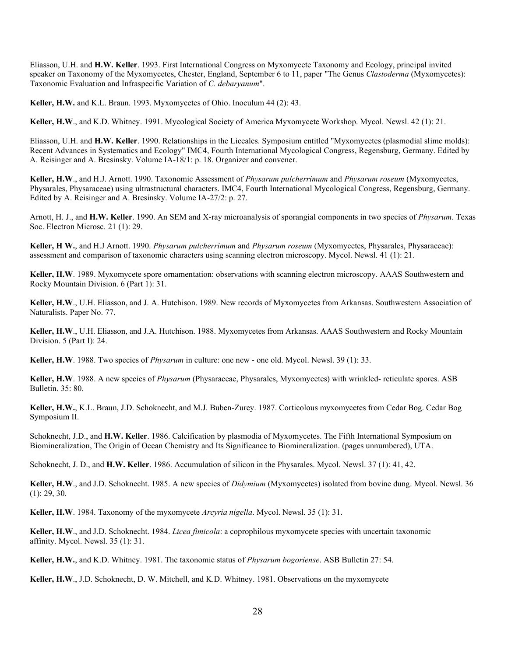Eliasson, U.H. and **H.W. Keller**. 1993. First International Congress on Myxomycete Taxonomy and Ecology, principal invited speaker on Taxonomy of the Myxomycetes, Chester, England, September 6 to 11, paper "The Genus *Clastoderma* (Myxomycetes): Taxonomic Evaluation and Infraspecific Variation of *C. debaryanum*".

**Keller, H.W.** and K.L. Braun. 1993. Myxomycetes of Ohio. Inoculum 44 (2): 43.

**Keller, H.W**., and K.D. Whitney. 1991. Mycological Society of America Myxomycete Workshop. Mycol. Newsl. 42 (1): 21.

Eliasson, U.H. and **H.W. Keller**. 1990. Relationships in the Liceales. Symposium entitled "Myxomycetes (plasmodial slime molds): Recent Advances in Systematics and Ecology" IMC4, Fourth International Mycological Congress, Regensburg, Germany. Edited by A. Reisinger and A. Bresinsky. Volume IA-18/1: p. 18. Organizer and convener.

**Keller, H.W**., and H.J. Arnott. 1990. Taxonomic Assessment of *Physarum pulcherrimum* and *Physarum roseum* (Myxomycetes, Physarales, Physaraceae) using ultrastructural characters. IMC4, Fourth International Mycological Congress, Regensburg, Germany. Edited by A. Reisinger and A. Bresinsky. Volume IA-27/2: p. 27.

Arnott, H. J., and **H.W. Keller**. 1990. An SEM and X-ray microanalysis of sporangial components in two species of *Physarum*. Texas Soc. Electron Microsc. 21 (1): 29.

**Keller, H W.**, and H.J Arnott. 1990. *Physarum pulcherrimum* and *Physarum roseum* (Myxomycetes, Physarales, Physaraceae): assessment and comparison of taxonomic characters using scanning electron microscopy. Mycol. Newsl. 41 (1): 21.

**Keller, H.W**. 1989. Myxomycete spore ornamentation: observations with scanning electron microscopy. AAAS Southwestern and Rocky Mountain Division. 6 (Part 1): 31.

**Keller, H.W**., U.H. Eliasson, and J. A. Hutchison. 1989. New records of Myxomycetes from Arkansas. Southwestern Association of Naturalists. Paper No. 77.

**Keller, H.W**., U.H. Eliasson, and J.A. Hutchison. 1988. Myxomycetes from Arkansas. AAAS Southwestern and Rocky Mountain Division. 5 (Part I): 24.

**Keller, H.W**. 1988. Two species of *Physarum* in culture: one new - one old. Mycol. Newsl. 39 (1): 33.

**Keller, H.W**. 1988. A new species of *Physarum* (Physaraceae, Physarales, Myxomycetes) with wrinkled- reticulate spores. ASB Bulletin. 35: 80.

**Keller, H.W.**, K.L. Braun, J.D. Schoknecht, and M.J. Buben-Zurey. 1987. Corticolous myxomycetes from Cedar Bog. Cedar Bog Symposium II.

Schoknecht, J.D., and **H.W. Keller**. 1986. Calcification by plasmodia of Myxomycetes. The Fifth International Symposium on Biomineralization, The Origin of Ocean Chemistry and Its Significance to Biomineralization. (pages unnumbered), UTA.

Schoknecht, J. D., and **H.W. Keller**. 1986. Accumulation of silicon in the Physarales. Mycol. Newsl. 37 (1): 41, 42.

**Keller, H.W**., and J.D. Schoknecht. 1985. A new species of *Didymium* (Myxomycetes) isolated from bovine dung. Mycol. Newsl. 36 (1): 29, 30.

**Keller, H.W**. 1984. Taxonomy of the myxomycete *Arcyria nigella*. Mycol. Newsl. 35 (1): 31.

**Keller, H.W**., and J.D. Schoknecht. 1984. *Licea fimicola*: a coprophilous myxomycete species with uncertain taxonomic affinity. Mycol. Newsl. 35 (1): 31.

**Keller, H.W.**, and K.D. Whitney. 1981. The taxonomic status of *Physarum bogoriense*. ASB Bulletin 27: 54.

**Keller, H.W**., J.D. Schoknecht, D. W. Mitchell, and K.D. Whitney. 1981. Observations on the myxomycete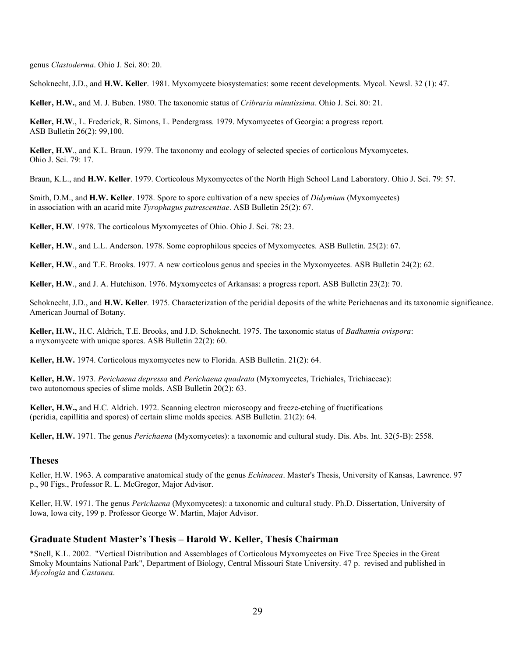genus *Clastoderma*. Ohio J. Sci. 80: 20.

Schoknecht, J.D., and **H.W. Keller**. 1981. Myxomycete biosystematics: some recent developments. Mycol. Newsl. 32 (1): 47.

**Keller, H.W.**, and M. J. Buben. 1980. The taxonomic status of *Cribraria minutissima*. Ohio J. Sci. 80: 21.

**Keller, H.W**., L. Frederick, R. Simons, L. Pendergrass. 1979. Myxomycetes of Georgia: a progress report. ASB Bulletin 26(2): 99,100.

**Keller, H.W**., and K.L. Braun. 1979. The taxonomy and ecology of selected species of corticolous Myxomycetes. Ohio J. Sci. 79: 17.

Braun, K.L., and **H.W. Keller**. 1979. Corticolous Myxomycetes of the North High School Land Laboratory. Ohio J. Sci. 79: 57.

Smith, D.M., and **H.W. Keller**. 1978. Spore to spore cultivation of a new species of *Didymium* (Myxomycetes) in association with an acarid mite *Tyrophagus putrescentiae*. ASB Bulletin 25(2): 67.

**Keller, H.W**. 1978. The corticolous Myxomycetes of Ohio. Ohio J. Sci. 78: 23.

**Keller, H.W**., and L.L. Anderson. 1978. Some coprophilous species of Myxomycetes. ASB Bulletin. 25(2): 67.

**Keller, H.W**., and T.E. Brooks. 1977. A new corticolous genus and species in the Myxomycetes. ASB Bulletin 24(2): 62.

**Keller, H.W**., and J. A. Hutchison. 1976. Myxomycetes of Arkansas: a progress report. ASB Bulletin 23(2): 70.

Schoknecht, J.D., and **H.W. Keller**. 1975. Characterization of the peridial deposits of the white Perichaenas and its taxonomic significance. American Journal of Botany.

**Keller, H.W.**, H.C. Aldrich, T.E. Brooks, and J.D. Schoknecht. 1975. The taxonomic status of *Badhamia ovispora*: a myxomycete with unique spores. ASB Bulletin 22(2): 60.

**Keller, H.W.** 1974. Corticolous myxomycetes new to Florida. ASB Bulletin. 21(2): 64.

**Keller, H.W.** 1973. *Perichaena depressa* and *Perichaena quadrata* (Myxomycetes, Trichiales, Trichiaceae): two autonomous species of slime molds. ASB Bulletin 20(2): 63.

**Keller, H.W.,** and H.C. Aldrich. 1972. Scanning electron microscopy and freeze-etching of fructifications (peridia, capillitia and spores) of certain slime molds species. ASB Bulletin. 21(2): 64.

**Keller, H.W.** 1971. The genus *Perichaena* (Myxomycetes): a taxonomic and cultural study. Dis. Abs. Int. 32(5-B): 2558.

# **Theses**

Keller, H.W. 1963. A comparative anatomical study of the genus *Echinacea*. Master's Thesis, University of Kansas, Lawrence. 97 p., 90 Figs., Professor R. L. McGregor, Major Advisor.

Keller, H.W. 1971. The genus *Perichaena* (Myxomycetes): a taxonomic and cultural study. Ph.D. Dissertation, University of Iowa, Iowa city, 199 p. Professor George W. Martin, Major Advisor.

# **Graduate Student Master's Thesis – Harold W. Keller, Thesis Chairman**

\*Snell, K.L. 2002. "Vertical Distribution and Assemblages of Corticolous Myxomycetes on Five Tree Species in the Great Smoky Mountains National Park", Department of Biology, Central Missouri State University. 47 p. revised and published in *Mycologia* and *Castanea*.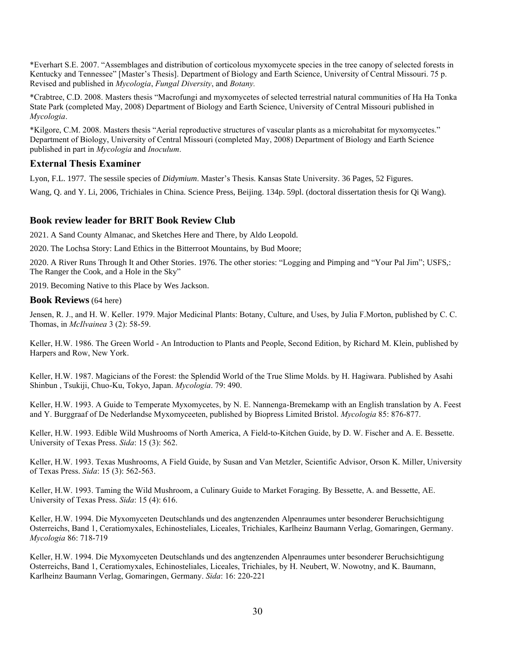\*Everhart S.E. 2007. "Assemblages and distribution of corticolous myxomycete species in the tree canopy of selected forests in Kentucky and Tennessee" [Master's Thesis]. Department of Biology and Earth Science, University of Central Missouri. 75 p. Revised and published in *Mycologia*, *Fungal Diversity*, and *Botany.*

\*Crabtree, C.D. 2008. Masters thesis "Macrofungi and myxomycetes of selected terrestrial natural communities of Ha Ha Tonka State Park (completed May, 2008) Department of Biology and Earth Science, University of Central Missouri published in *Mycologia*.

\*Kilgore, C.M. 2008. Masters thesis "Aerial reproductive structures of vascular plants as a microhabitat for myxomycetes." Department of Biology, University of Central Missouri (completed May, 2008) Department of Biology and Earth Science published in part in *Mycologia* and *Inoculum*.

# **External Thesis Examiner**

Lyon, F.L. 1977. The sessile species of *Didymium*. Master's Thesis. Kansas State University. 36 Pages, 52 Figures.

Wang, Q. and Y. Li, 2006, Trichiales in China. Science Press, Beijing. 134p. 59pl. (doctoral dissertation thesis for Qi Wang).

# **Book review leader for BRIT Book Review Club**

2021. A Sand County Almanac, and Sketches Here and There, by Aldo Leopold.

2020. The Lochsa Story: Land Ethics in the Bitterroot Mountains, by Bud Moore;

2020. A River Runs Through It and Other Stories. 1976. The other stories: "Logging and Pimping and "Your Pal Jim"; USFS,: The Ranger the Cook, and a Hole in the Sky"

2019. Becoming Native to this Place by Wes Jackson.

#### **Book Reviews** (64 here)

Jensen, R. J., and H. W. Keller. 1979. Major Medicinal Plants: Botany, Culture, and Uses, by Julia F.Morton, published by C. C. Thomas, in *McIlvainea* 3 (2): 58-59.

Keller, H.W. 1986. The Green World - An Introduction to Plants and People, Second Edition, by Richard M. Klein, published by Harpers and Row, New York.

Keller, H.W. 1987. Magicians of the Forest: the Splendid World of the True Slime Molds. by H. Hagiwara. Published by Asahi Shinbun , Tsukiji, Chuo-Ku, Tokyo, Japan. *Mycologia*. 79: 490.

Keller, H.W. 1993. A Guide to Temperate Myxomycetes, by N. E. Nannenga-Bremekamp with an English translation by A. Feest and Y. Burggraaf of De Nederlandse Myxomyceeten, published by Biopress Limited Bristol. *Mycologia* 85: 876-877.

Keller, H.W. 1993. Edible Wild Mushrooms of North America, A Field-to-Kitchen Guide, by D. W. Fischer and A. E. Bessette. University of Texas Press. *Sida*: 15 (3): 562.

Keller, H.W. 1993. Texas Mushrooms, A Field Guide, by Susan and Van Metzler, Scientific Advisor, Orson K. Miller, University of Texas Press. *Sida*: 15 (3): 562-563.

Keller, H.W. 1993. Taming the Wild Mushroom, a Culinary Guide to Market Foraging. By Bessette, A. and Bessette, AE. University of Texas Press. *Sida*: 15 (4): 616.

Keller, H.W. 1994. Die Myxomyceten Deutschlands und des angtenzenden Alpenraumes unter besonderer Beruchsichtigung Osterreichs, Band 1, Ceratiomyxales, Echinosteliales, Liceales, Trichiales, Karlheinz Baumann Verlag, Gomaringen, Germany. *Mycologia* 86: 718-719

Keller, H.W. 1994. Die Myxomyceten Deutschlands und des angtenzenden Alpenraumes unter besonderer Beruchsichtigung Osterreichs, Band 1, Ceratiomyxales, Echinosteliales, Liceales, Trichiales, by H. Neubert, W. Nowotny, and K. Baumann, Karlheinz Baumann Verlag, Gomaringen, Germany. *Sida*: 16: 220-221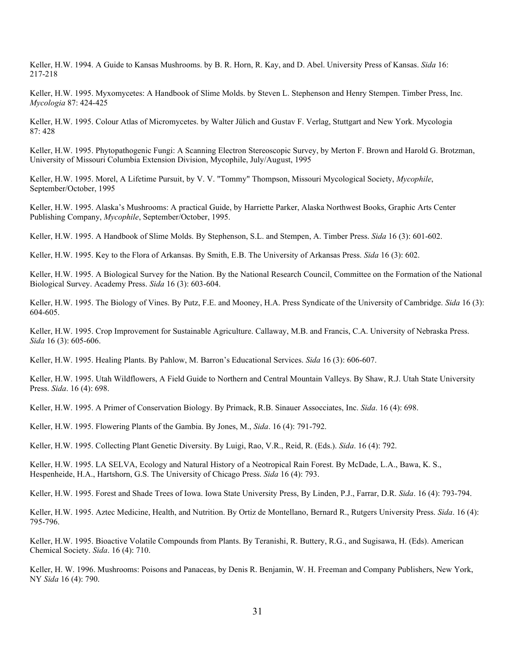Keller, H.W. 1994. A Guide to Kansas Mushrooms. by B. R. Horn, R. Kay, and D. Abel. University Press of Kansas. *Sida* 16: 217-218

Keller, H.W. 1995. Myxomycetes: A Handbook of Slime Molds. by Steven L. Stephenson and Henry Stempen. Timber Press, Inc. *Mycologia* 87: 424-425

Keller, H.W. 1995. Colour Atlas of Micromycetes. by Walter Jülich and Gustav F. Verlag, Stuttgart and New York. Mycologia 87: 428

Keller, H.W. 1995. Phytopathogenic Fungi: A Scanning Electron Stereoscopic Survey, by Merton F. Brown and Harold G. Brotzman, University of Missouri Columbia Extension Division, Mycophile, July/August, 1995

Keller, H.W. 1995. Morel, A Lifetime Pursuit, by V. V. "Tommy" Thompson, Missouri Mycological Society, *Mycophile*, September/October, 1995

Keller, H.W. 1995. Alaska's Mushrooms: A practical Guide, by Harriette Parker, Alaska Northwest Books, Graphic Arts Center Publishing Company, *Mycophile*, September/October, 1995.

Keller, H.W. 1995. A Handbook of Slime Molds. By Stephenson, S.L. and Stempen, A. Timber Press. *Sida* 16 (3): 601-602.

Keller, H.W. 1995. Key to the Flora of Arkansas. By Smith, E.B. The University of Arkansas Press. *Sida* 16 (3): 602.

Keller, H.W. 1995. A Biological Survey for the Nation. By the National Research Council, Committee on the Formation of the National Biological Survey. Academy Press. *Sida* 16 (3): 603-604.

Keller, H.W. 1995. The Biology of Vines. By Putz, F.E. and Mooney, H.A. Press Syndicate of the University of Cambridge. *Sida* 16 (3): 604-605.

Keller, H.W. 1995. Crop Improvement for Sustainable Agriculture. Callaway, M.B. and Francis, C.A. University of Nebraska Press. *Sida* 16 (3): 605-606.

Keller, H.W. 1995. Healing Plants. By Pahlow, M. Barron's Educational Services. *Sida* 16 (3): 606-607.

Keller, H.W. 1995. Utah Wildflowers, A Field Guide to Northern and Central Mountain Valleys. By Shaw, R.J. Utah State University Press. *Sida*. 16 (4): 698.

Keller, H.W. 1995. A Primer of Conservation Biology. By Primack, R.B. Sinauer Assocciates, Inc. *Sida*. 16 (4): 698.

Keller, H.W. 1995. Flowering Plants of the Gambia. By Jones, M., *Sida*. 16 (4): 791-792.

Keller, H.W. 1995. Collecting Plant Genetic Diversity. By Luigi, Rao, V.R., Reid, R. (Eds.). *Sida*. 16 (4): 792.

Keller, H.W. 1995. LA SELVA, Ecology and Natural History of a Neotropical Rain Forest. By McDade, L.A., Bawa, K. S., Hespenheide, H.A., Hartshorn, G.S. The University of Chicago Press. *Sida* 16 (4): 793.

Keller, H.W. 1995. Forest and Shade Trees of Iowa. Iowa State University Press, By Linden, P.J., Farrar, D.R. *Sida*. 16 (4): 793-794.

Keller, H.W. 1995. Aztec Medicine, Health, and Nutrition. By Ortiz de Montellano, Bernard R., Rutgers University Press. *Sida*. 16 (4): 795-796.

Keller, H.W. 1995. Bioactive Volatile Compounds from Plants. By Teranishi, R. Buttery, R.G., and Sugisawa, H. (Eds). American Chemical Society. *Sida*. 16 (4): 710.

Keller, H. W. 1996. Mushrooms: Poisons and Panaceas, by Denis R. Benjamin, W. H. Freeman and Company Publishers, New York, NY *Sida* 16 (4): 790.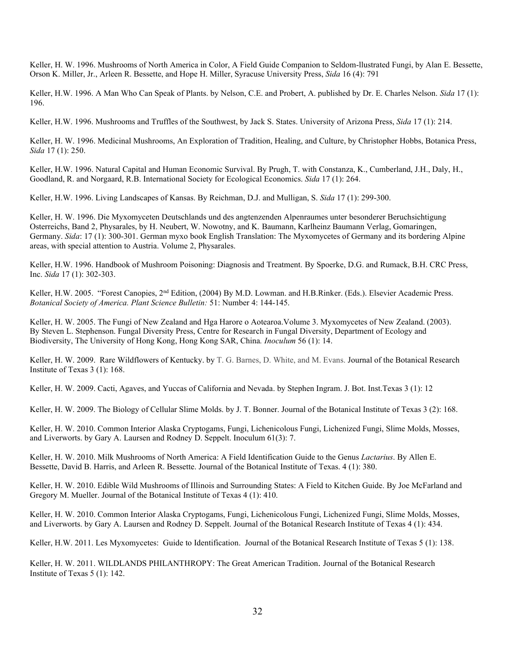Keller, H. W. 1996. Mushrooms of North America in Color, A Field Guide Companion to Seldom-llustrated Fungi, by Alan E. Bessette, Orson K. Miller, Jr., Arleen R. Bessette, and Hope H. Miller, Syracuse University Press, *Sida* 16 (4): 791

Keller, H.W. 1996. A Man Who Can Speak of Plants. by Nelson, C.E. and Probert, A. published by Dr. E. Charles Nelson. *Sida* 17 (1): 196.

Keller, H.W. 1996. Mushrooms and Truffles of the Southwest, by Jack S. States. University of Arizona Press, *Sida* 17 (1): 214.

Keller, H. W. 1996. Medicinal Mushrooms, An Exploration of Tradition, Healing, and Culture, by Christopher Hobbs, Botanica Press, *Sida* 17 (1): 250.

Keller, H.W. 1996. Natural Capital and Human Economic Survival. By Prugh, T. with Constanza, K., Cumberland, J.H., Daly, H., Goodland, R. and Norgaard, R.B. International Society for Ecological Economics. *Sida* 17 (1): 264.

Keller, H.W. 1996. Living Landscapes of Kansas. By Reichman, D.J. and Mulligan, S. *Sida* 17 (1): 299-300.

Keller, H. W. 1996. Die Myxomyceten Deutschlands und des angtenzenden Alpenraumes unter besonderer Beruchsichtigung Osterreichs, Band 2, Physarales, by H. Neubert, W. Nowotny, and K. Baumann, Karlheinz Baumann Verlag, Gomaringen, Germany. *Sida*: 17 (1): 300-301. German myxo book English Translation: The Myxomycetes of Germany and its bordering Alpine areas, with special attention to Austria. Volume 2, Physarales.

Keller, H.W. 1996. Handbook of Mushroom Poisoning: Diagnosis and Treatment. By Spoerke, D.G. and Rumack, B.H. CRC Press, Inc. *Sida* 17 (1): 302-303.

Keller, H.W. 2005. "Forest Canopies, 2<sup>nd</sup> Edition, (2004) By M.D. Lowman. and H.B.Rinker. (Eds.). Elsevier Academic Press. *Botanical Society of America. Plant Science Bulletin:* 51: Number 4: 144-145.

Keller, H. W. 2005. The Fungi of New Zealand and Hga Harore o Aotearoa.Volume 3. Myxomycetes of New Zealand. (2003). By Steven L. Stephenson. Fungal Diversity Press, Centre for Research in Fungal Diversity, Department of Ecology and Biodiversity, The University of Hong Kong, Hong Kong SAR, China*. Inoculum* 56 (1): 14.

Keller, H. W. 2009. Rare Wildflowers of Kentucky. by T. G. Barnes, D. White, and M. Evans. Journal of the Botanical Research Institute of Texas 3 (1): 168.

Keller, H. W. 2009. Cacti, Agaves, and Yuccas of California and Nevada. by Stephen Ingram. J. Bot. Inst.Texas 3 (1): 12

Keller, H. W. 2009. The Biology of Cellular Slime Molds. by J. T. Bonner. Journal of the Botanical Institute of Texas 3 (2): 168.

Keller, H. W. 2010. Common Interior Alaska Cryptogams, Fungi, Lichenicolous Fungi, Lichenized Fungi, Slime Molds, Mosses, and Liverworts. by Gary A. Laursen and Rodney D. Seppelt. Inoculum 61(3): 7.

Keller, H. W. 2010. Milk Mushrooms of North America: A Field Identification Guide to the Genus *Lactarius*. By Allen E. Bessette, David B. Harris, and Arleen R. Bessette. Journal of the Botanical Institute of Texas. 4 (1): 380.

Keller, H. W. 2010. Edible Wild Mushrooms of Illinois and Surrounding States: A Field to Kitchen Guide. By Joe McFarland and Gregory M. Mueller. Journal of the Botanical Institute of Texas 4 (1): 410.

Keller, H. W. 2010. Common Interior Alaska Cryptogams, Fungi, Lichenicolous Fungi, Lichenized Fungi, Slime Molds, Mosses, and Liverworts. by Gary A. Laursen and Rodney D. Seppelt. Journal of the Botanical Research Institute of Texas 4 (1): 434.

Keller, H.W. 2011. Les Myxomycetes: Guide to Identification. Journal of the Botanical Research Institute of Texas 5 (1): 138.

Keller, H. W. 2011. WILDLANDS PHILANTHROPY: The Great American Tradition. Journal of the Botanical Research Institute of Texas 5 (1): 142.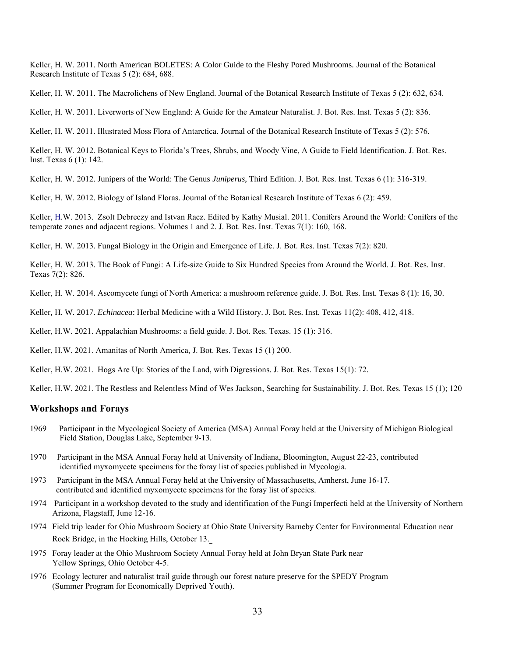Keller, H. W. 2011. North American BOLETES: A Color Guide to the Fleshy Pored Mushrooms. Journal of the Botanical Research Institute of Texas 5 (2): 684, 688.

Keller, H. W. 2011. The Macrolichens of New England. Journal of the Botanical Research Institute of Texas 5 (2): 632, 634.

Keller, H. W. 2011. Liverworts of New England: A Guide for the Amateur Naturalist. J. Bot. Res. Inst. Texas 5 (2): 836.

Keller, H. W. 2011. Illustrated Moss Flora of Antarctica. Journal of the Botanical Research Institute of Texas 5 (2): 576.

Keller, H. W. 2012. Botanical Keys to Florida's Trees, Shrubs, and Woody Vine, A Guide to Field Identification. J. Bot. Res. Inst. Texas 6 (1): 142.

Keller, H. W. 2012. Junipers of the World: The Genus *Juniperus*, Third Edition. J. Bot. Res. Inst. Texas 6 (1): 316-319.

Keller, H. W. 2012. Biology of Island Floras. Journal of the Botanical Research Institute of Texas 6 (2): 459.

Keller, H.W. 2013. Zsolt Debreczy and Istvan Racz. Edited by Kathy Musial. 2011. Conifers Around the World: Conifers of the temperate zones and adjacent regions. Volumes 1 and 2. J. Bot. Res. Inst. Texas 7(1): 160, 168.

Keller, H. W. 2013. Fungal Biology in the Origin and Emergence of Life. J. Bot. Res. Inst. Texas 7(2): 820.

Keller, H. W. 2013. The Book of Fungi: A Life-size Guide to Six Hundred Species from Around the World. J. Bot. Res. Inst. Texas 7(2): 826.

Keller, H. W. 2014. Ascomycete fungi of North America: a mushroom reference guide. J. Bot. Res. Inst. Texas 8 (1): 16, 30.

Keller, H. W. 2017. *Echinacea*: Herbal Medicine with a Wild History. J. Bot. Res. Inst. Texas 11(2): 408, 412, 418.

Keller, H.W. 2021. Appalachian Mushrooms: a field guide. J. Bot. Res. Texas. 15 (1): 316.

Keller, H.W. 2021. Amanitas of North America, J. Bot. Res. Texas 15 (1) 200.

Keller, H.W. 2021. Hogs Are Up: Stories of the Land, with Digressions. J. Bot. Res. Texas 15(1): 72.

Keller, H.W. 2021. The Restless and Relentless Mind of Wes Jackson, Searching for Sustainability. J. Bot. Res. Texas 15 (1); 120

#### **Workshops and Forays**

- 1969Participant in the Mycological Society of America (MSA) Annual Foray held at the University of Michigan Biological Field Station, Douglas Lake, September 9-13.
- 1970Participant in the MSA Annual Foray held at University of Indiana, Bloomington, August 22-23, contributed identified myxomycete specimens for the foray list of species published in Mycologia.
- 1973Participant in the MSA Annual Foray held at the University of Massachusetts, Amherst, June 16-17. contributed and identified myxomycete specimens for the foray list of species.
- 1974 Participant in a workshop devoted to the study and identification of the Fungi Imperfecti held at the University of Northern Arizona, Flagstaff, June 12-16.
- 1974 Field trip leader for Ohio Mushroom Society at Ohio State University Barneby Center for Environmental Education near Rock Bridge, in the Hocking Hills, October 13.
- 1975 Foray leader at the Ohio Mushroom Society Annual Foray held at John Bryan State Park near Yellow Springs, Ohio October 4-5.
- 1976 Ecology lecturer and naturalist trail guide through our forest nature preserve for the SPEDY Program (Summer Program for Economically Deprived Youth).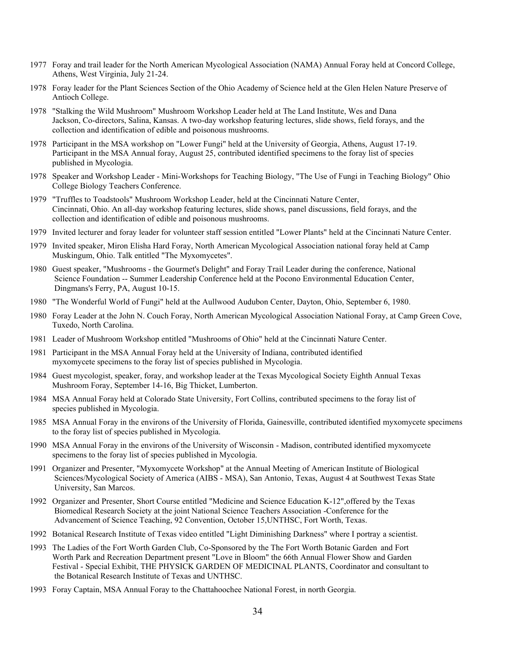- 1977 Foray and trail leader for the North American Mycological Association (NAMA) Annual Foray held at Concord College, Athens, West Virginia, July 21-24.
- 1978 Foray leader for the Plant Sciences Section of the Ohio Academy of Science held at the Glen Helen Nature Preserve of Antioch College.
- 1978 "Stalking the Wild Mushroom" Mushroom Workshop Leader held at The Land Institute, Wes and Dana Jackson, Co-directors, Salina, Kansas. A two-day workshop featuring lectures, slide shows, field forays, and the collection and identification of edible and poisonous mushrooms.
- 1978 Participant in the MSA workshop on "Lower Fungi" held at the University of Georgia, Athens, August 17-19. Participant in the MSA Annual foray, August 25, contributed identified specimens to the foray list of species published in Mycologia.
- 1978 Speaker and Workshop Leader Mini-Workshops for Teaching Biology, "The Use of Fungi in Teaching Biology" Ohio College Biology Teachers Conference.
- 1979 "Truffles to Toadstools" Mushroom Workshop Leader, held at the Cincinnati Nature Center, Cincinnati, Ohio. An all-day workshop featuring lectures, slide shows, panel discussions, field forays, and the collection and identification of edible and poisonous mushrooms.
- 1979 Invited lecturer and foray leader for volunteer staff session entitled "Lower Plants" held at the Cincinnati Nature Center.
- 1979 Invited speaker, Miron Elisha Hard Foray, North American Mycological Association national foray held at Camp Muskingum, Ohio. Talk entitled "The Myxomycetes".
- 1980 Guest speaker, "Mushrooms the Gourmet's Delight" and Foray Trail Leader during the conference, National Science Foundation -- Summer Leadership Conference held at the Pocono Environmental Education Center, Dingmans's Ferry, PA, August 10-15.
- 1980 "The Wonderful World of Fungi" held at the Aullwood Audubon Center, Dayton, Ohio, September 6, 1980.
- 1980 Foray Leader at the John N. Couch Foray, North American Mycological Association National Foray, at Camp Green Cove, Tuxedo, North Carolina.
- 1981 Leader of Mushroom Workshop entitled "Mushrooms of Ohio" held at the Cincinnati Nature Center.
- 1981 Participant in the MSA Annual Foray held at the University of Indiana, contributed identified myxomycete specimens to the foray list of species published in Mycologia.
- 1984 Guest mycologist, speaker, foray, and workshop leader at the Texas Mycological Society Eighth Annual Texas Mushroom Foray, September 14-16, Big Thicket, Lumberton.
- 1984 MSA Annual Foray held at Colorado State University, Fort Collins, contributed specimens to the foray list of species published in Mycologia.
- 1985 MSA Annual Foray in the environs of the University of Florida, Gainesville, contributed identified myxomycete specimens to the foray list of species published in Mycologia.
- 1990 MSA Annual Foray in the environs of the University of Wisconsin Madison, contributed identified myxomycete specimens to the foray list of species published in Mycologia.
- 1991 Organizer and Presenter, "Myxomycete Workshop" at the Annual Meeting of American Institute of Biological Sciences/Mycological Society of America (AIBS - MSA), San Antonio, Texas, August 4 at Southwest Texas State University, San Marcos.
- 1992 Organizer and Presenter, Short Course entitled "Medicine and Science Education K-12",offered by the Texas Biomedical Research Society at the joint National Science Teachers Association -Conference for the Advancement of Science Teaching, 92 Convention, October 15,UNTHSC, Fort Worth, Texas.
- 1992 Botanical Research Institute of Texas video entitled "Light Diminishing Darkness" where I portray a scientist.
- 1993 The Ladies of the Fort Worth Garden Club, Co-Sponsored by the The Fort Worth Botanic Garden and Fort Worth Park and Recreation Department present "Love in Bloom" the 66th Annual Flower Show and Garden Festival - Special Exhibit, THE PHYSICK GARDEN OF MEDICINAL PLANTS, Coordinator and consultant to the Botanical Research Institute of Texas and UNTHSC.
- 1993 Foray Captain, MSA Annual Foray to the Chattahoochee National Forest, in north Georgia.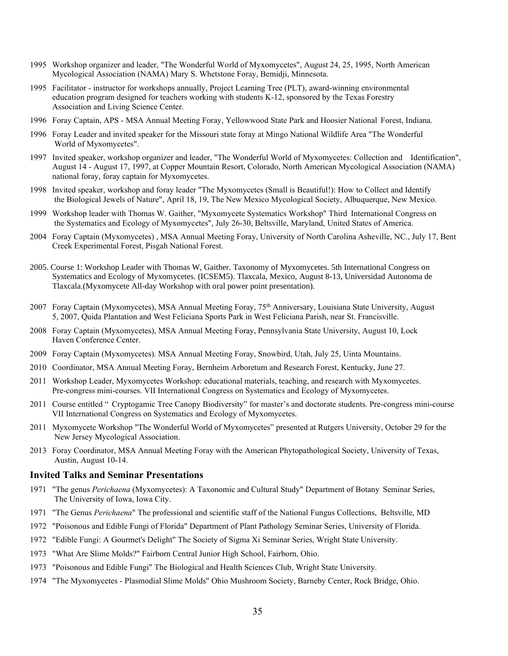- 1995 Workshop organizer and leader, "The Wonderful World of Myxomycetes", August 24, 25, 1995, North American Mycological Association (NAMA) Mary S. Whetstone Foray, Bemidji, Minnesota.
- 1995 Facilitator instructor for workshops annually, Project Learning Tree (PLT), award-winning environmental education program designed for teachers working with students K-12, sponsored by the Texas Forestry Association and Living Science Center.
- 1996 Foray Captain, APS MSA Annual Meeting Foray, Yellowwood State Park and Hoosier National Forest, Indiana.
- 1996 Foray Leader and invited speaker for the Missouri state foray at Mingo National Wildlife Area "The Wonderful World of Myxomycetes".
- 1997 Invited speaker, workshop organizer and leader, "The Wonderful World of Myxomycetes: Collection and Identification", August 14 - August 17, 1997, at Copper Mountain Resort, Colorado, North American Mycological Association (NAMA) national foray, foray captain for Myxomycetes.
- 1998 Invited speaker, workshop and foray leader "The Myxomycetes (Small is Beautiful!): How to Collect and Identify the Biological Jewels of Nature", April 18, 19, The New Mexico Mycological Society, Albuquerque, New Mexico.
- 1999 Workshop leader with Thomas W. Gaither, "Myxomycete Systematics Workshop" Third International Congress on the Systematics and Ecology of Myxomycetes", July 26-30, Beltsville, Maryland, United States of America.
- 2004 Foray Captain (Myxomycetes) , MSA Annual Meeting Foray, University of North Carolina Asheville, NC., July 17, Bent Creek Experimental Forest, Pisgah National Forest.
- 2005. Course 1: Workshop Leader with Thomas W, Gaither. Taxonomy of Myxomycetes. 5th International Congress on Systematics and Ecology of Myxomycetes. (ICSEM5). Tlaxcala, Mexico, August 8-13, Universidad Autonoma de Tlaxcala.(Myxomycete All-day Workshop with oral power point presentation).
- 2007 Foray Captain (Myxomycetes), MSA Annual Meeting Foray, 75<sup>th</sup> Anniversary, Louisiana State University, August 5, 2007, Quida Plantation and West Feliciana Sports Park in West Feliciana Parish, near St. Francisville.
- 2008 Foray Captain (Myxomycetes), MSA Annual Meeting Foray, Pennsylvania State University, August 10, Lock Haven Conference Center.
- 2009 Foray Captain (Myxomycetes). MSA Annual Meeting Foray, Snowbird, Utah, July 25, Uinta Mountains.
- 2010 Coordinator, MSA Annual Meeting Foray, Bernheim Arboretum and Research Forest, Kentucky, June 27.
- 2011 Workshop Leader, Myxomycetes Workshop: educational materials, teaching, and research with Myxomycetes. Pre-congress mini-courses. VII International Congress on Systematics and Ecology of Myxomycetes.
- 2011 Course entitled " Cryptogamic Tree Canopy Biodiversity" for master's and doctorate students. Pre-congress mini-course VII International Congress on Systematics and Ecology of Myxomycetes.
- 2011 Myxomycete Workshop "The Wonderful World of Myxomycetes" presented at Rutgers University, October 29 for the New Jersey Mycological Association.
- 2013 Foray Coordinator, MSA Annual Meeting Foray with the American Phytopathological Society, University of Texas, Austin, August 10-14.

#### **Invited Talks and Seminar Presentations**

- 1971 "The genus *Perichaena* (Myxomycetes): A Taxonomic and Cultural Study" Department of Botany Seminar Series, The University of Iowa, Iowa City.
- 1971 "The Genus *Perichaena*" The professional and scientific staff of the National Fungus Collections, Beltsville, MD
- 1972 "Poisonous and Edible Fungi of Florida" Department of Plant Pathology Seminar Series, University of Florida.
- 1972 "Edible Fungi: A Gourmet's Delight" The Society of Sigma Xi Seminar Series, Wright State University.
- 1973 "What Are Slime Molds?" Fairborn Central Junior High School, Fairborn, Ohio.
- 1973 "Poisonous and Edible Fungi" The Biological and Health Sciences Club, Wright State University.
- 1974 "The Myxomycetes Plasmodial Slime Molds" Ohio Mushroom Society, Barneby Center, Rock Bridge, Ohio.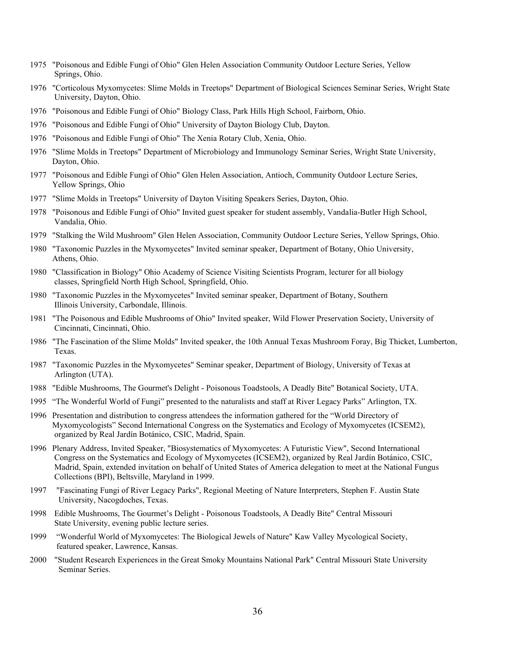- 1975 "Poisonous and Edible Fungi of Ohio" Glen Helen Association Community Outdoor Lecture Series, Yellow Springs, Ohio.
- 1976 "Corticolous Myxomycetes: Slime Molds in Treetops" Department of Biological Sciences Seminar Series, Wright State University, Dayton, Ohio.
- 1976 "Poisonous and Edible Fungi of Ohio" Biology Class, Park Hills High School, Fairborn, Ohio.
- 1976 "Poisonous and Edible Fungi of Ohio" University of Dayton Biology Club, Dayton.
- 1976 "Poisonous and Edible Fungi of Ohio" The Xenia Rotary Club, Xenia, Ohio.
- 1976 "Slime Molds in Treetops" Department of Microbiology and Immunology Seminar Series, Wright State University, Dayton, Ohio.
- 1977 "Poisonous and Edible Fungi of Ohio" Glen Helen Association, Antioch, Community Outdoor Lecture Series, Yellow Springs, Ohio
- 1977 "Slime Molds in Treetops" University of Dayton Visiting Speakers Series, Dayton, Ohio.
- 1978 "Poisonous and Edible Fungi of Ohio" Invited guest speaker for student assembly, Vandalia-Butler High School, Vandalia, Ohio.
- 1979 "Stalking the Wild Mushroom" Glen Helen Association, Community Outdoor Lecture Series, Yellow Springs, Ohio.
- 1980 "Taxonomic Puzzles in the Myxomycetes" Invited seminar speaker, Department of Botany, Ohio University, Athens, Ohio.
- 1980 "Classification in Biology" Ohio Academy of Science Visiting Scientists Program, lecturer for all biology classes, Springfield North High School, Springfield, Ohio.
- 1980 "Taxonomic Puzzles in the Myxomycetes" Invited seminar speaker, Department of Botany, Southern Illinois University, Carbondale, Illinois.
- 1981 "The Poisonous and Edible Mushrooms of Ohio" Invited speaker, Wild Flower Preservation Society, University of Cincinnati, Cincinnati, Ohio.
- 1986 "The Fascination of the Slime Molds" Invited speaker, the 10th Annual Texas Mushroom Foray, Big Thicket, Lumberton, Texas.
- 1987 "Taxonomic Puzzles in the Myxomycetes" Seminar speaker, Department of Biology, University of Texas at Arlington (UTA).
- 1988 "Edible Mushrooms, The Gourmet's Delight Poisonous Toadstools, A Deadly Bite" Botanical Society, UTA.
- 1995 "The Wonderful World of Fungi" presented to the naturalists and staff at River Legacy Parks" Arlington, TX.
- 1996 Presentation and distribution to congress attendees the information gathered for the "World Directory of Myxomycologists" Second International Congress on the Systematics and Ecology of Myxomycetes (ICSEM2), organized by Real Jardín Botánico, CSIC, Madrid, Spain.
- 1996 Plenary Address, Invited Speaker, "Biosystematics of Myxomycetes: A Futuristic View", Second International Congress on the Systematics and Ecology of Myxomycetes (ICSEM2), organized by Real Jardín Botánico, CSIC, Madrid, Spain, extended invitation on behalf of United States of America delegation to meet at the National Fungus Collections (BPI), Beltsville, Maryland in 1999.
- 1997 "Fascinating Fungi of River Legacy Parks", Regional Meeting of Nature Interpreters, Stephen F. Austin State University, Nacogdoches, Texas.
- 1998 Edible Mushrooms, The Gourmet's Delight Poisonous Toadstools, A Deadly Bite" Central Missouri State University, evening public lecture series.
- 1999 "Wonderful World of Myxomycetes: The Biological Jewels of Nature" Kaw Valley Mycological Society, featured speaker, Lawrence, Kansas.
- 2000 "Student Research Experiences in the Great Smoky Mountains National Park" Central Missouri State University Seminar Series.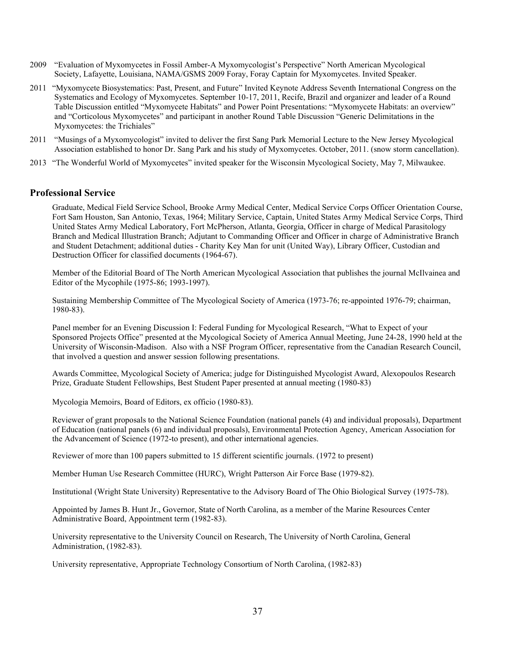- 2009 "Evaluation of Myxomycetes in Fossil Amber-A Myxomycologist's Perspective" North American Mycological Society, Lafayette, Louisiana, NAMA/GSMS 2009 Foray, Foray Captain for Myxomycetes. Invited Speaker.
- 2011 "Myxomycete Biosystematics: Past, Present, and Future" Invited Keynote Address Seventh International Congress on the Systematics and Ecology of Myxomycetes. September 10-17, 2011, Recife, Brazil and organizer and leader of a Round Table Discussion entitled "Myxomycete Habitats" and Power Point Presentations: "Myxomycete Habitats: an overview" and "Corticolous Myxomycetes" and participant in another Round Table Discussion "Generic Delimitations in the Myxomycetes: the Trichiales"
- 2011 "Musings of a Myxomycologist" invited to deliver the first Sang Park Memorial Lecture to the New Jersey Mycological Association established to honor Dr. Sang Park and his study of Myxomycetes. October, 2011. (snow storm cancellation).
- 2013 "The Wonderful World of Myxomycetes" invited speaker for the Wisconsin Mycological Society, May 7, Milwaukee.

### **Professional Service**

Graduate, Medical Field Service School, Brooke Army Medical Center, Medical Service Corps Officer Orientation Course, Fort Sam Houston, San Antonio, Texas, 1964; Military Service, Captain, United States Army Medical Service Corps, Third United States Army Medical Laboratory, Fort McPherson, Atlanta, Georgia, Officer in charge of Medical Parasitology Branch and Medical Illustration Branch; Adjutant to Commanding Officer and Officer in charge of Administrative Branch and Student Detachment; additional duties - Charity Key Man for unit (United Way), Library Officer, Custodian and Destruction Officer for classified documents (1964-67).

Member of the Editorial Board of The North American Mycological Association that publishes the journal McIlvainea and Editor of the Mycophile (1975-86; 1993-1997).

Sustaining Membership Committee of The Mycological Society of America (1973-76; re-appointed 1976-79; chairman, 1980-83).

Panel member for an Evening Discussion I: Federal Funding for Mycological Research, "What to Expect of your Sponsored Projects Office" presented at the Mycological Society of America Annual Meeting, June 24-28, 1990 held at the University of Wisconsin-Madison. Also with a NSF Program Officer, representative from the Canadian Research Council, that involved a question and answer session following presentations.

Awards Committee, Mycological Society of America; judge for Distinguished Mycologist Award, Alexopoulos Research Prize, Graduate Student Fellowships, Best Student Paper presented at annual meeting (1980-83)

Mycologia Memoirs, Board of Editors, ex officio (1980-83).

Reviewer of grant proposals to the National Science Foundation (national panels (4) and individual proposals), Department of Education (national panels (6) and individual proposals), Environmental Protection Agency, American Association for the Advancement of Science (1972-to present), and other international agencies.

Reviewer of more than 100 papers submitted to 15 different scientific journals. (1972 to present)

Member Human Use Research Committee (HURC), Wright Patterson Air Force Base (1979-82).

Institutional (Wright State University) Representative to the Advisory Board of The Ohio Biological Survey (1975-78).

Appointed by James B. Hunt Jr., Governor, State of North Carolina, as a member of the Marine Resources Center Administrative Board, Appointment term (1982-83).

University representative to the University Council on Research, The University of North Carolina, General Administration, (1982-83).

University representative, Appropriate Technology Consortium of North Carolina, (1982-83)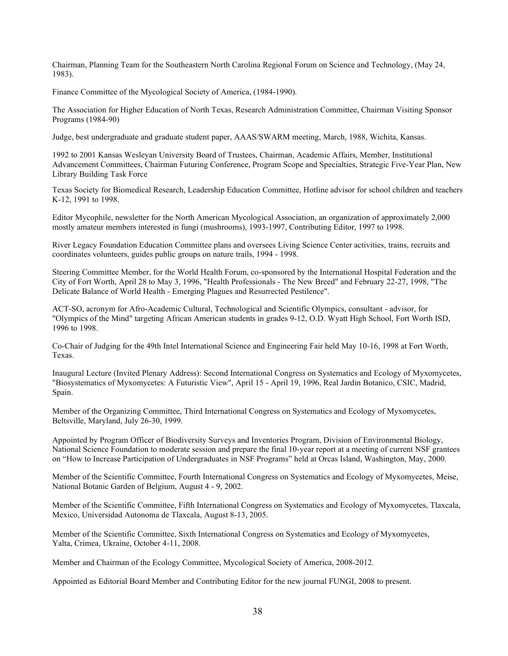Chairman, Planning Team for the Southeastern North Carolina Regional Forum on Science and Technology, (May 24, 1983).

Finance Committee of the Mycological Society of America, (1984-1990).

The Association for Higher Education of North Texas, Research Administration Committee, Chairman Visiting Sponsor Programs (1984-90)

Judge, best undergraduate and graduate student paper, AAAS/SWARM meeting, March, 1988, Wichita, Kansas.

1992 to 2001 Kansas Wesleyan University Board of Trustees, Chairman, Academic Affairs, Member, Institutional Advancement Committees, Chairman Futuring Conference, Program Scope and Specialties, Strategic Five-Year Plan, New Library Building Task Force

Texas Society for Biomedical Research, Leadership Education Committee, Hotline advisor for school children and teachers K-12, 1991 to 1998.

Editor Mycophile, newsletter for the North American Mycological Association, an organization of approximately 2,000 mostly amateur members interested in fungi (mushrooms), 1993-1997, Contributing Editor, 1997 to 1998.

River Legacy Foundation Education Committee plans and oversees Living Science Center activities, trains, recruits and coordinates volunteers, guides public groups on nature trails, 1994 - 1998.

Steering Committee Member, for the World Health Forum, co-sponsored by the International Hospital Federation and the City of Fort Worth, April 28 to May 3, 1996, "Health Professionals - The New Breed" and February 22-27, 1998, "The Delicate Balance of World Health - Emerging Plagues and Resurrected Pestilence".

ACT-SO, acronym for Afro-Academic Cultural, Technological and Scientific Olympics, consultant - advisor, for "Olympics of the Mind" targeting African American students in grades 9-12, O.D. Wyatt High School, Fort Worth ISD, 1996 to 1998.

Co-Chair of Judging for the 49th Intel International Science and Engineering Fair held May 10-16, 1998 at Fort Worth, Texas.

Inaugural Lecture (Invited Plenary Address): Second International Congress on Systematics and Ecology of Myxomycetes, "Biosystematics of Myxomycetes: A Futuristic View", April 15 - April 19, 1996, Real Jardin Botanico, CSIC, Madrid, Spain.

Member of the Organizing Committee, Third International Congress on Systematics and Ecology of Myxomycetes, Beltsville, Maryland, July 26-30, 1999.

Appointed by Program Officer of Biodiversity Surveys and Inventories Program, Division of Environmental Biology, National Science Foundation to moderate session and prepare the final 10-year report at a meeting of current NSF grantees on "How to Increase Participation of Undergraduates in NSF Programs" held at Orcas Island, Washington, May, 2000.

Member of the Scientific Committee, Fourth International Congress on Systematics and Ecology of Myxomycetes, Meise, National Botanic Garden of Belgium, August 4 - 9, 2002.

Member of the Scientific Committee, Fifth International Congress on Systematics and Ecology of Myxomycetes, Tlaxcala, Mexico, Universidad Autonoma de Tlaxcala, August 8-13, 2005.

Member of the Scientific Committee, Sixth International Congress on Systematics and Ecology of Myxomycetes, Yalta, Crimea, Ukraine, October 4-11, 2008.

Member and Chairman of the Ecology Committee, Mycological Society of America, 2008-2012.

Appointed as Editorial Board Member and Contributing Editor for the new journal FUNGI, 2008 to present.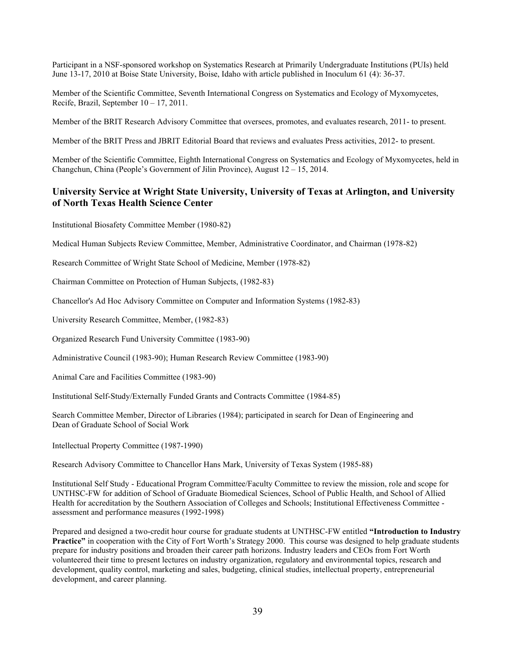Participant in a NSF-sponsored workshop on Systematics Research at Primarily Undergraduate Institutions (PUIs) held June 13-17, 2010 at Boise State University, Boise, Idaho with article published in Inoculum 61 (4): 36-37.

Member of the Scientific Committee, Seventh International Congress on Systematics and Ecology of Myxomycetes, Recife, Brazil, September 10 – 17, 2011.

Member of the BRIT Research Advisory Committee that oversees, promotes, and evaluates research, 2011- to present.

Member of the BRIT Press and JBRIT Editorial Board that reviews and evaluates Press activities, 2012- to present.

Member of the Scientific Committee, Eighth International Congress on Systematics and Ecology of Myxomycetes, held in Changchun, China (People's Government of Jilin Province), August 12 – 15, 2014.

# **University Service at Wright State University, University of Texas at Arlington, and University of North Texas Health Science Center**

Institutional Biosafety Committee Member (1980-82)

Medical Human Subjects Review Committee, Member, Administrative Coordinator, and Chairman (1978-82)

Research Committee of Wright State School of Medicine, Member (1978-82)

Chairman Committee on Protection of Human Subjects, (1982-83)

Chancellor's Ad Hoc Advisory Committee on Computer and Information Systems (1982-83)

University Research Committee, Member, (1982-83)

Organized Research Fund University Committee (1983-90)

Administrative Council (1983-90); Human Research Review Committee (1983-90)

Animal Care and Facilities Committee (1983-90)

Institutional Self-Study/Externally Funded Grants and Contracts Committee (1984-85)

Search Committee Member, Director of Libraries (1984); participated in search for Dean of Engineering and Dean of Graduate School of Social Work

Intellectual Property Committee (1987-1990)

Research Advisory Committee to Chancellor Hans Mark, University of Texas System (1985-88)

Institutional Self Study - Educational Program Committee/Faculty Committee to review the mission, role and scope for UNTHSC-FW for addition of School of Graduate Biomedical Sciences, School of Public Health, and School of Allied Health for accreditation by the Southern Association of Colleges and Schools; Institutional Effectiveness Committee assessment and performance measures (1992-1998)

Prepared and designed a two-credit hour course for graduate students at UNTHSC-FW entitled **"Introduction to Industry Practice"** in cooperation with the City of Fort Worth's Strategy 2000. This course was designed to help graduate students prepare for industry positions and broaden their career path horizons. Industry leaders and CEOs from Fort Worth volunteered their time to present lectures on industry organization, regulatory and environmental topics, research and development, quality control, marketing and sales, budgeting, clinical studies, intellectual property, entrepreneurial development, and career planning.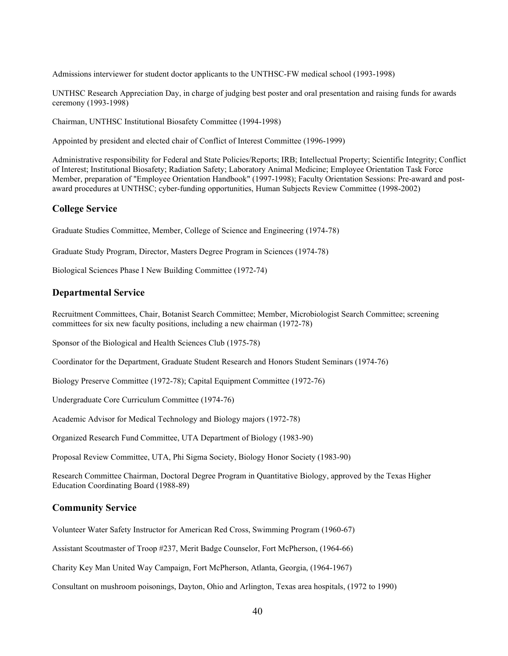Admissions interviewer for student doctor applicants to the UNTHSC-FW medical school (1993-1998)

UNTHSC Research Appreciation Day, in charge of judging best poster and oral presentation and raising funds for awards ceremony (1993-1998)

Chairman, UNTHSC Institutional Biosafety Committee (1994-1998)

Appointed by president and elected chair of Conflict of Interest Committee (1996-1999)

Administrative responsibility for Federal and State Policies/Reports; IRB; Intellectual Property; Scientific Integrity; Conflict of Interest; Institutional Biosafety; Radiation Safety; Laboratory Animal Medicine; Employee Orientation Task Force Member, preparation of "Employee Orientation Handbook" (1997-1998); Faculty Orientation Sessions: Pre-award and postaward procedures at UNTHSC; cyber-funding opportunities, Human Subjects Review Committee (1998-2002)

# **College Service**

Graduate Studies Committee, Member, College of Science and Engineering (1974-78)

Graduate Study Program, Director, Masters Degree Program in Sciences (1974-78)

Biological Sciences Phase I New Building Committee (1972-74)

# **Departmental Service**

Recruitment Committees, Chair, Botanist Search Committee; Member, Microbiologist Search Committee; screening committees for six new faculty positions, including a new chairman (1972-78)

Sponsor of the Biological and Health Sciences Club (1975-78)

Coordinator for the Department, Graduate Student Research and Honors Student Seminars (1974-76)

Biology Preserve Committee (1972-78); Capital Equipment Committee (1972-76)

Undergraduate Core Curriculum Committee (1974-76)

Academic Advisor for Medical Technology and Biology majors (1972-78)

Organized Research Fund Committee, UTA Department of Biology (1983-90)

Proposal Review Committee, UTA, Phi Sigma Society, Biology Honor Society (1983-90)

Research Committee Chairman, Doctoral Degree Program in Quantitative Biology, approved by the Texas Higher Education Coordinating Board (1988-89)

# **Community Service**

Volunteer Water Safety Instructor for American Red Cross, Swimming Program (1960-67)

Assistant Scoutmaster of Troop #237, Merit Badge Counselor, Fort McPherson, (1964-66)

Charity Key Man United Way Campaign, Fort McPherson, Atlanta, Georgia, (1964-1967)

Consultant on mushroom poisonings, Dayton, Ohio and Arlington, Texas area hospitals, (1972 to 1990)